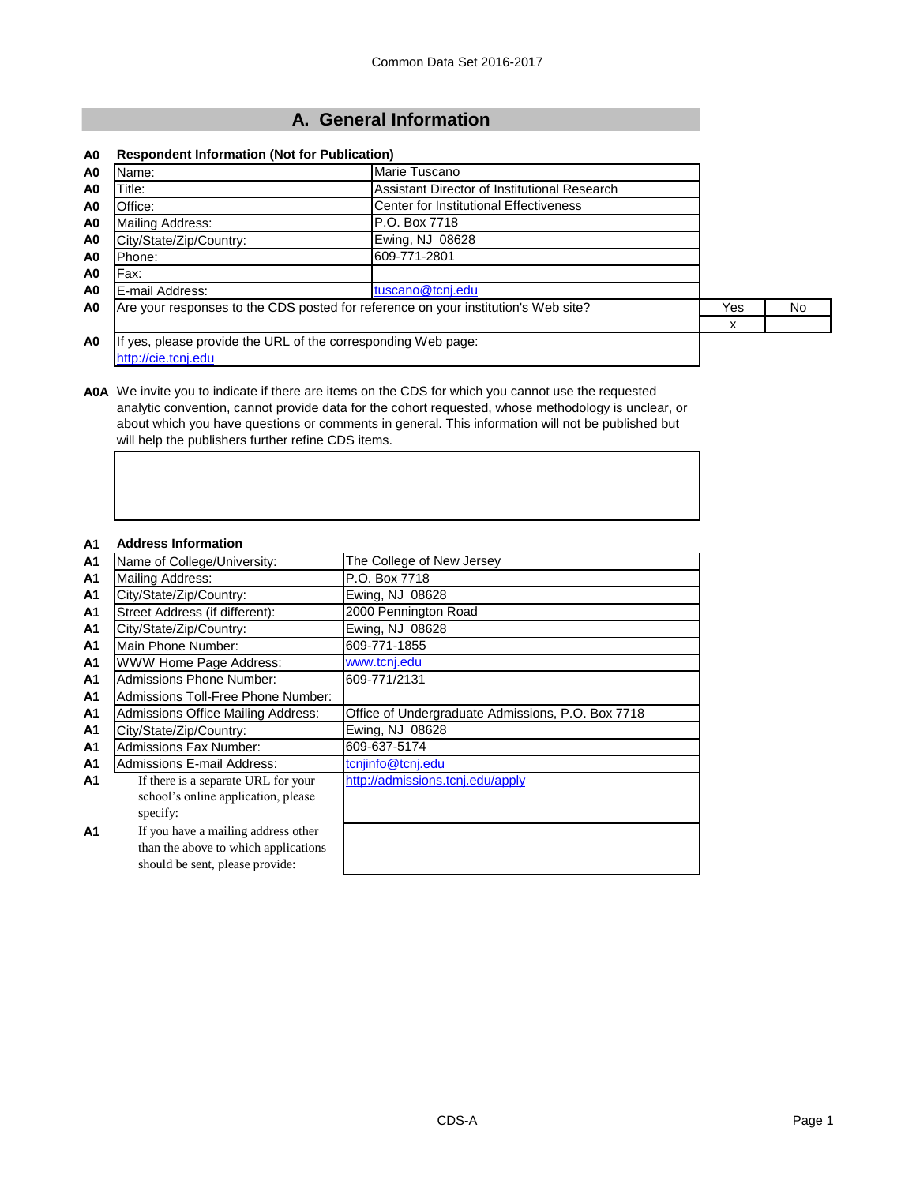## **A. General Information**

#### **A0 Respondent Information (Not for Publication)**

| A0             | Name:                                                         | Marie Tuscano                                                                      |     |    |
|----------------|---------------------------------------------------------------|------------------------------------------------------------------------------------|-----|----|
| A0             | Title:                                                        | Assistant Director of Institutional Research                                       |     |    |
| A0             | Office:                                                       | Center for Institutional Effectiveness                                             |     |    |
| A <sub>0</sub> | Mailing Address:                                              | P.O. Box 7718                                                                      |     |    |
| A <sub>0</sub> | City/State/Zip/Country:                                       | Ewing, NJ 08628                                                                    |     |    |
| A <sub>0</sub> | Phone:                                                        | 609-771-2801                                                                       |     |    |
| A0             | Fax:                                                          |                                                                                    |     |    |
| A <sub>0</sub> | E-mail Address:                                               | tuscano@tcnj.edu                                                                   |     |    |
| A0             |                                                               | Are your responses to the CDS posted for reference on your institution's Web site? | Yes | No |
|                |                                                               |                                                                                    | x   |    |
| A <sub>0</sub> | If yes, please provide the URL of the corresponding Web page: |                                                                                    |     |    |
|                | http://cie.tcnj.edu                                           |                                                                                    |     |    |

**A0A** We invite you to indicate if there are items on the CDS for which you cannot use the requested analytic convention, cannot provide data for the cohort requested, whose methodology is unclear, or about which you have questions or comments in general. This information will not be published but will help the publishers further refine CDS items.

| A <sub>1</sub> | <b>Address Information</b>                |                                                   |
|----------------|-------------------------------------------|---------------------------------------------------|
| A <sub>1</sub> | Name of College/University:               | The College of New Jersey                         |
| A <sub>1</sub> | <b>Mailing Address:</b>                   | P.O. Box 7718                                     |
| A1             | City/State/Zip/Country:                   | Ewing, NJ 08628                                   |
| <b>A1</b>      | Street Address (if different):            | 2000 Pennington Road                              |
| <b>A1</b>      | City/State/Zip/Country:                   | Ewing, NJ 08628                                   |
| <b>A1</b>      | Main Phone Number:                        | 609-771-1855                                      |
| <b>A1</b>      | <b>WWW Home Page Address:</b>             | www.tcnj.edu                                      |
| <b>A1</b>      | <b>Admissions Phone Number:</b>           | 609-771/2131                                      |
| <b>A1</b>      | Admissions Toll-Free Phone Number:        |                                                   |
| <b>A1</b>      | <b>Admissions Office Mailing Address:</b> | Office of Undergraduate Admissions, P.O. Box 7718 |
| <b>A1</b>      | City/State/Zip/Country:                   | Ewing, NJ 08628                                   |
| A <sub>1</sub> | <b>Admissions Fax Number:</b>             | 609-637-5174                                      |
| A1             | <b>Admissions E-mail Address:</b>         | tcnjinfo@tcnj.edu                                 |
| A <sub>1</sub> | If there is a separate URL for your       | http://admissions.tcnj.edu/apply                  |
|                | school's online application, please       |                                                   |
|                | specify:                                  |                                                   |
| A <sub>1</sub> | If you have a mailing address other       |                                                   |
|                | than the above to which applications      |                                                   |
|                | should be sent, please provide:           |                                                   |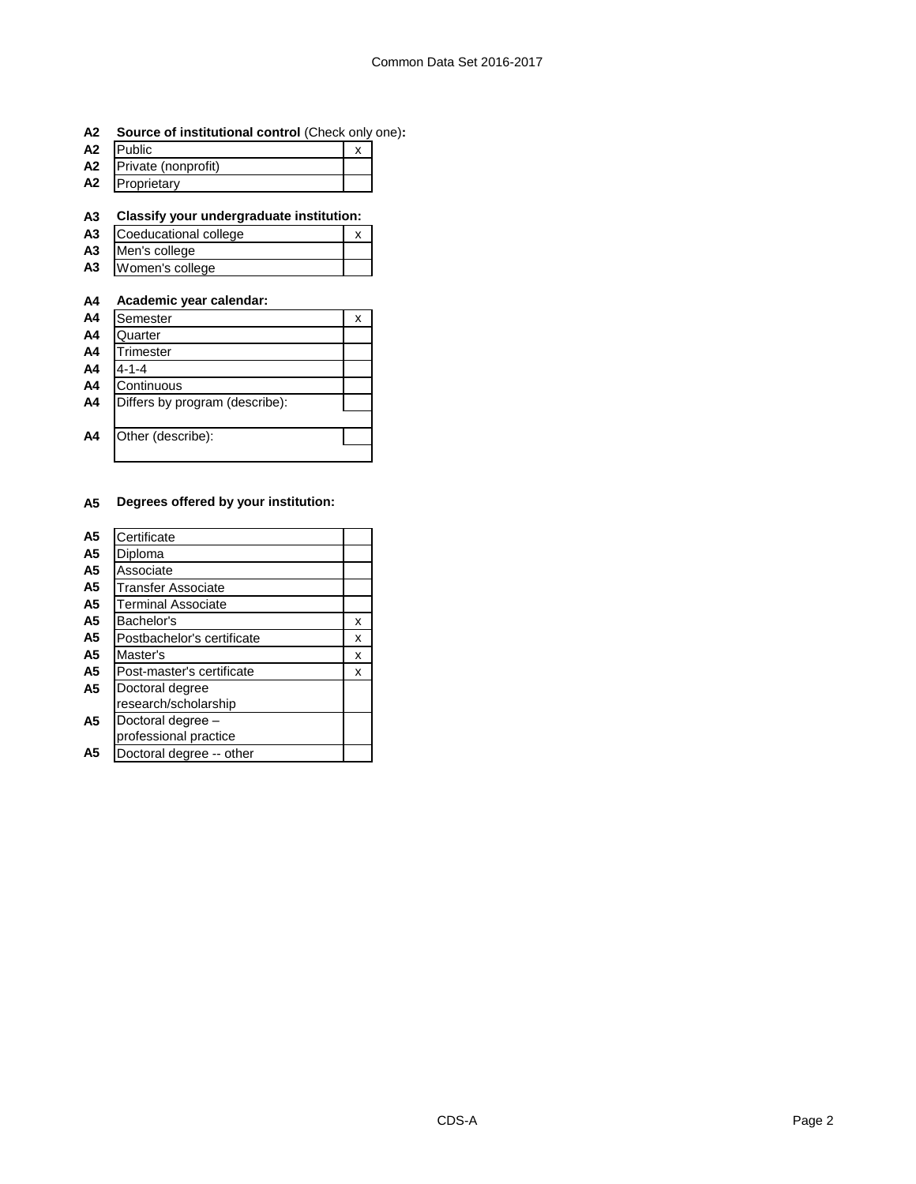#### **A2 Source of institutional control** (Check only one)**:**

| A <sub>2</sub> | <b>IPublic</b>      |  |
|----------------|---------------------|--|
| A2             | Private (nonprofit) |  |
| A2             | Proprietary         |  |

**A3 Classify your undergraduate institution:**

| A <sub>3</sub> | Coeducational college |  |
|----------------|-----------------------|--|
| A3             | Men's college         |  |
| A3             | Women's college       |  |

## **A4 Academic year calendar:**

| A <sub>4</sub> | Semester                       | х |
|----------------|--------------------------------|---|
| A4             | Quarter                        |   |
| A <sub>4</sub> | Trimester                      |   |
| A4             | $4 - 1 - 4$                    |   |
| A <sub>4</sub> | Continuous                     |   |
| A4             | Differs by program (describe): |   |
|                |                                |   |
| A4             | Other (describe):              |   |
|                |                                |   |

#### **A5 Degrees offered by your institution:**

| A5             | Certificate                |   |
|----------------|----------------------------|---|
| A5             | Diploma                    |   |
| A5             | Associate                  |   |
| A5             | Transfer Associate         |   |
| A5             | <b>Terminal Associate</b>  |   |
| A5             | Bachelor's                 | x |
| A5             | Postbachelor's certificate | x |
| A <sub>5</sub> | Master's                   | x |
| A5             | Post-master's certificate  | x |
| A5             | Doctoral degree            |   |
|                | research/scholarship       |   |
| A5             | Doctoral degree -          |   |
|                | professional practice      |   |
| А5             | Doctoral degree -- other   |   |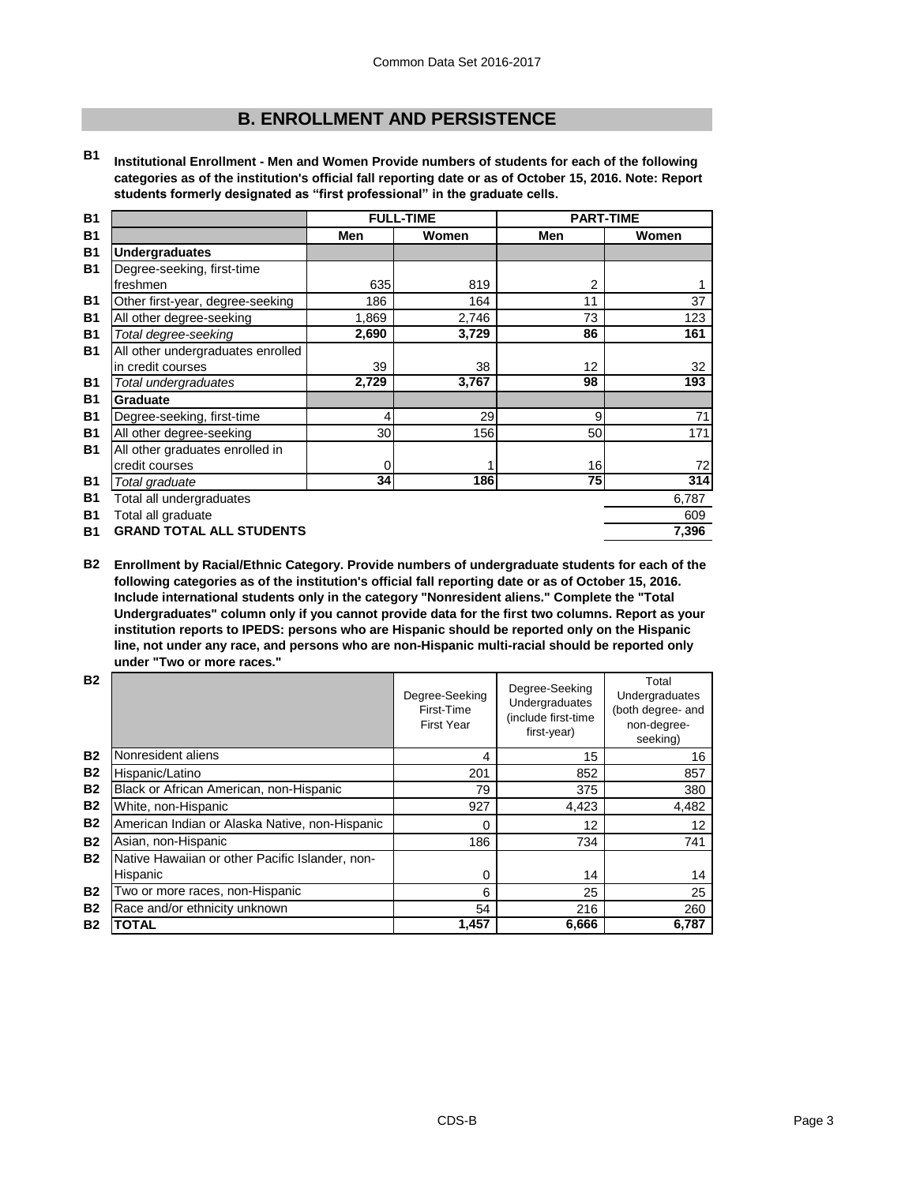## **B. ENROLLMENT AND PERSISTENCE**

**B1 Institutional Enrollment - Men and Women Provide numbers of students for each of the following categories as of the institution's official fall reporting date or as of October 15, 2016. Note: Report students formerly designated as "first professional" in the graduate cells.**

| <b>B1</b> | <b>FULL-TIME</b>                  |       | <b>PART-TIME</b> |     |       |
|-----------|-----------------------------------|-------|------------------|-----|-------|
| <b>B1</b> |                                   | Men   | Women            | Men | Women |
| <b>B1</b> | <b>Undergraduates</b>             |       |                  |     |       |
| <b>B1</b> | Degree-seeking, first-time        |       |                  |     |       |
|           | freshmen                          | 635   | 819              | 2   |       |
| <b>B1</b> | Other first-year, degree-seeking  | 186   | 164              | 11  | 37    |
| <b>B1</b> | All other degree-seeking          | 1,869 | 2,746            | 73  | 123   |
| <b>B1</b> | Total degree-seeking              | 2,690 | 3,729            | 86  | 161   |
| <b>B1</b> | All other undergraduates enrolled |       |                  |     |       |
|           | in credit courses                 | 39    | 38               | 12  | 32    |
| <b>B1</b> | Total undergraduates              | 2,729 | 3,767            | 98  | 193   |
| <b>B1</b> | <b>Graduate</b>                   |       |                  |     |       |
| <b>B1</b> | Degree-seeking, first-time        | 4     | 29               | 9   | 71    |
| <b>B1</b> | All other degree-seeking          | 30    | 156              | 50  | 171   |
| <b>B1</b> | All other graduates enrolled in   |       |                  |     |       |
|           | credit courses                    | 0     |                  | 16  | 72    |
| <b>B1</b> | Total graduate                    | 34    | 186              | 75  | 314   |
| <b>B1</b> | Total all undergraduates          |       |                  |     | 6,787 |
| <b>B1</b> | Total all graduate                |       |                  |     | 609   |
| <b>B1</b> | <b>GRAND TOTAL ALL STUDENTS</b>   |       |                  |     | 7,396 |

**B2 Enrollment by Racial/Ethnic Category. Provide numbers of undergraduate students for each of the following categories as of the institution's official fall reporting date or as of October 15, 2016. Include international students only in the category "Nonresident aliens." Complete the "Total Undergraduates" column only if you cannot provide data for the first two columns. Report as your institution reports to IPEDS: persons who are Hispanic should be reported only on the Hispanic line, not under any race, and persons who are non-Hispanic multi-racial should be reported only under "Two or more races."** 

| <b>B2</b> |                                                 | Degree-Seeking<br>First-Time<br><b>First Year</b> | Degree-Seeking<br>Undergraduates<br>(include first-time<br>first-year) | Total<br>Undergraduates<br>(both degree- and<br>non-degree-<br>seeking) |
|-----------|-------------------------------------------------|---------------------------------------------------|------------------------------------------------------------------------|-------------------------------------------------------------------------|
| <b>B2</b> | Nonresident aliens                              | 4                                                 | 15                                                                     | 16                                                                      |
| <b>B2</b> | Hispanic/Latino                                 | 201                                               | 852                                                                    | 857                                                                     |
| <b>B2</b> | Black or African American, non-Hispanic         | 79                                                | 375                                                                    | 380                                                                     |
| <b>B2</b> | White, non-Hispanic                             | 927                                               | 4,423                                                                  | 4,482                                                                   |
| <b>B2</b> | American Indian or Alaska Native, non-Hispanic  | 0                                                 | 12                                                                     | 12                                                                      |
| <b>B2</b> | Asian, non-Hispanic                             | 186                                               | 734                                                                    | 741                                                                     |
| <b>B2</b> | Native Hawaiian or other Pacific Islander, non- |                                                   |                                                                        |                                                                         |
|           | Hispanic                                        | 0                                                 | 14                                                                     | 14                                                                      |
| <b>B2</b> | Two or more races, non-Hispanic                 | 6                                                 | 25                                                                     | 25                                                                      |
| <b>B2</b> | Race and/or ethnicity unknown                   | 54                                                | 216                                                                    | 260                                                                     |
| <b>B2</b> | <b>TOTAL</b>                                    | 1,457                                             | 6,666                                                                  | 6,787                                                                   |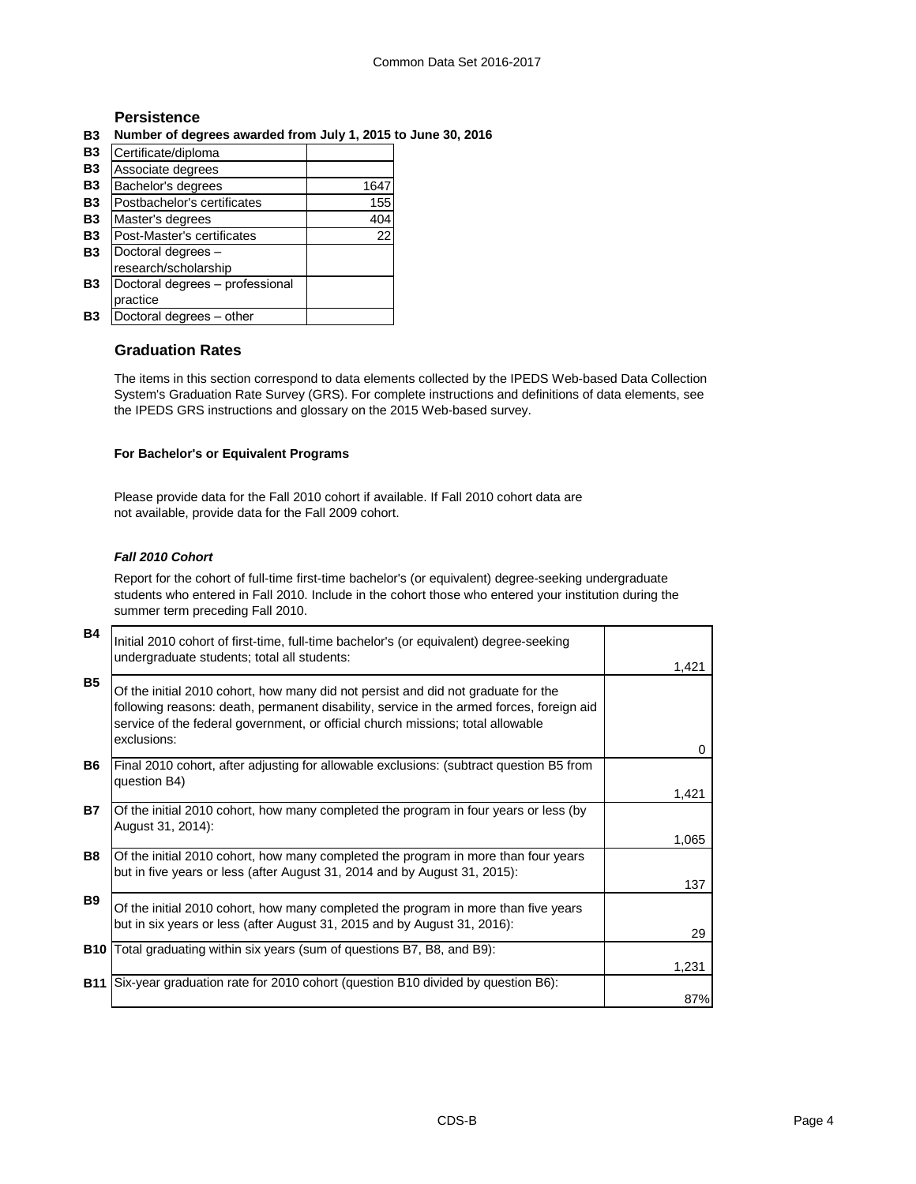#### **Persistence**

**B3 Number of degrees awarded from July 1, 2015 to June 30, 2016**

| B <sub>3</sub> | Certificate/diploma             |      |
|----------------|---------------------------------|------|
| <b>B3</b>      | Associate degrees               |      |
| <b>B3</b>      | Bachelor's degrees              | 1647 |
| <b>B3</b>      | Postbachelor's certificates     | 155  |
| <b>B3</b>      | Master's degrees                | 404  |
| <b>B3</b>      | Post-Master's certificates      | 22   |
| B <sub>3</sub> | Doctoral degrees -              |      |
|                | research/scholarship            |      |
| B <sub>3</sub> | Doctoral degrees - professional |      |
|                | practice                        |      |
| Β3             | Doctoral degrees - other        |      |

### **Graduation Rates**

The items in this section correspond to data elements collected by the IPEDS Web-based Data Collection System's Graduation Rate Survey (GRS). For complete instructions and definitions of data elements, see the IPEDS GRS instructions and glossary on the 2015 Web-based survey.

#### **For Bachelor's or Equivalent Programs**

Please provide data for the Fall 2010 cohort if available. If Fall 2010 cohort data are not available, provide data for the Fall 2009 cohort.

#### *Fall 2010 Cohort*

Report for the cohort of full-time first-time bachelor's (or equivalent) degree-seeking undergraduate students who entered in Fall 2010. Include in the cohort those who entered your institution during the summer term preceding Fall 2010.

| <b>B4</b>  | Initial 2010 cohort of first-time, full-time bachelor's (or equivalent) degree-seeking<br>undergraduate students; total all students:                                                                                                                                           | 1,421 |
|------------|---------------------------------------------------------------------------------------------------------------------------------------------------------------------------------------------------------------------------------------------------------------------------------|-------|
| <b>B5</b>  | Of the initial 2010 cohort, how many did not persist and did not graduate for the<br>following reasons: death, permanent disability, service in the armed forces, foreign aid<br>service of the federal government, or official church missions; total allowable<br>exclusions: | 0     |
| <b>B6</b>  | Final 2010 cohort, after adjusting for allowable exclusions: (subtract question B5 from<br>question B4)                                                                                                                                                                         | 1,421 |
| <b>B7</b>  | Of the initial 2010 cohort, how many completed the program in four years or less (by<br>August 31, 2014):                                                                                                                                                                       | 1,065 |
| <b>B8</b>  | Of the initial 2010 cohort, how many completed the program in more than four years<br>but in five years or less (after August 31, 2014 and by August 31, 2015):                                                                                                                 | 137   |
| <b>B9</b>  | Of the initial 2010 cohort, how many completed the program in more than five years<br>but in six years or less (after August 31, 2015 and by August 31, 2016):                                                                                                                  | 29    |
| <b>B10</b> | Total graduating within six years (sum of questions B7, B8, and B9):                                                                                                                                                                                                            | 1,231 |
| <b>B11</b> | Six-year graduation rate for 2010 cohort (question B10 divided by question B6):                                                                                                                                                                                                 | 87%   |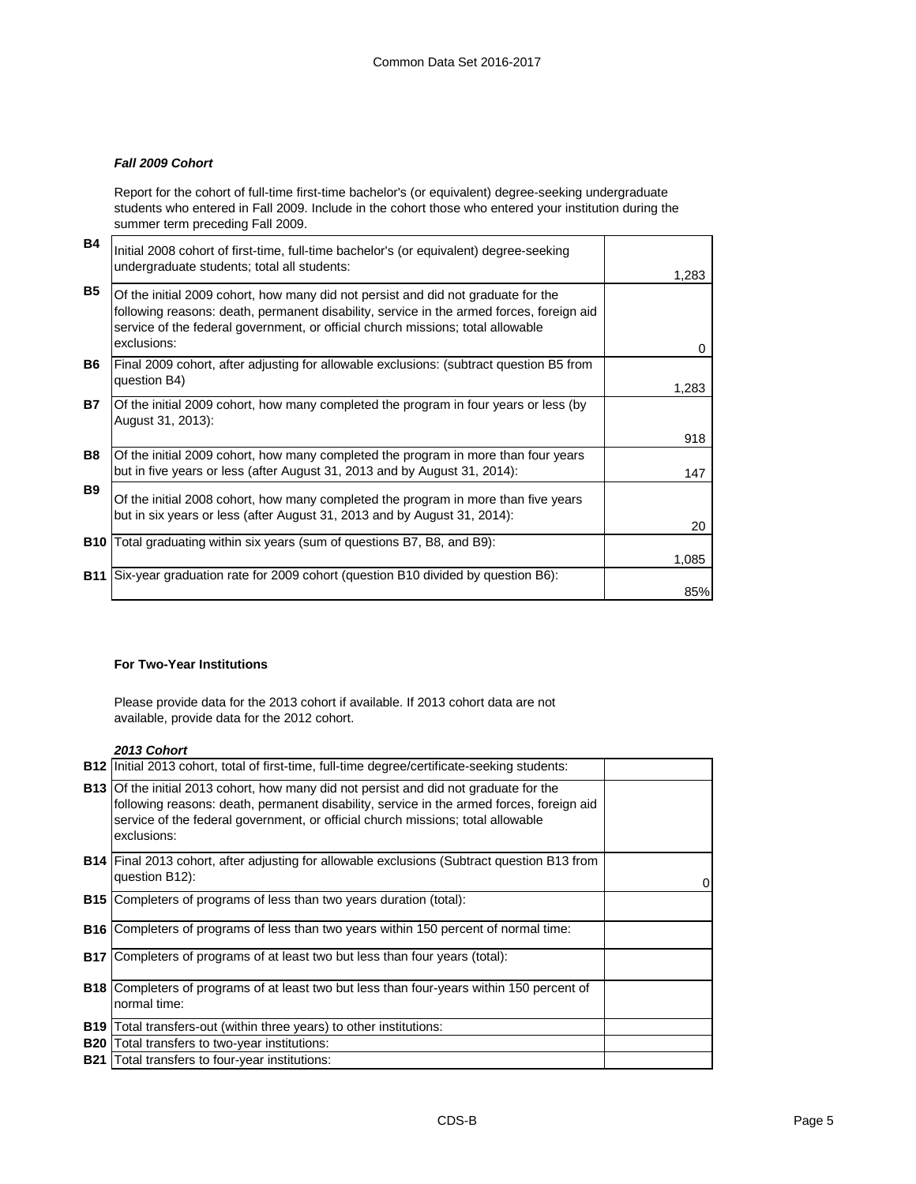#### *Fall 2009 Cohort*

Report for the cohort of full-time first-time bachelor's (or equivalent) degree-seeking undergraduate students who entered in Fall 2009. Include in the cohort those who entered your institution during the summer term preceding Fall 2009.

| <b>B4</b>  | Initial 2008 cohort of first-time, full-time bachelor's (or equivalent) degree-seeking<br>undergraduate students; total all students:                                                                                                                                           | 1,283    |
|------------|---------------------------------------------------------------------------------------------------------------------------------------------------------------------------------------------------------------------------------------------------------------------------------|----------|
| <b>B5</b>  | Of the initial 2009 cohort, how many did not persist and did not graduate for the<br>following reasons: death, permanent disability, service in the armed forces, foreign aid<br>service of the federal government, or official church missions; total allowable<br>exclusions: | $\Omega$ |
| B6.        | Final 2009 cohort, after adjusting for allowable exclusions: (subtract question B5 from<br>question B4)                                                                                                                                                                         | 1,283    |
| <b>B7</b>  | Of the initial 2009 cohort, how many completed the program in four years or less (by<br>August 31, 2013):                                                                                                                                                                       | 918      |
| B8         | Of the initial 2009 cohort, how many completed the program in more than four years<br>but in five years or less (after August 31, 2013 and by August 31, 2014):                                                                                                                 | 147      |
| <b>B9</b>  | Of the initial 2008 cohort, how many completed the program in more than five years<br>but in six years or less (after August 31, 2013 and by August 31, 2014):                                                                                                                  | 20       |
|            | <b>B10</b> Total graduating within six years (sum of questions B7, B8, and B9):                                                                                                                                                                                                 | 1,085    |
| <b>B11</b> | Six-year graduation rate for 2009 cohort (question B10 divided by question B6):                                                                                                                                                                                                 | 85%      |

#### **For Two-Year Institutions**

Please provide data for the 2013 cohort if available. If 2013 cohort data are not available, provide data for the 2012 cohort.

*2013 Cohort*

| <b>B12</b> | Initial 2013 cohort, total of first-time, full-time degree/certificate-seeking students:                                                                                                                                                                                                   |   |
|------------|--------------------------------------------------------------------------------------------------------------------------------------------------------------------------------------------------------------------------------------------------------------------------------------------|---|
|            | <b>B13</b> Of the initial 2013 cohort, how many did not persist and did not graduate for the<br>following reasons: death, permanent disability, service in the armed forces, foreign aid<br>service of the federal government, or official church missions; total allowable<br>exclusions: |   |
|            | <b>B14</b> Final 2013 cohort, after adjusting for allowable exclusions (Subtract question B13 from<br>question B12):                                                                                                                                                                       | 0 |
|            | <b>B15</b> Completers of programs of less than two years duration (total):                                                                                                                                                                                                                 |   |
| <b>B16</b> | Completers of programs of less than two years within 150 percent of normal time:                                                                                                                                                                                                           |   |
| <b>B17</b> | Completers of programs of at least two but less than four years (total):                                                                                                                                                                                                                   |   |
| <b>B18</b> | Completers of programs of at least two but less than four-years within 150 percent of<br>normal time:                                                                                                                                                                                      |   |
|            | <b>B19</b> Total transfers-out (within three years) to other institutions:                                                                                                                                                                                                                 |   |
|            | <b>B20</b> Total transfers to two-year institutions:                                                                                                                                                                                                                                       |   |
| <b>B21</b> | Total transfers to four-year institutions:                                                                                                                                                                                                                                                 |   |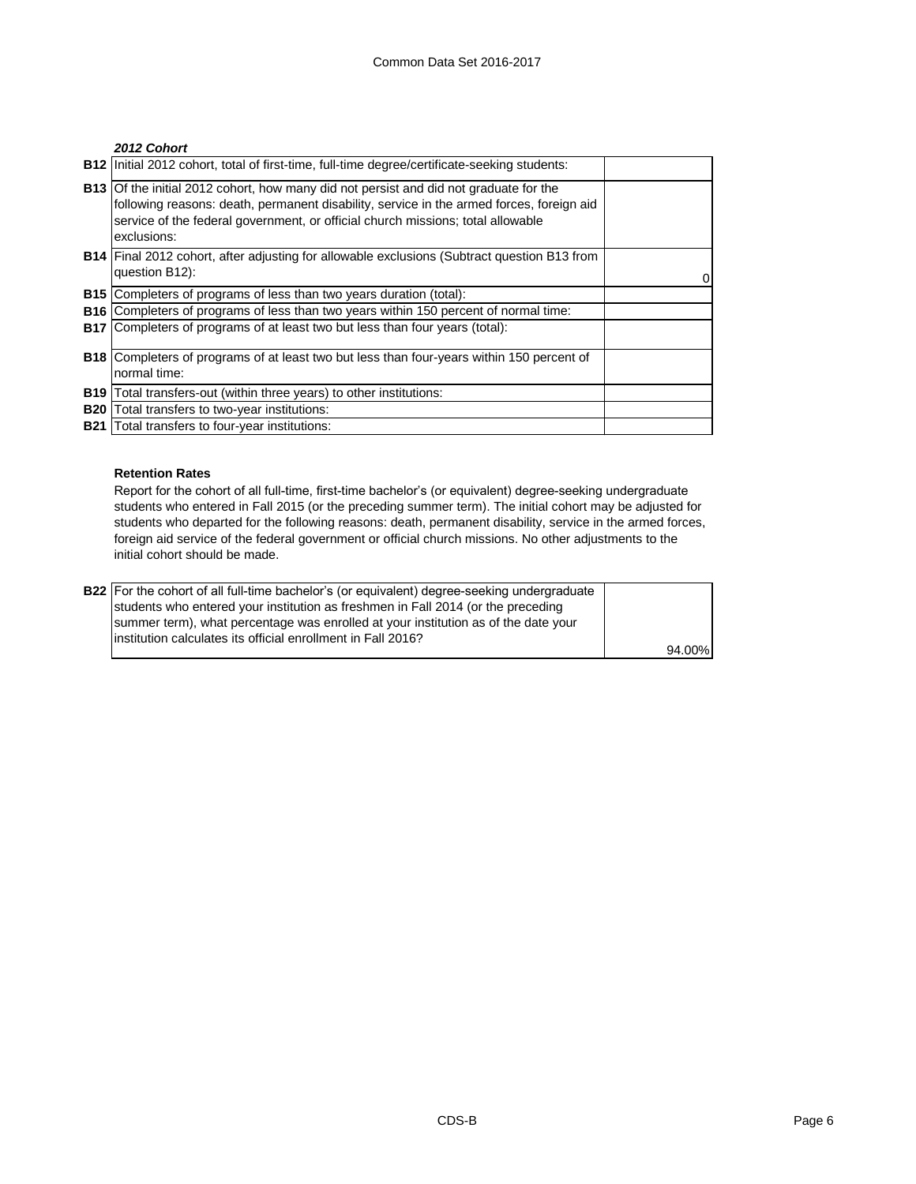#### *2012 Cohort*

|            | B12   Initial 2012 cohort, total of first-time, full-time degree/certificate-seeking students:                                                                                                                                                                                             |   |
|------------|--------------------------------------------------------------------------------------------------------------------------------------------------------------------------------------------------------------------------------------------------------------------------------------------|---|
|            | <b>B13</b> Of the initial 2012 cohort, how many did not persist and did not graduate for the<br>following reasons: death, permanent disability, service in the armed forces, foreign aid<br>service of the federal government, or official church missions; total allowable<br>exclusions: |   |
|            | <b>B14</b> Final 2012 cohort, after adjusting for allowable exclusions (Subtract question B13 from<br>question B12):                                                                                                                                                                       | 0 |
| <b>B15</b> | Completers of programs of less than two years duration (total):                                                                                                                                                                                                                            |   |
| <b>B16</b> | Completers of programs of less than two years within 150 percent of normal time:                                                                                                                                                                                                           |   |
|            | <b>B17</b> Completers of programs of at least two but less than four years (total):                                                                                                                                                                                                        |   |
|            | <b>B18</b> Completers of programs of at least two but less than four-years within 150 percent of                                                                                                                                                                                           |   |
|            | normal time:                                                                                                                                                                                                                                                                               |   |
| <b>B19</b> | Total transfers-out (within three years) to other institutions:                                                                                                                                                                                                                            |   |
| <b>B20</b> | Total transfers to two-year institutions:                                                                                                                                                                                                                                                  |   |
| <b>B21</b> | Total transfers to four-year institutions:                                                                                                                                                                                                                                                 |   |

#### **Retention Rates**

Report for the cohort of all full-time, first-time bachelor's (or equivalent) degree-seeking undergraduate students who entered in Fall 2015 (or the preceding summer term). The initial cohort may be adjusted for students who departed for the following reasons: death, permanent disability, service in the armed forces, foreign aid service of the federal government or official church missions. No other adjustments to the initial cohort should be made.

| <b>B22</b> For the cohort of all full-time bachelor's (or equivalent) degree-seeking undergraduate |        |
|----------------------------------------------------------------------------------------------------|--------|
| students who entered your institution as freshmen in Fall 2014 (or the preceding                   |        |
| summer term), what percentage was enrolled at your institution as of the date your                 |        |
| linstitution calculates its official enrollment in Fall 2016?                                      |        |
|                                                                                                    | 94.00% |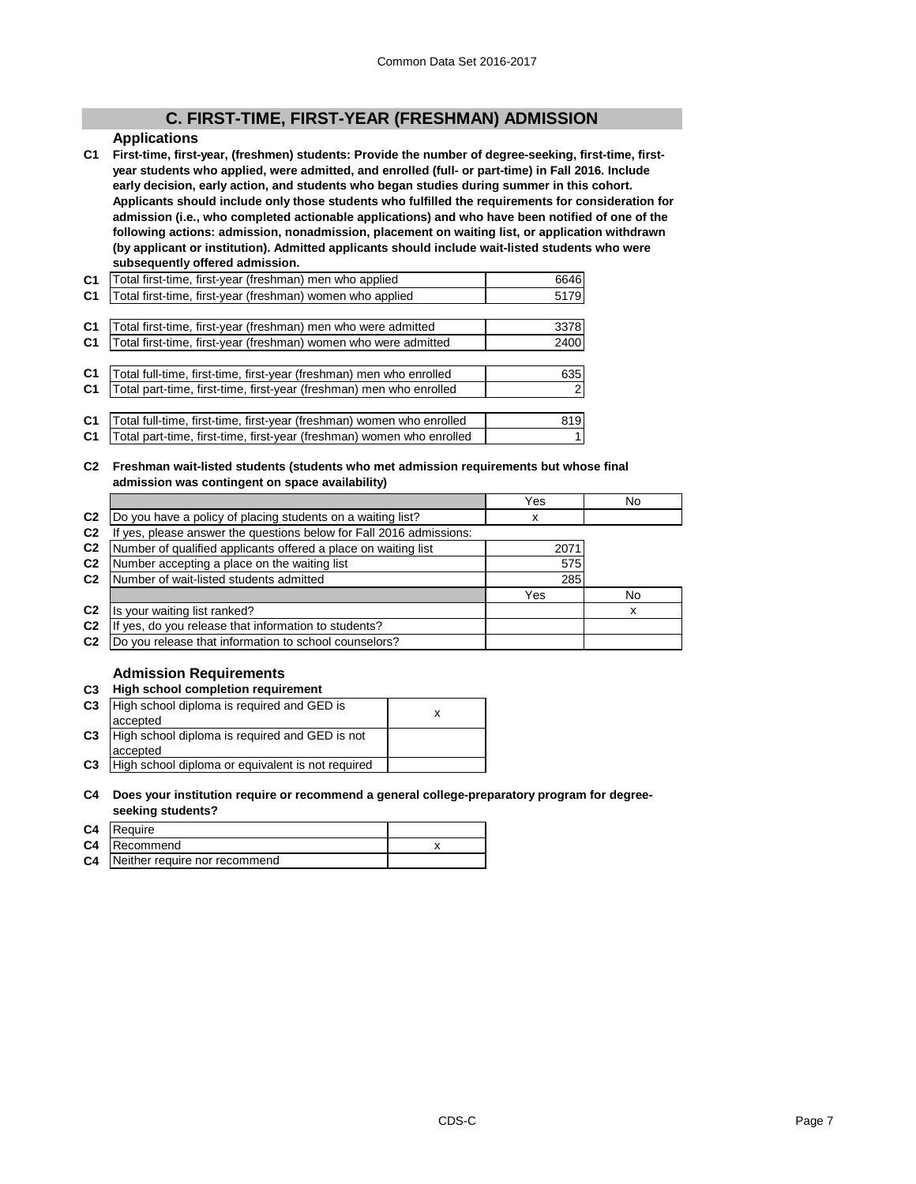## **C. FIRST-TIME, FIRST-YEAR (FRESHMAN) ADMISSION**

#### **Applications**

**C1 First-time, first-year, (freshmen) students: Provide the number of degree-seeking, first-time, firstyear students who applied, were admitted, and enrolled (full- or part-time) in Fall 2016. Include early decision, early action, and students who began studies during summer in this cohort. Applicants should include only those students who fulfilled the requirements for consideration for admission (i.e., who completed actionable applications) and who have been notified of one of the following actions: admission, nonadmission, placement on waiting list, or application withdrawn (by applicant or institution). Admitted applicants should include wait-listed students who were subsequently offered admission.**

| C <sub>1</sub> | Total first-time, first-year (freshman) men who applied               | 6646      |
|----------------|-----------------------------------------------------------------------|-----------|
| C <sub>1</sub> | Total first-time, first-year (freshman) women who applied             | 5179      |
|                |                                                                       |           |
| C <sub>1</sub> | Total first-time, first-year (freshman) men who were admitted         | 3378      |
| C <sub>1</sub> | Total first-time, first-year (freshman) women who were admitted       | 2400      |
|                |                                                                       |           |
| C <sub>1</sub> | Total full-time, first-time, first-year (freshman) men who enrolled   | 635       |
| C <sub>1</sub> | Total part-time, first-time, first-year (freshman) men who enrolled   | <b>21</b> |
|                |                                                                       |           |
| C <sub>1</sub> | Total full-time, first-time, first-year (freshman) women who enrolled | 819       |
| C <sub>1</sub> | Total part-time, first-time, first-year (freshman) women who enrolled |           |

**C2 Freshman wait-listed students (students who met admission requirements but whose final admission was contingent on space availability)**

|                |                                                                  | Yes  | No |
|----------------|------------------------------------------------------------------|------|----|
| C <sub>2</sub> | Do you have a policy of placing students on a waiting list?      | х    |    |
| C <sub>2</sub> | yes, please answer the questions below for Fall 2016 admissions: |      |    |
| C <sub>2</sub> | Number of qualified applicants offered a place on waiting list   | 2071 |    |
| C <sub>2</sub> | Number accepting a place on the waiting list                     | 575  |    |
| C <sub>2</sub> | Number of wait-listed students admitted                          | 285  |    |
|                |                                                                  | Yes  | No |
| C <sub>2</sub> | Is your waiting list ranked?                                     |      |    |
| C <sub>2</sub> | yes, do you release that information to students?<br>Шf          |      |    |
| C <sub>2</sub> | Do you release that information to school counselors?            |      |    |

#### **Admission Requirements**

#### **C3 High school completion requirement**

| C <sub>3</sub> | High school diploma is required and GED is        |  |
|----------------|---------------------------------------------------|--|
|                | accepted                                          |  |
| C <sub>3</sub> | High school diploma is required and GED is not    |  |
|                | accepted                                          |  |
| C <sub>3</sub> | High school diploma or equivalent is not required |  |

**C4 Does your institution require or recommend a general college-preparatory program for degreeseeking students?**

| C4 Require                              |  |
|-----------------------------------------|--|
| C4   Recommend                          |  |
| <b>C4</b> Neither require nor recommend |  |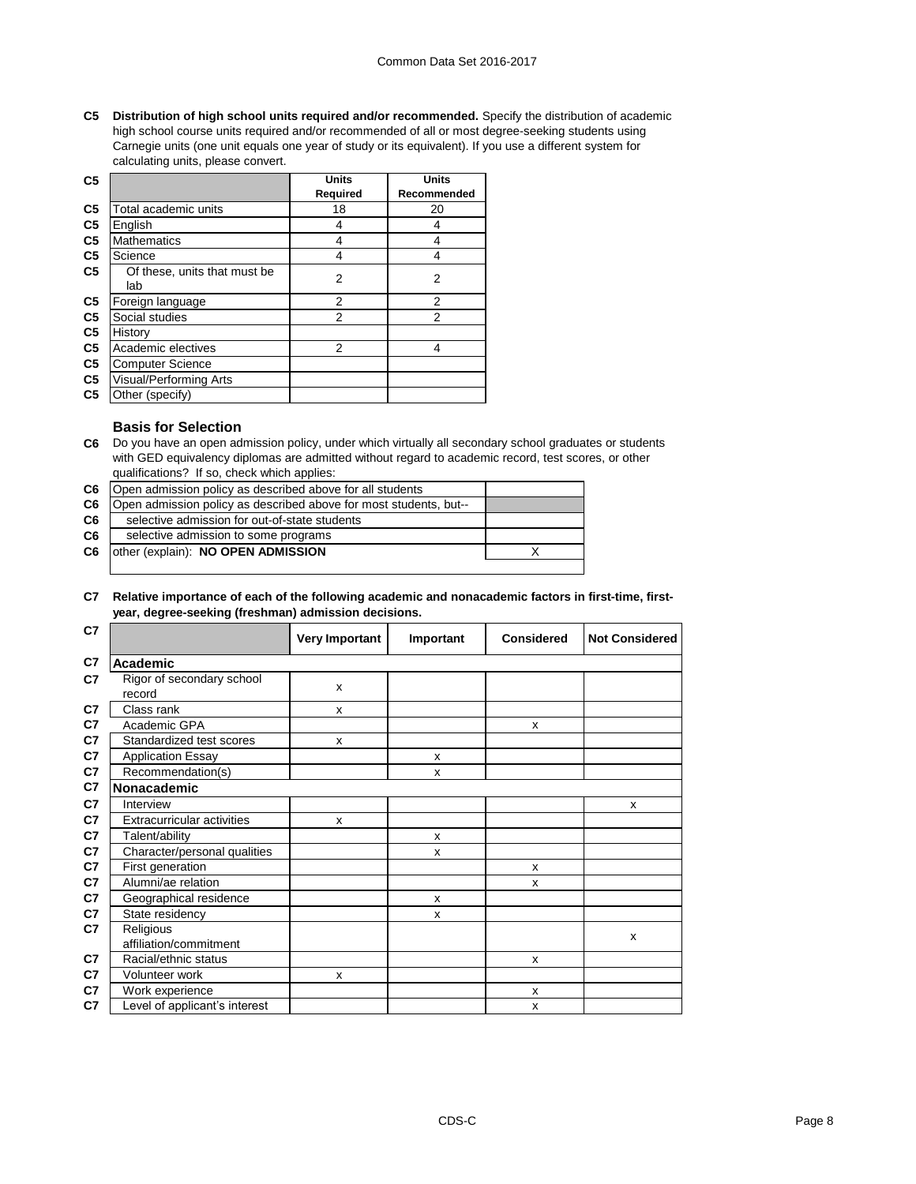#### Common Data Set 2016-2017

**C5 Distribution of high school units required and/or recommended.** Specify the distribution of academic high school course units required and/or recommended of all or most degree-seeking students using Carnegie units (one unit equals one year of study or its equivalent). If you use a different system for calculating units, please convert.

| C <sub>5</sub> |                               | <b>Units</b>    | <b>Units</b>   |
|----------------|-------------------------------|-----------------|----------------|
|                |                               | <b>Required</b> | Recommended    |
| C <sub>5</sub> | Total academic units          | 18              | 20             |
| C <sub>5</sub> | English                       | 4               | 4              |
| C <sub>5</sub> | <b>Mathematics</b>            | 4               | 4              |
| C <sub>5</sub> | Science                       | 4               | 4              |
| C <sub>5</sub> | Of these, units that must be  | 2               | $\overline{2}$ |
|                | lab                           |                 |                |
| C <sub>5</sub> | Foreign language              | 2               | $\overline{2}$ |
| C <sub>5</sub> | Social studies                | $\overline{2}$  | $\overline{2}$ |
| C <sub>5</sub> | History                       |                 |                |
| C <sub>5</sub> | Academic electives            | 2               | 4              |
| C <sub>5</sub> | <b>Computer Science</b>       |                 |                |
| C <sub>5</sub> | <b>Visual/Performing Arts</b> |                 |                |
| C <sub>5</sub> | Other (specify)               |                 |                |

#### **Basis for Selection**

**C6** Do you have an open admission policy, under which virtually all secondary school graduates or students with GED equivalency diplomas are admitted without regard to academic record, test scores, or other qualifications? If so, check which applies:

| C6 | Open admission policy as described above for all students         |  |
|----|-------------------------------------------------------------------|--|
| C6 | Open admission policy as described above for most students, but-- |  |
| C6 | selective admission for out-of-state students                     |  |
| C6 | selective admission to some programs                              |  |
| C6 | other (explain): NO OPEN ADMISSION                                |  |
|    |                                                                   |  |

#### **C7 Relative importance of each of the following academic and nonacademic factors in first-time, firstyear, degree-seeking (freshman) admission decisions.**

| C7             |                                     | <b>Very Important</b> | Important    | <b>Considered</b> | <b>Not Considered</b> |
|----------------|-------------------------------------|-----------------------|--------------|-------------------|-----------------------|
| C7             | <b>Academic</b>                     |                       |              |                   |                       |
| C7             | Rigor of secondary school<br>record | $\mathsf{x}$          |              |                   |                       |
| C7             | Class rank                          | X                     |              |                   |                       |
| C7             | Academic GPA                        |                       |              | X                 |                       |
| C7             | Standardized test scores            | X                     |              |                   |                       |
| C7             | <b>Application Essay</b>            |                       | X            |                   |                       |
| C7             | Recommendation(s)                   |                       | X            |                   |                       |
| C7             | Nonacademic                         |                       |              |                   |                       |
| C7             | Interview                           |                       |              |                   | X                     |
| C7             | <b>Extracurricular activities</b>   | X                     |              |                   |                       |
| C7             | Talent/ability                      |                       | X            |                   |                       |
| C7             | Character/personal qualities        |                       | X            |                   |                       |
| C7             | First generation                    |                       |              | X                 |                       |
| C7             | Alumni/ae relation                  |                       |              | X                 |                       |
| C7             | Geographical residence              |                       | X            |                   |                       |
| C7             | State residency                     |                       | $\mathsf{x}$ |                   |                       |
| C7             | Religious                           |                       |              |                   | X                     |
|                | affiliation/commitment              |                       |              |                   |                       |
| C7             | Racial/ethnic status                |                       |              | X                 |                       |
| C <sub>7</sub> | Volunteer work                      | X                     |              |                   |                       |
| C <sub>7</sub> | Work experience                     |                       |              | X                 |                       |
| C7             | Level of applicant's interest       |                       |              | X                 |                       |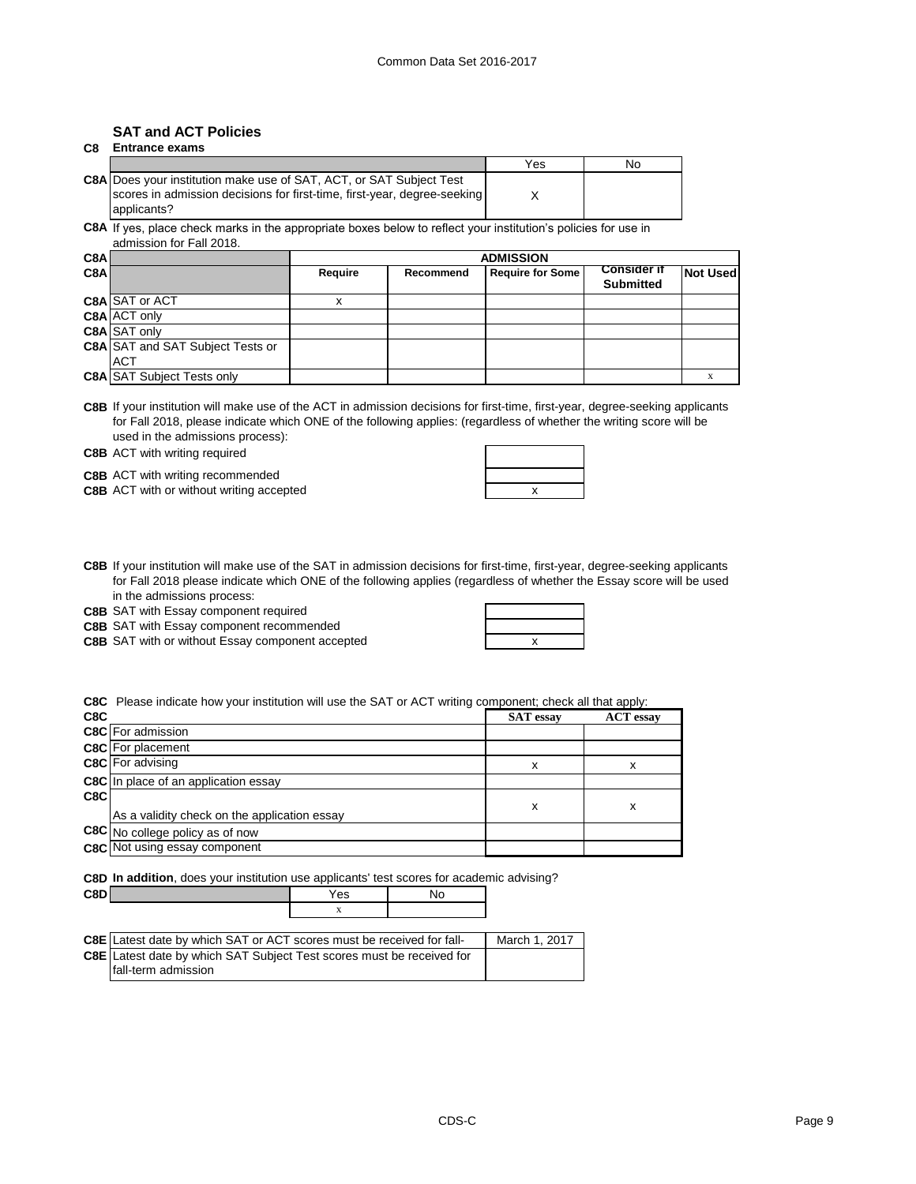#### **SAT and ACT Policies C8 Entrance exams**

|                                                                                         | Yes | No |
|-----------------------------------------------------------------------------------------|-----|----|
| C8A Does your institution make use of SAT, ACT, or SAT Subject Test                     |     |    |
| scores in admission decisions for first-time, first-year, degree-seeking<br>applicants? |     |    |
|                                                                                         |     |    |

**C8A** If yes, place check marks in the appropriate boxes below to reflect your institution's policies for use in admission for Fall 2018.

| C8A |                                         | <b>ADMISSION</b> |                  |                         |                                        |                 |
|-----|-----------------------------------------|------------------|------------------|-------------------------|----------------------------------------|-----------------|
| C8A |                                         | <b>Require</b>   | <b>Recommend</b> | <b>Require for Some</b> | <b>Consider if</b><br><b>Submitted</b> | <b>Not Used</b> |
|     | C8A SAT or ACT                          |                  |                  |                         |                                        |                 |
|     | C8A ACT only                            |                  |                  |                         |                                        |                 |
|     | C8A SAT only                            |                  |                  |                         |                                        |                 |
|     | <b>C8A SAT and SAT Subject Tests or</b> |                  |                  |                         |                                        |                 |
|     | IACT                                    |                  |                  |                         |                                        |                 |
|     | <b>C8A SAT Subject Tests only</b>       |                  |                  |                         |                                        |                 |

**C8B** If your institution will make use of the ACT in admission decisions for first-time, first-year, degree-seeking applicants for Fall 2018, please indicate which ONE of the following applies: (regardless of whether the writing score will be used in the admissions process):

**C8B** ACT with writing required

**C8B** ACT with writing recommended

**C8B** ACT with or without writing accepted **ACT ACT x** 

|  | Χ |  |
|--|---|--|
|  |   |  |
|  |   |  |

**C8B** If your institution will make use of the SAT in admission decisions for first-time, first-year, degree-seeking applicants for Fall 2018 please indicate which ONE of the following applies (regardless of whether the Essay score will be used in the admissions process:

**C8B** SAT with Essay component required

**C8B** SAT with or without Essay component accepted **EXEC 1** 2 X

**C8C** Please indicate how your institution will use the SAT or ACT writing component; check all that apply:

| C8C |                                              | <b>SAT</b> essay | <b>ACT</b> essay |
|-----|----------------------------------------------|------------------|------------------|
|     | <b>C8C</b> For admission                     |                  |                  |
|     | <b>C8C</b> For placement                     |                  |                  |
|     | <b>C8C</b> For advising                      | x                | х                |
|     | <b>C8C</b> In place of an application essay  |                  |                  |
| C8C |                                              | х                | x                |
|     | As a validity check on the application essay |                  |                  |
|     | C8C No college policy as of now              |                  |                  |
|     | <b>C8C</b> Not using essay component         |                  |                  |

**C8D In addition**, does your institution use applicants' test scores for academic advising?

| CRD | res | $\tilde{\phantom{a}}$ |
|-----|-----|-----------------------|
|     | --  |                       |
|     |     |                       |

| <b>C8E</b> Latest date by which SAT or ACT scores must be received for fall- | March 1, 2017 |
|------------------------------------------------------------------------------|---------------|
| <b>C8E</b> Latest date by which SAT Subject Test scores must be received for |               |
| <b>fall-term admission</b>                                                   |               |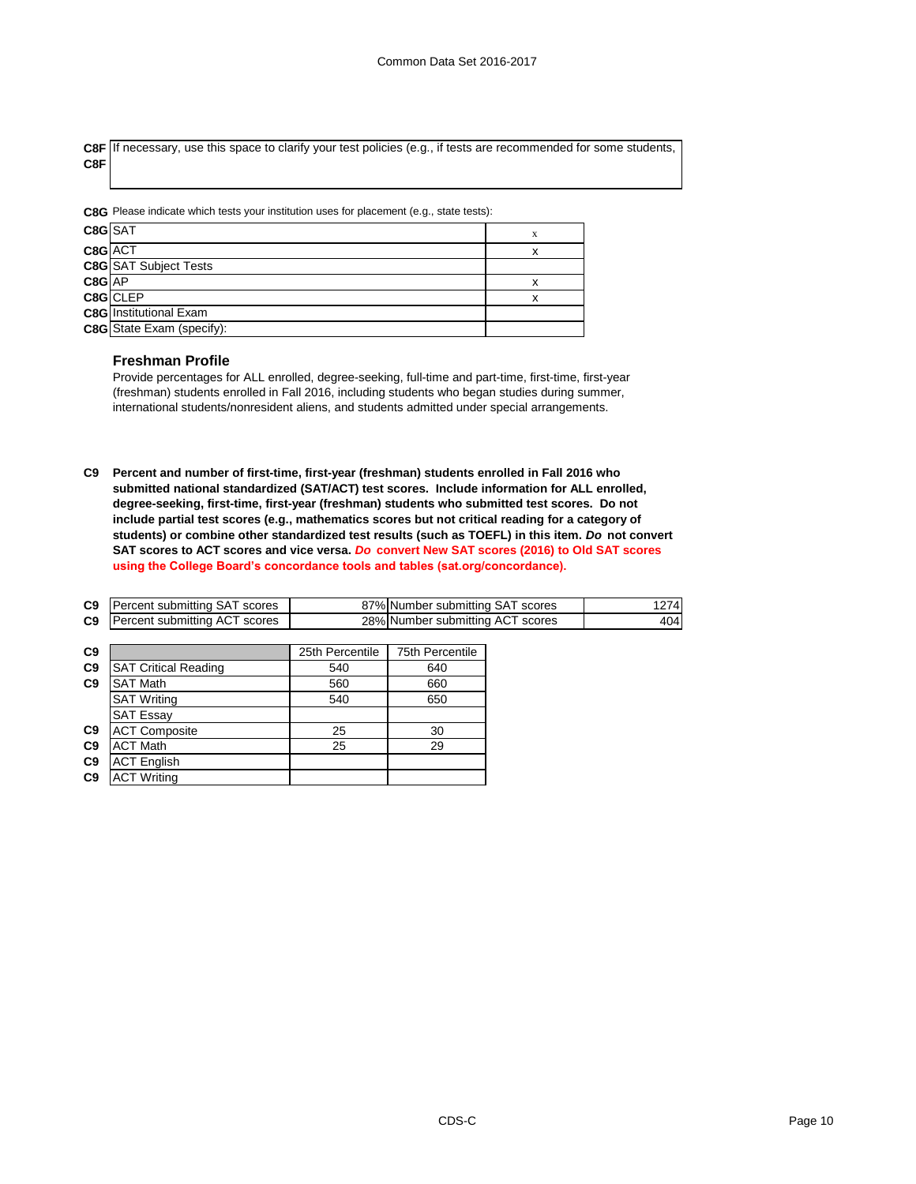**C8F** If necessary, use this space to clarify your test policies (e.g., if tests are recommended for some students, **C8F**

**C8G** Please indicate which tests your institution uses for placement (e.g., state tests):

| C8GSAT     |                                  | X |
|------------|----------------------------------|---|
| C8G ACT    |                                  | x |
|            | C8G SAT Subject Tests            |   |
| $CSG$ $AP$ |                                  | x |
|            | C8G CLEP                         | x |
|            | <b>C8G</b> Institutional Exam    |   |
|            | <b>C8G</b> State Exam (specify): |   |

#### **Freshman Profile**

Provide percentages for ALL enrolled, degree-seeking, full-time and part-time, first-time, first-year (freshman) students enrolled in Fall 2016, including students who began studies during summer, international students/nonresident aliens, and students admitted under special arrangements.

**C9 Percent and number of first-time, first-year (freshman) students enrolled in Fall 2016 who submitted national standardized (SAT/ACT) test scores. Include information for ALL enrolled, degree-seeking, first-time, first-year (freshman) students who submitted test scores. Do not include partial test scores (e.g., mathematics scores but not critical reading for a category of students) or combine other standardized test results (such as TOEFL) in this item.** *Do* **not convert SAT scores to ACT scores and vice versa.** *Do* **convert New SAT scores (2016) to Old SAT scores using the College Board's concordance tools and tables (sat.org/concordance).**

| C9             | Percent submitting SAT scores |                 | 87% Number submitting SAT scores | 1274 |
|----------------|-------------------------------|-----------------|----------------------------------|------|
| C <sub>9</sub> | Percent submitting ACT scores |                 | 28% Number submitting ACT scores | 404  |
|                |                               |                 |                                  |      |
| C9             |                               | 25th Percentile | 75th Percentile                  |      |
| C <sub>9</sub> | <b>SAT Critical Reading</b>   | 540             | 640                              |      |
| C9             | <b>SAT Math</b>               | 560             | 660                              |      |
|                | <b>SAT Writing</b>            | 540             | 650                              |      |
|                | <b>SAT Essay</b>              |                 |                                  |      |
| C9             | <b>ACT Composite</b>          | 25              | 30                               |      |
| C <sub>9</sub> | <b>ACT Math</b>               | 25              | 29                               |      |
| C <sub>9</sub> | <b>ACT English</b>            |                 |                                  |      |
| C9             | <b>ACT Writing</b>            |                 |                                  |      |
|                |                               |                 |                                  |      |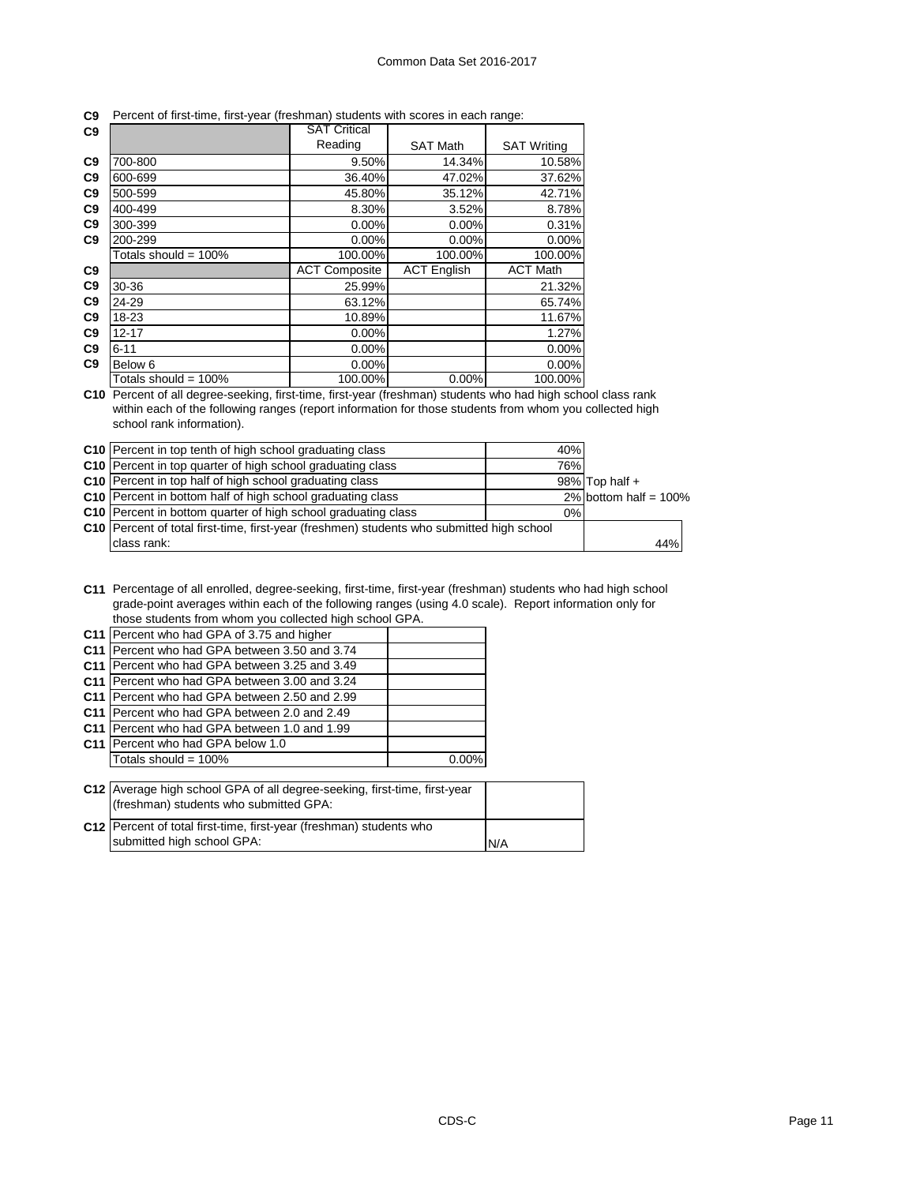|  |  | C9 Percent of first-time, first-year (freshman) students with scores in each range: |  |  |  |  |  |
|--|--|-------------------------------------------------------------------------------------|--|--|--|--|--|
|--|--|-------------------------------------------------------------------------------------|--|--|--|--|--|

| C9             |                      | <b>SAT Critical</b>  |                    |                    |
|----------------|----------------------|----------------------|--------------------|--------------------|
|                |                      | Reading              | <b>SAT Math</b>    | <b>SAT Writing</b> |
| C <sub>9</sub> | 700-800              | 9.50%                | 14.34%             | 10.58%             |
| C <sub>9</sub> | 600-699              | 36.40%               | 47.02%             | 37.62%             |
| C <sub>9</sub> | 500-599              | 45.80%               | 35.12%             | 42.71%             |
| C <sub>9</sub> | 400-499              | 8.30%                | 3.52%              | 8.78%              |
| C <sub>9</sub> | 300-399              | $0.00\%$             | 0.00%              | 0.31%              |
| C <sub>9</sub> | 200-299              | $0.00\%$             | 0.00%              | 0.00%              |
|                | Totals should = 100% | 100.00%              | 100.00%            | 100.00%            |
| C9             |                      | <b>ACT Composite</b> | <b>ACT English</b> | <b>ACT Math</b>    |
| C9             | 30-36                | 25.99%               |                    | 21.32%             |
| C <sub>9</sub> | 24-29                | 63.12%               |                    | 65.74%             |
| C <sub>9</sub> | 18-23                | 10.89%               |                    | 11.67%             |
| C9             | $12 - 17$            | 0.00%                |                    | 1.27%              |
| C <sub>9</sub> | $6 - 11$             | $0.00\%$             |                    | 0.00%              |
| C <sub>9</sub> | Below 6              | 0.00%                |                    | 0.00%              |
|                | Totals should = 100% | 100.00%              | 0.00%              | 100.00%            |

**C10** Percent of all degree-seeking, first-time, first-year (freshman) students who had high school class rank within each of the following ranges (report information for those students from whom you collected high school rank information).

| C10 Percent in top tenth of high school graduating class                                    | 40%  |                          |
|---------------------------------------------------------------------------------------------|------|--------------------------|
| C10 Percent in top quarter of high school graduating class                                  | 76%l |                          |
| C10 Percent in top half of high school graduating class                                     |      | $98\%$ Top half +        |
| C10 Percent in bottom half of high school graduating class                                  |      | 2% bottom half = $100\%$ |
| C10 Percent in bottom quarter of high school graduating class                               | 0%   |                          |
| C10   Percent of total first-time, first-year (freshmen) students who submitted high school |      |                          |
| class rank:                                                                                 |      | 44%                      |

**C11** Percentage of all enrolled, degree-seeking, first-time, first-year (freshman) students who had high school grade-point averages within each of the following ranges (using 4.0 scale). Report information only for those students from whom you collected high school GPA.

| C <sub>11</sub> | Percent who had GPA of 3.75 and higher                                                                              |          |  |
|-----------------|---------------------------------------------------------------------------------------------------------------------|----------|--|
| C <sub>11</sub> | Percent who had GPA between 3.50 and 3.74                                                                           |          |  |
| C <sub>11</sub> | Percent who had GPA between 3.25 and 3.49                                                                           |          |  |
| C <sub>11</sub> | IPercent who had GPA between 3.00 and 3.24                                                                          |          |  |
| C <sub>11</sub> | IPercent who had GPA between 2.50 and 2.99                                                                          |          |  |
| C <sub>11</sub> | IPercent who had GPA between 2.0 and 2.49                                                                           |          |  |
| C <sub>11</sub> | IPercent who had GPA between 1.0 and 1.99                                                                           |          |  |
|                 | <b>C11 IPercent who had GPA below 1.0</b>                                                                           |          |  |
|                 | Totals should = $100\%$                                                                                             | $0.00\%$ |  |
|                 |                                                                                                                     |          |  |
|                 | C12 Average high school GPA of all degree-seeking, first-time, first-year<br>(freshman) students who submitted GPA: |          |  |
|                 |                                                                                                                     |          |  |

| <b>INTOSHILLARY STAGGILLO WITO SUDITIITIVO OF TY.</b>                 |     |
|-----------------------------------------------------------------------|-----|
| C12   Percent of total first-time, first-year (freshman) students who |     |
| submitted high school GPA:                                            | N/A |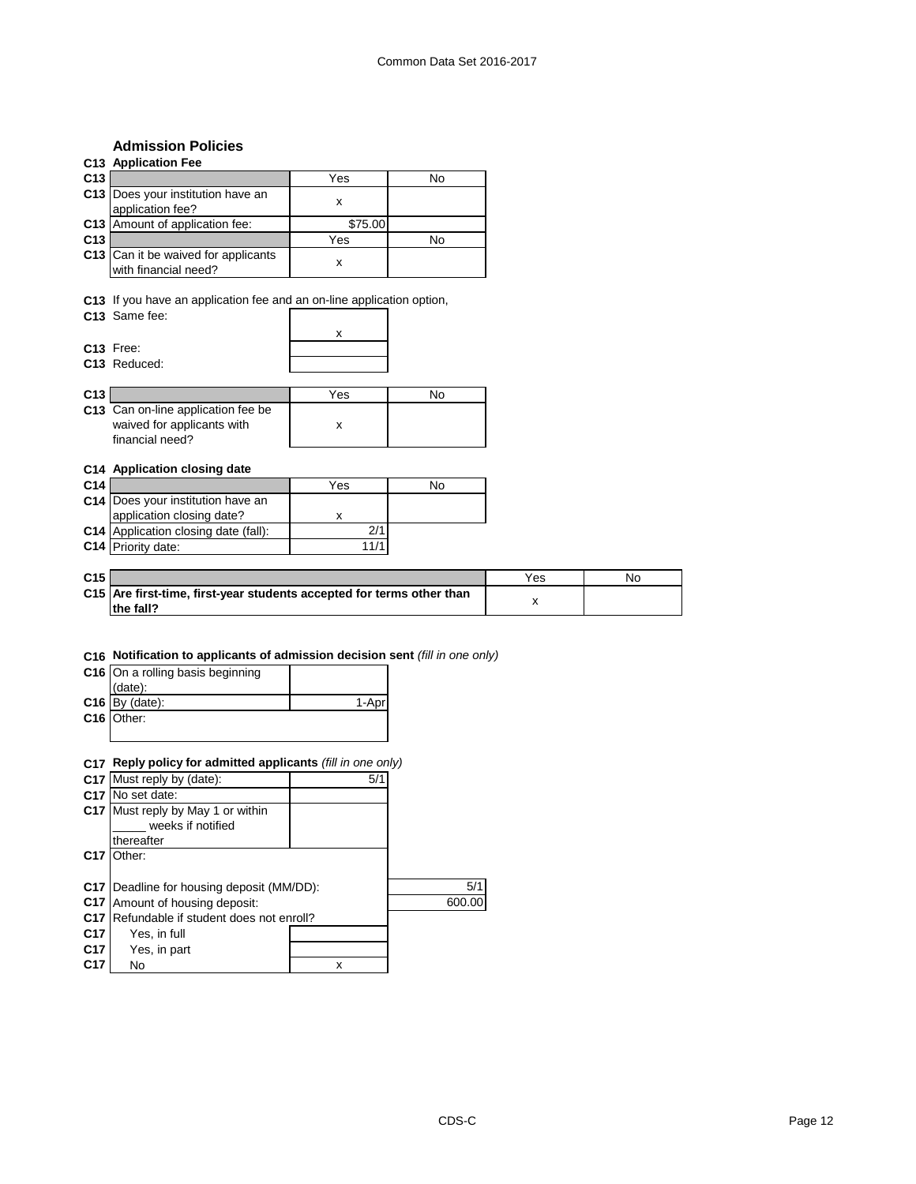# **Admission Policies**

|                 | <b>Admission Policies</b>                                                              |                    |           |     |           |
|-----------------|----------------------------------------------------------------------------------------|--------------------|-----------|-----|-----------|
|                 | <b>C13 Application Fee</b>                                                             |                    |           |     |           |
| C13             |                                                                                        | Yes                | <b>No</b> |     |           |
|                 | C13 Does your institution have an                                                      |                    |           |     |           |
|                 | application fee?                                                                       | $\pmb{\mathsf{x}}$ |           |     |           |
| C <sub>13</sub> | Amount of application fee:                                                             | \$75.00            |           |     |           |
| C13             |                                                                                        | Yes                | <b>No</b> |     |           |
|                 | C13 Can it be waived for applicants<br>with financial need?                            | X                  |           |     |           |
|                 | C13 If you have an application fee and an on-line application option,<br>C13 Same fee: |                    |           |     |           |
|                 |                                                                                        | x                  |           |     |           |
|                 | C13 Free:                                                                              |                    |           |     |           |
|                 | C13 Reduced:                                                                           |                    |           |     |           |
|                 |                                                                                        |                    |           |     |           |
| C13             |                                                                                        | Yes                | No        |     |           |
|                 | C13 Can on-line application fee be                                                     |                    |           |     |           |
|                 | waived for applicants with<br>financial need?                                          | X                  |           |     |           |
|                 | C14 Application closing date                                                           |                    |           |     |           |
| C <sub>14</sub> |                                                                                        | Yes                | No        |     |           |
|                 | C14   Does your institution have an                                                    |                    |           |     |           |
|                 | application closing date?                                                              | X                  |           |     |           |
|                 | C14 Application closing date (fall):                                                   | 2/1                |           |     |           |
|                 | C14 Priority date:                                                                     | 11/1               |           |     |           |
|                 |                                                                                        |                    |           |     |           |
| C15             |                                                                                        |                    |           | Yes | <b>No</b> |
|                 | C15 Are first-time, first-year students accepted for terms other than                  |                    |           | X   |           |
|                 | the fall?                                                                              |                    |           |     |           |
|                 |                                                                                        |                    |           |     |           |
|                 |                                                                                        |                    |           |     |           |
|                 | C16 Notification to applicants of admission decision sent (fill in one only)           |                    |           |     |           |
|                 | C16 On a rolling basis beginning                                                       |                    |           |     |           |
|                 | (date):                                                                                |                    |           |     |           |
|                 | $C16$ By (date):                                                                       | 1-Apr              |           |     |           |
|                 | C <sub>16</sub> Other:                                                                 |                    |           |     |           |
|                 |                                                                                        |                    |           |     |           |
|                 |                                                                                        |                    |           |     |           |
|                 | C17 Reply policy for admitted applicants (fill in one only)                            |                    |           |     |           |
| C17             | Must reply by (date):                                                                  | 5/1                |           |     |           |
|                 | C17 No set date:                                                                       |                    |           |     |           |
|                 | C17 Must reply by May 1 or within                                                      |                    |           |     |           |
|                 | weeks if notified                                                                      |                    |           |     |           |
|                 | thereafter                                                                             |                    |           |     |           |
| C17             | Other:                                                                                 |                    |           |     |           |
|                 |                                                                                        |                    |           |     |           |
|                 | C17   Deadline for housing deposit (MM/DD):                                            |                    | 5/1       |     |           |
| C17             | Amount of housing deposit:                                                             |                    | 600.00    |     |           |
| C <sub>17</sub> | Refundable if student does not enroll?                                                 |                    |           |     |           |
| C <sub>17</sub> | Yes, in full                                                                           |                    |           |     |           |
| C17             | Yes, in part                                                                           |                    |           |     |           |

**C17** No x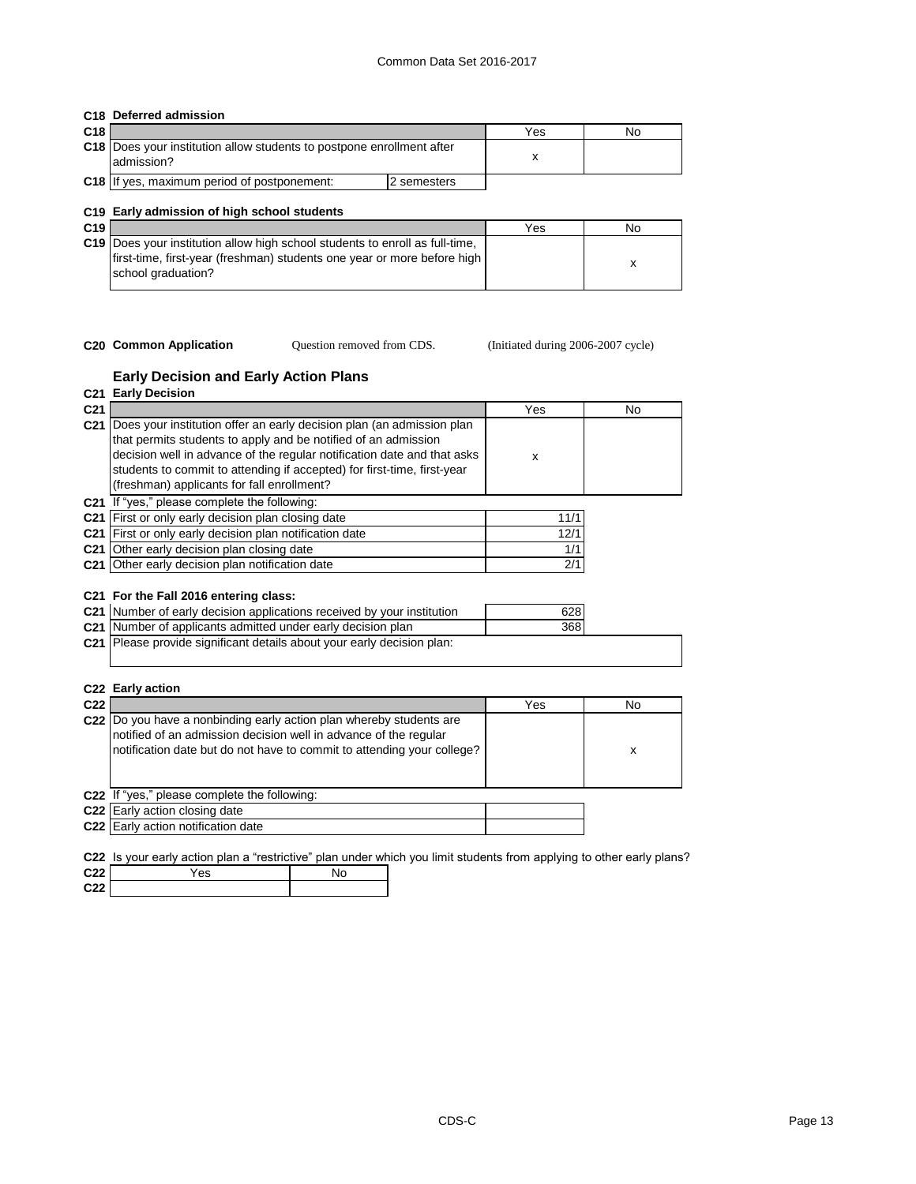#### **C18 Deferred admission**

| C18 |                                                                                      |             | Yes | No |
|-----|--------------------------------------------------------------------------------------|-------------|-----|----|
|     | C18 Does your institution allow students to postpone enrollment after<br>ladmission? |             |     |    |
|     | <b>C18</b> If yes, maximum period of postponement:                                   | 2 semesters |     |    |

#### **C19 Early admission of high school students**

| C <sub>19</sub> |                                                                                                                                                                                        | Yes | No |
|-----------------|----------------------------------------------------------------------------------------------------------------------------------------------------------------------------------------|-----|----|
|                 | <b>C19</b> Does your institution allow high school students to enroll as full-time,<br>first-time, first-year (freshman) students one year or more before high  <br>school graduation? |     |    |

Question removed from CDS.

**C20 Common Application** Question removed from CDS. (Initiated during 2006-2007 cycle)

#### **Early Decision and Early Action Plans C21 Early Decision**

| C <sub>21</sub> |                                                                                                                                                                                                                                                                                                                                             | Yes        | No |
|-----------------|---------------------------------------------------------------------------------------------------------------------------------------------------------------------------------------------------------------------------------------------------------------------------------------------------------------------------------------------|------------|----|
| C <sub>21</sub> | Does your institution offer an early decision plan (an admission plan<br>that permits students to apply and be notified of an admission<br>decision well in advance of the regular notification date and that asks<br>students to commit to attending if accepted) for first-time, first-year<br>(freshman) applicants for fall enrollment? | X          |    |
|                 | C21 If "yes," please complete the following:                                                                                                                                                                                                                                                                                                |            |    |
| C <sub>21</sub> | First or only early decision plan closing date                                                                                                                                                                                                                                                                                              | 11/1       |    |
| C <sub>21</sub> | First or only early decision plan notification date                                                                                                                                                                                                                                                                                         | 12/1       |    |
| C <sub>21</sub> | Other early decision plan closing date                                                                                                                                                                                                                                                                                                      | 1/1        |    |
|                 | C21 Other early decision plan notification date                                                                                                                                                                                                                                                                                             | 2/1        |    |
|                 | C21 For the Fall 2016 entering class:<br>C21 Number of early decision applications received by your institution<br>C21 Number of applicants admitted under early decision plan<br>C21 Please provide significant details about your early decision plan:                                                                                    | 628<br>368 |    |

#### **C22 Early action**

| C <sub>22</sub> |                                                                                                                                                                                                                   | Yes | No |
|-----------------|-------------------------------------------------------------------------------------------------------------------------------------------------------------------------------------------------------------------|-----|----|
|                 | C22 Do you have a nonbinding early action plan whereby students are<br>notified of an admission decision well in advance of the regular<br>notification date but do not have to commit to attending your college? |     | x  |
|                 | C22 If "yes," please complete the following:                                                                                                                                                                      |     |    |
|                 | C22 Early action closing date                                                                                                                                                                                     |     |    |
|                 | C22 Early action notification date                                                                                                                                                                                |     |    |
|                 |                                                                                                                                                                                                                   |     |    |

**C22** Is your early action plan a "restrictive" plan under which you limit students from applying to other early plans?

| C <sub>22</sub>             | 'es |  |
|-----------------------------|-----|--|
| $\sim$ $\sim$ $\sim$<br>C22 |     |  |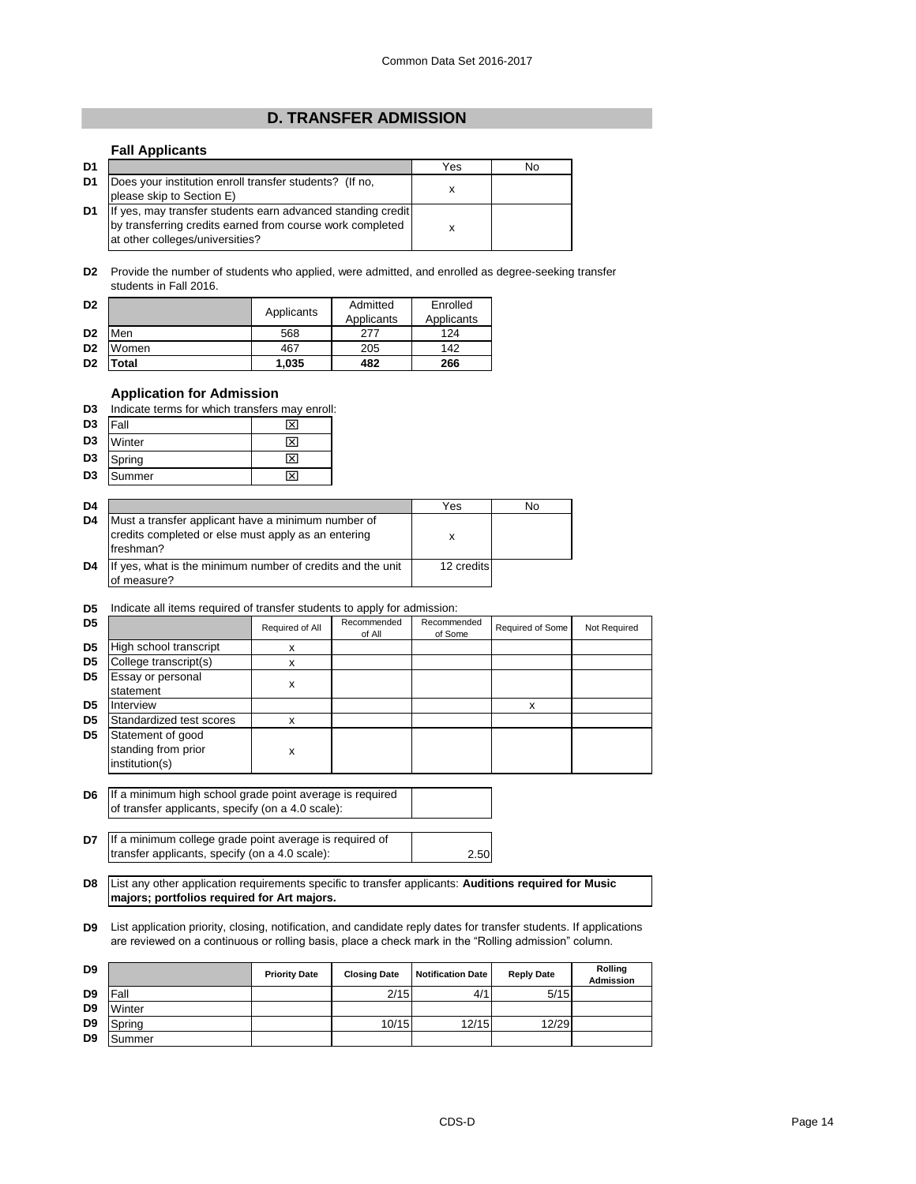## **D. TRANSFER ADMISSION**

## **Fall Applicants**

| D1 |                                                                                                                                                             | Yes | No |
|----|-------------------------------------------------------------------------------------------------------------------------------------------------------------|-----|----|
| D1 | Does your institution enroll transfer students? (If no,<br>please skip to Section E)                                                                        |     |    |
| D1 | If yes, may transfer students earn advanced standing credit<br>by transferring credits earned from course work completed<br>at other colleges/universities? |     |    |

**D2** Provide the number of students who applied, were admitted, and enrolled as degree-seeking transfer students in Fall 2016.

| D <sub>2</sub> |       |            | Admitted   | Enrolled   |
|----------------|-------|------------|------------|------------|
|                |       | Applicants | Applicants | Applicants |
| D <sub>2</sub> | Men   | 568        | 277        | 124        |
| D <sub>2</sub> | Women | 467        | 205        | 142        |
| D <sub>2</sub> | 'otal | 1,035      | 482        | 266        |

#### **Application for Admission**

|--|

| $D3$ Fall      |           |  |
|----------------|-----------|--|
| D <sub>3</sub> | Winter    |  |
|                | D3 Spring |  |
|                | D3 Summer |  |

| D4 |                                                                                                                        | Yes        | No |
|----|------------------------------------------------------------------------------------------------------------------------|------------|----|
| D4 | Must a transfer applicant have a minimum number of<br>credits completed or else must apply as an entering<br>freshman? | х          |    |
| D4 | If yes, what is the minimum number of credits and the unit<br>of measure?                                              | 12 credits |    |

#### **D5** Indicate all items required of transfer students to apply for admission:

| D <sub>5</sub> |                                                            | Required of All | Recommended<br>of All | Recommended<br>of Some | Required of Some | Not Required |
|----------------|------------------------------------------------------------|-----------------|-----------------------|------------------------|------------------|--------------|
| D <sub>5</sub> | High school transcript                                     | x               |                       |                        |                  |              |
| D <sub>5</sub> | College transcript(s)                                      | x               |                       |                        |                  |              |
| D <sub>5</sub> | Essay or personal<br>statement                             | x               |                       |                        |                  |              |
| D <sub>5</sub> | Interview                                                  |                 |                       |                        | x                |              |
| D <sub>5</sub> | Standardized test scores                                   | X               |                       |                        |                  |              |
| D <sub>5</sub> | Statement of good<br>standing from prior<br>institution(s) | x               |                       |                        |                  |              |

- **D6** If a minimum high school grade point average is required of transfer applicants, specify (on a 4.0 scale):
- **D7** If a minimum college grade point average is required of 2.50 transfer applicants, specify (on a 4.0 scale):
- **D8** List any other application requirements specific to transfer applicants: **Auditions required for Music majors; portfolios required for Art majors.**
- **D9** List application priority, closing, notification, and candidate reply dates for transfer students. If applications are reviewed on a continuous or rolling basis, place a check mark in the "Rolling admission" column.

| D <sub>9</sub> |               | <b>Priority Date</b> | <b>Closing Date</b> | <b>Notification Date</b> | <b>Reply Date</b> | <b>Rolling</b><br><b>Admission</b> |
|----------------|---------------|----------------------|---------------------|--------------------------|-------------------|------------------------------------|
| D <sub>9</sub> | Fall          |                      | 2/15                | 4/                       | 5/15              |                                    |
| D <sub>9</sub> | <b>Winter</b> |                      |                     |                          |                   |                                    |
| D <sub>9</sub> | Spring        |                      | 10/15               | 12/15                    | 12/29             |                                    |
| D <sub>9</sub> | <b>Summer</b> |                      |                     |                          |                   |                                    |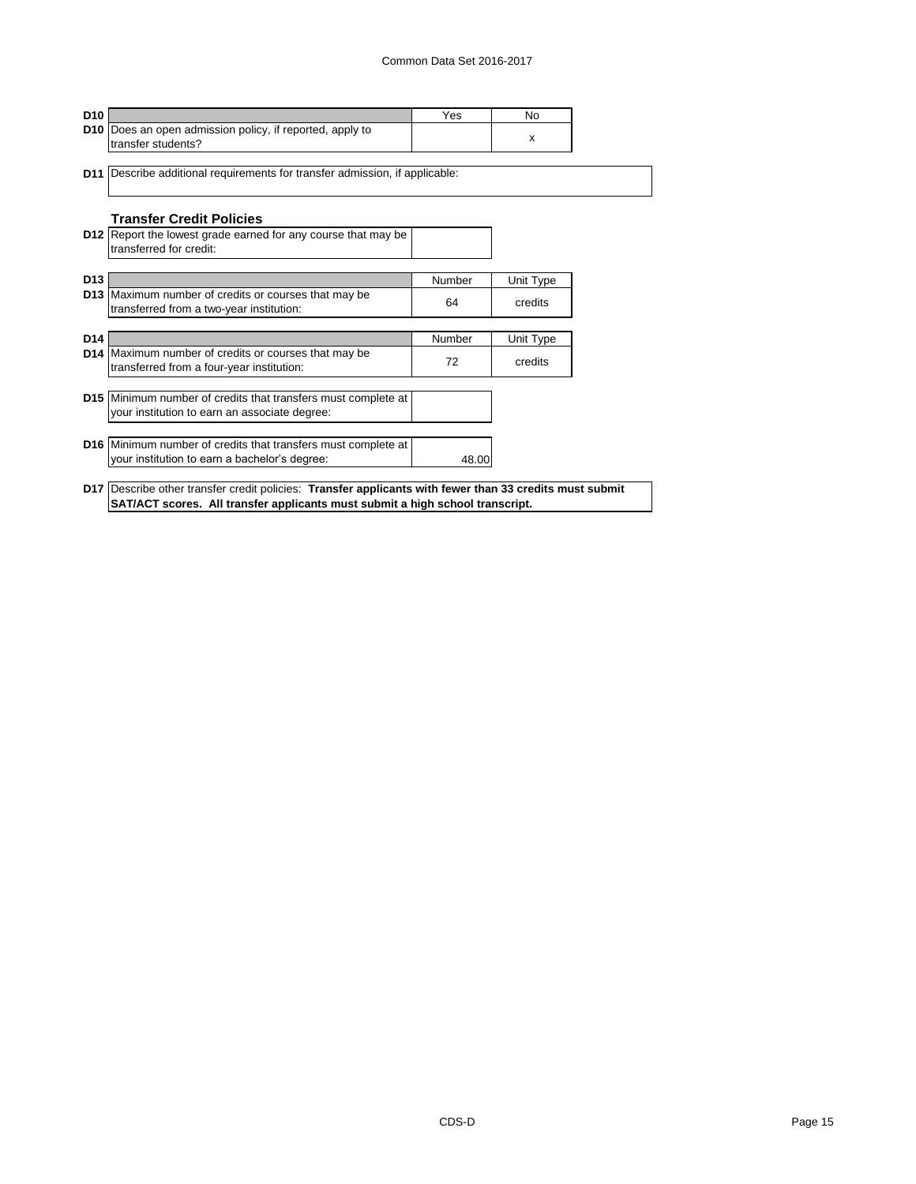#### Common Data Set 2016-2017

| <b>D10</b>                                                                                 | Yes           | No.       |
|--------------------------------------------------------------------------------------------|---------------|-----------|
| D10   Does an open admission policy, if reported, apply to<br>transfer students?           |               | X         |
| Describe additional requirements for transfer admission, if applicable:<br>D <sub>11</sub> |               |           |
|                                                                                            |               |           |
|                                                                                            |               |           |
| <b>Transfer Credit Policies</b>                                                            |               |           |
| D12 Report the lowest grade earned for any course that may be                              |               |           |
| transferred for credit:                                                                    |               |           |
| <b>D13</b>                                                                                 | <b>Number</b> | Unit Type |
| D13 Maximum number of credits or courses that may be                                       |               |           |
| transferred from a two-year institution:                                                   | 64            | credits   |
|                                                                                            |               |           |
| D <sub>14</sub>                                                                            | Number        | Unit Type |
| D14 Maximum number of credits or courses that may be                                       | 72            | credits   |
| transferred from a four-year institution:                                                  |               |           |
| D15 Minimum number of credits that transfers must complete at                              |               |           |
| your institution to earn an associate degree:                                              |               |           |
|                                                                                            |               |           |
| D16 Minimum number of credits that transfers must complete at                              |               |           |
| your institution to earn a bachelor's degree:                                              | 48.00         |           |

**SAT/ACT scores. All transfer applicants must submit a high school transcript.**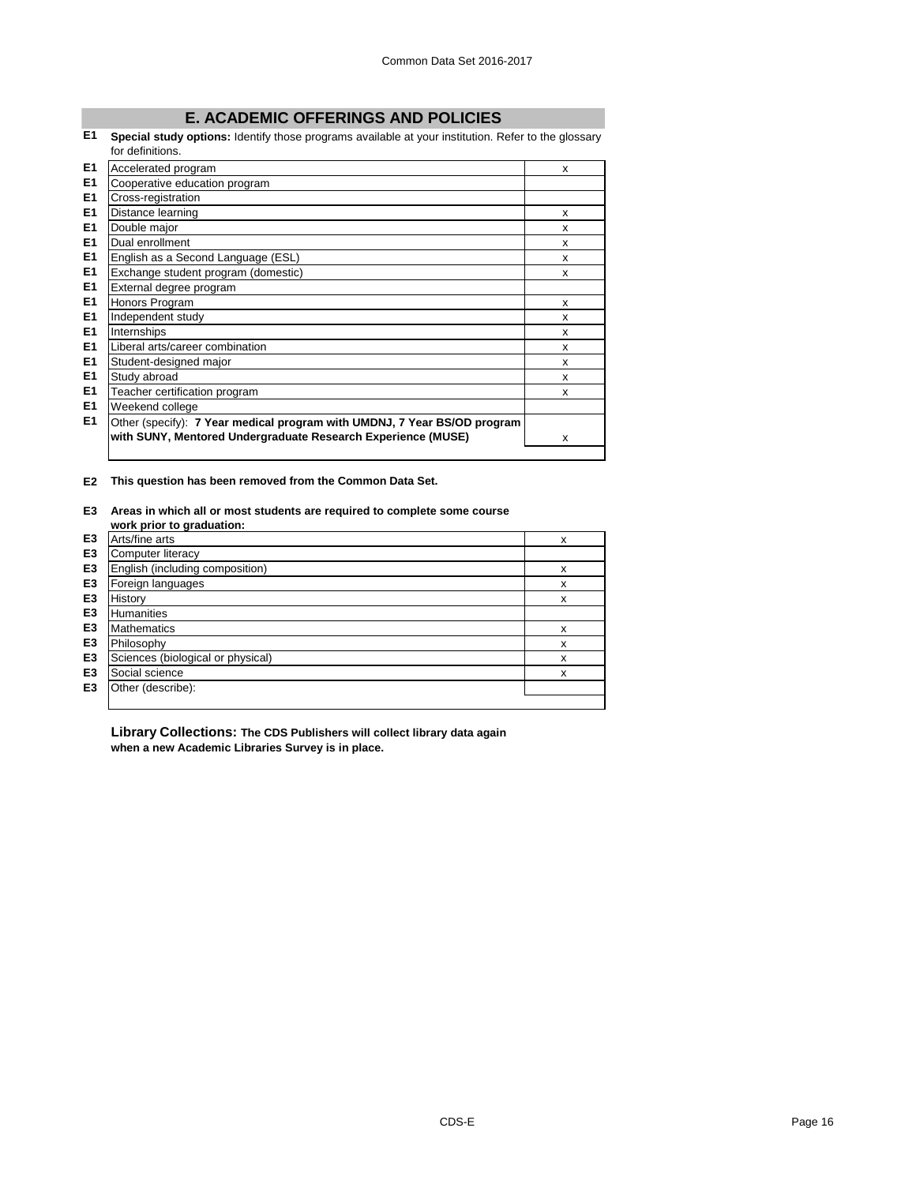# **E. ACADEMIC OFFERINGS AND POLICIES**

**E1 Special study options:** Identify those programs available at your institution. Refer to the glossary for definitions.

|    | טו שטווווווטווס.                                                         |   |
|----|--------------------------------------------------------------------------|---|
| E1 | Accelerated program                                                      | X |
| E1 | Cooperative education program                                            |   |
| E1 | Cross-registration                                                       |   |
| E1 | Distance learning                                                        | X |
| E1 | Double major                                                             | X |
| E1 | Dual enrollment                                                          | X |
| E1 | English as a Second Language (ESL)                                       | X |
| E1 | Exchange student program (domestic)                                      | X |
| E1 | External degree program                                                  |   |
| E1 | Honors Program                                                           | X |
| E1 | Independent study                                                        | X |
| E1 | Internships                                                              | X |
| E1 | Liberal arts/career combination                                          | X |
| E1 | Student-designed major                                                   | X |
| E1 | Study abroad                                                             | X |
| E1 | Teacher certification program                                            | X |
| E1 | Weekend college                                                          |   |
| E1 | Other (specify): 7 Year medical program with UMDNJ, 7 Year BS/OD program |   |
|    | with SUNY, Mentored Undergraduate Research Experience (MUSE)             | X |
|    |                                                                          |   |

**E2 This question has been removed from the Common Data Set.**

#### **E3 Areas in which all or most students are required to complete some course work prior to graduation:**

| E <sub>3</sub> | Arts/fine arts                    | X |
|----------------|-----------------------------------|---|
| E <sub>3</sub> | Computer literacy                 |   |
| E <sub>3</sub> | English (including composition)   | х |
| E <sub>3</sub> | Foreign languages                 | X |
| E <sub>3</sub> | History                           | X |
| E <sub>3</sub> | <b>Humanities</b>                 |   |
| E <sub>3</sub> | <b>Mathematics</b>                | x |
| E <sub>3</sub> | Philosophy                        | X |
| E <sub>3</sub> | Sciences (biological or physical) | X |
| E <sub>3</sub> | Social science                    | х |
| E <sub>3</sub> | Other (describe):                 |   |
|                |                                   |   |

**Library Collections: The CDS Publishers will collect library data again when a new Academic Libraries Survey is in place.**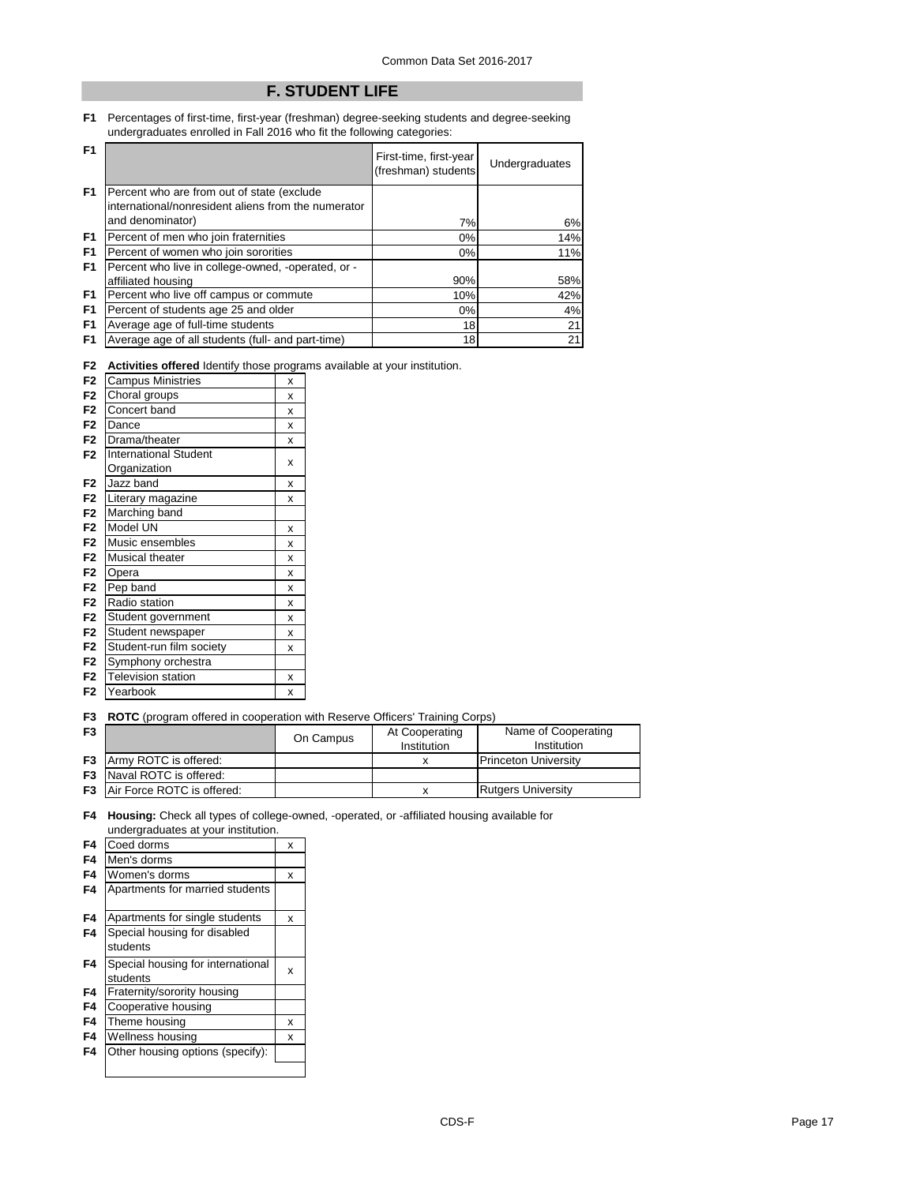# **F. STUDENT LIFE**

**F1** Percentages of first-time, first-year (freshman) degree-seeking students and degree-seeking undergraduates enrolled in Fall 2016 who fit the following categories:

| F <sub>1</sub> |                                                                                                   | First-time, first-year<br>(freshman) students | Undergraduates |
|----------------|---------------------------------------------------------------------------------------------------|-----------------------------------------------|----------------|
| F <sub>1</sub> | Percent who are from out of state (exclude<br>international/nonresident aliens from the numerator |                                               |                |
|                | and denominator)                                                                                  | 7%                                            | 6%             |
| F1             | Percent of men who join fraternities                                                              | $0\%$                                         | 14%            |
| F <sub>1</sub> | Percent of women who join sororities                                                              | $0\%$                                         | 11%            |
| F <sub>1</sub> | Percent who live in college-owned, -operated, or -                                                |                                               |                |
|                | affiliated housing                                                                                | 90%                                           | 58%            |
| F <sub>1</sub> | Percent who live off campus or commute                                                            | 10%                                           | 42%            |
| F <sub>1</sub> | Percent of students age 25 and older                                                              | $0\%$                                         | 4%             |
| F <sub>1</sub> | Average age of full-time students                                                                 | 18                                            | 21             |
| F <sub>1</sub> | Average age of all students (full- and part-time)                                                 | 18                                            | 21             |

**F2 Activities offered** Identify those programs available at your institution.

| F <sub>2</sub> | <b>Campus Ministries</b>     |             |  |
|----------------|------------------------------|-------------|--|
| F <sub>2</sub> | Choral groups                | x           |  |
| F <sub>2</sub> | Concert band                 | $\mathbf x$ |  |
| F <sub>2</sub> | Dance                        | X           |  |
| F <sub>2</sub> | Drama/theater                | X           |  |
| F <sub>2</sub> | <b>International Student</b> |             |  |
|                | Organization                 | X           |  |
| F <sub>2</sub> | Jazz band                    | X           |  |
| F <sub>2</sub> | Literary magazine            | x           |  |
| F <sub>2</sub> | Marching band                |             |  |
| F <sub>2</sub> | Model UN                     | X           |  |
| F <sub>2</sub> | Music ensembles              | X           |  |
| F <sub>2</sub> | Musical theater              | X           |  |
| F <sub>2</sub> | Opera                        | X           |  |
| F <sub>2</sub> | Pep band                     | X           |  |
| F <sub>2</sub> | Radio station                | x           |  |
| F <sub>2</sub> | Student government           | X           |  |
| F <sub>2</sub> | Student newspaper            | X           |  |
| F <sub>2</sub> | Student-run film society     | X           |  |
| F <sub>2</sub> | Symphony orchestra           |             |  |
| F <sub>2</sub> | <b>Television station</b>    | X           |  |
| F <sub>2</sub> | Yearbook                     | X           |  |

**F3 ROTC** (program offered in cooperation with Reserve Officers' Training Corps)

| F <sub>3</sub> |                                      | On Campus | At Cooperating<br>Institution | Name of Cooperating<br>Institution |
|----------------|--------------------------------------|-----------|-------------------------------|------------------------------------|
|                | <b>F3</b> Army ROTC is offered:      |           |                               | <b>Princeton University</b>        |
|                | <b>F3</b> Naval ROTC is offered:     |           |                               |                                    |
|                | <b>F3</b> Air Force ROTC is offered: |           |                               | <b>Rutgers University</b>          |

#### **F4 Housing:** Check all types of college-owned, -operated, or -affiliated housing available for undergraduates at your institution.

| F4             | Coed dorms                        | X |
|----------------|-----------------------------------|---|
| F4             | Men's dorms                       |   |
| F <sub>4</sub> | Women's dorms                     | X |
| F4             | Apartments for married students   |   |
| F4             | Apartments for single students    | x |
| F4             | Special housing for disabled      |   |
|                | students                          |   |
| F4             | Special housing for international | x |
|                | students                          |   |
| F4             | Fraternity/sorority housing       |   |
| F4             | Cooperative housing               |   |
| F4             | Theme housing                     | x |
| F4             | Wellness housing                  | x |
| F4             | Other housing options (specify):  |   |
|                |                                   |   |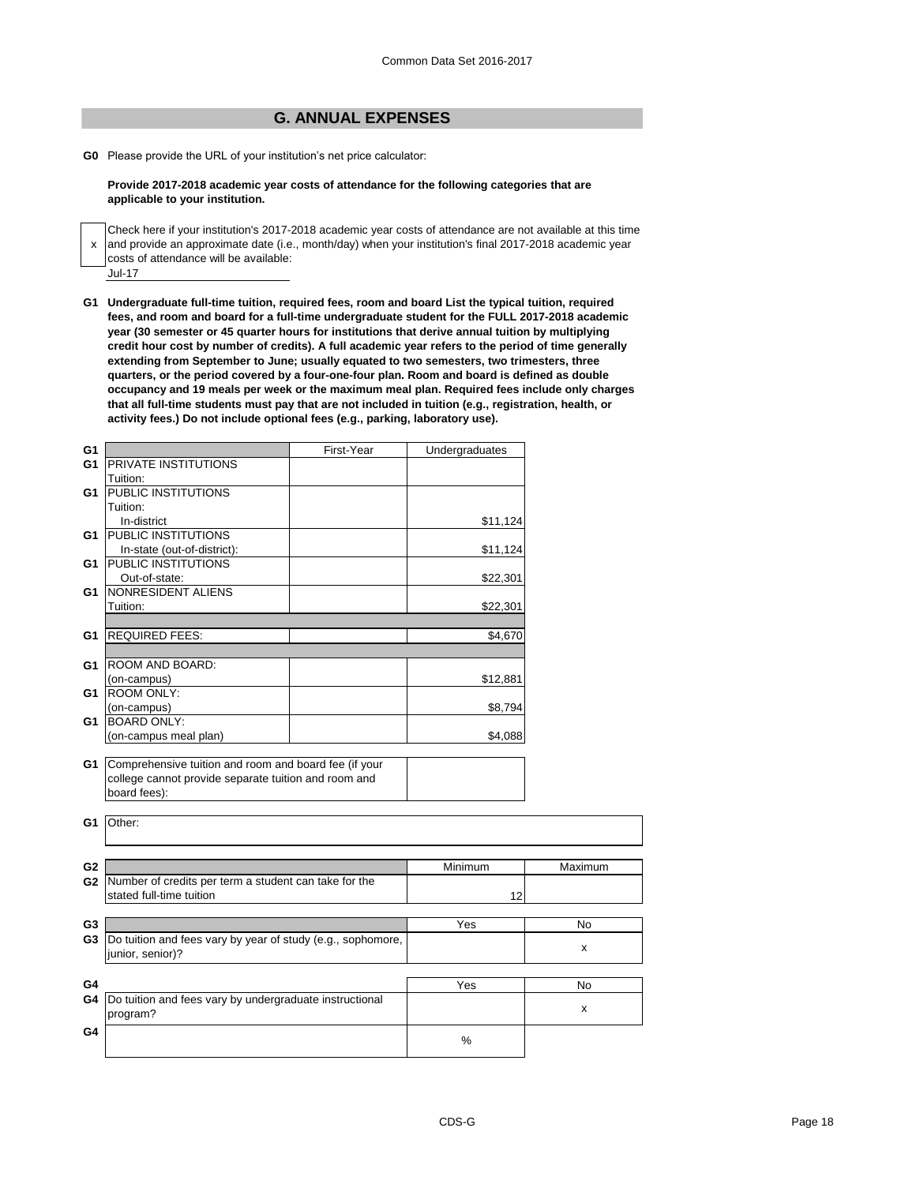## **G. ANNUAL EXPENSES**

**G0** Please provide the URL of your institution's net price calculator:

**Provide 2017-2018 academic year costs of attendance for the following categories that are applicable to your institution.**

x and provide an approximate date (i.e., month/day) when your institution's final 2017-2018 academic year Jul-17 Check here if your institution's 2017-2018 academic year costs of attendance are not available at this time costs of attendance will be available:

**G1 Undergraduate full-time tuition, required fees, room and board List the typical tuition, required fees, and room and board for a full-time undergraduate student for the FULL 2017-2018 academic year (30 semester or 45 quarter hours for institutions that derive annual tuition by multiplying credit hour cost by number of credits). A full academic year refers to the period of time generally extending from September to June; usually equated to two semesters, two trimesters, three quarters, or the period covered by a four-one-four plan. Room and board is defined as double occupancy and 19 meals per week or the maximum meal plan. Required fees include only charges that all full-time students must pay that are not included in tuition (e.g., registration, health, or activity fees.) Do not include optional fees (e.g., parking, laboratory use).**

| G <sub>1</sub> |                                                             | First-Year | Undergraduates |                    |
|----------------|-------------------------------------------------------------|------------|----------------|--------------------|
| G <sub>1</sub> | <b>PRIVATE INSTITUTIONS</b>                                 |            |                |                    |
|                | Tuition:                                                    |            |                |                    |
| G <sub>1</sub> | <b>PUBLIC INSTITUTIONS</b>                                  |            |                |                    |
|                | Tuition:                                                    |            |                |                    |
|                | In-district                                                 |            | \$11,124       |                    |
| G1             | <b>PUBLIC INSTITUTIONS</b>                                  |            |                |                    |
|                | In-state (out-of-district):                                 |            | \$11,124       |                    |
| G1             | <b>PUBLIC INSTITUTIONS</b>                                  |            |                |                    |
|                | Out-of-state:                                               |            | \$22,301       |                    |
| G1             | NONRESIDENT ALIENS                                          |            |                |                    |
|                | Tuition:                                                    |            | \$22,301       |                    |
|                |                                                             |            |                |                    |
| G <sub>1</sub> | <b>REQUIRED FEES:</b>                                       |            | \$4,670        |                    |
|                |                                                             |            |                |                    |
| G1             | ROOM AND BOARD:                                             |            |                |                    |
|                | (on-campus)                                                 |            | \$12,881       |                    |
| G <sub>1</sub> | <b>ROOM ONLY:</b>                                           |            |                |                    |
|                | (on-campus)                                                 |            | \$8,794        |                    |
| G1             | <b>BOARD ONLY:</b>                                          |            |                |                    |
|                | (on-campus meal plan)                                       |            | \$4,088        |                    |
|                |                                                             |            |                |                    |
| G <sub>1</sub> | Comprehensive tuition and room and board fee (if your       |            |                |                    |
|                | college cannot provide separate tuition and room and        |            |                |                    |
|                | board fees):                                                |            |                |                    |
|                |                                                             |            |                |                    |
| G1             | Other:                                                      |            |                |                    |
|                |                                                             |            |                |                    |
|                |                                                             |            |                |                    |
| G <sub>2</sub> |                                                             |            | Minimum        | Maximum            |
| G <sub>2</sub> | Number of credits per term a student can take for the       |            |                |                    |
|                | stated full-time tuition                                    |            | 12             |                    |
|                |                                                             |            |                |                    |
| G <sub>3</sub> |                                                             |            | Yes            | No                 |
| G <sub>3</sub> | Do tuition and fees vary by year of study (e.g., sophomore, |            |                |                    |
|                | junior, senior)?                                            |            |                | $\pmb{\mathsf{X}}$ |
|                |                                                             |            |                |                    |
| G4             |                                                             |            | Yes            | No                 |
| G4             | Do tuition and fees vary by undergraduate instructional     |            |                |                    |
|                | program?                                                    |            |                | $\pmb{\mathsf{x}}$ |
|                |                                                             |            |                |                    |
| G4             |                                                             |            | %              |                    |
|                |                                                             |            |                |                    |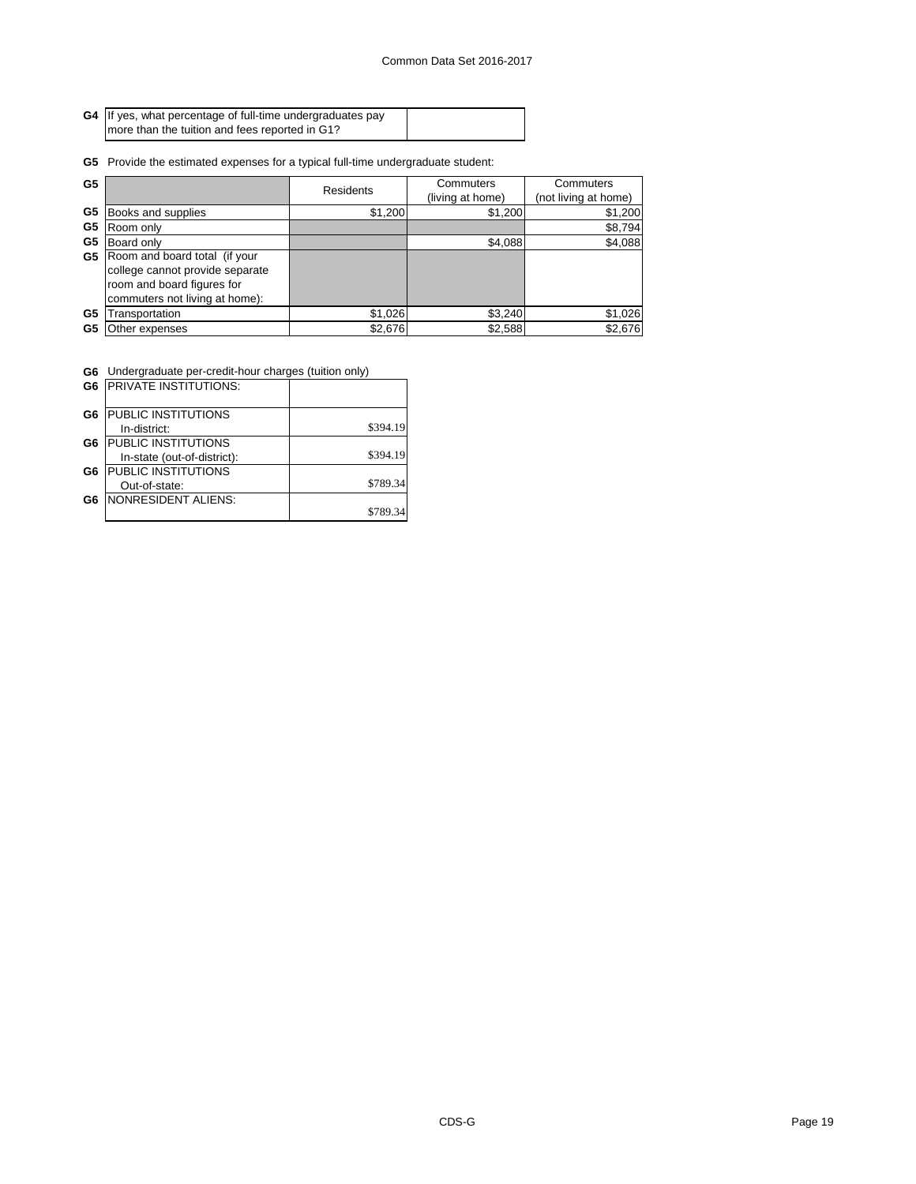| G4 If yes, what percentage of full-time undergraduates pay |  |
|------------------------------------------------------------|--|
| I more than the tuition and fees reported in G1?           |  |

**G5** Provide the estimated expenses for a typical full-time undergraduate student:

| G <sub>5</sub> |                                 | <b>Residents</b> | Commuters        | Commuters            |
|----------------|---------------------------------|------------------|------------------|----------------------|
|                |                                 |                  | (living at home) | (not living at home) |
| G <sub>5</sub> | Books and supplies              | \$1,200          | \$1,200          | \$1,200              |
| G <sub>5</sub> | Room only                       |                  |                  | \$8,794              |
| G <sub>5</sub> | Board only                      |                  | \$4,088          | \$4,088              |
| G <sub>5</sub> | Room and board total (if your   |                  |                  |                      |
|                | college cannot provide separate |                  |                  |                      |
|                | room and board figures for      |                  |                  |                      |
|                | commuters not living at home):  |                  |                  |                      |
| G <sub>5</sub> | ransportation                   | \$1,026          | \$3,240          | \$1,026              |
| G5             | Other expenses                  | \$2,676          | \$2,588          | \$2,676              |

 $\overline{\phantom{0}}$ 

**G6** Undergraduate per-credit-hour charges (tuition only)

| G <sub>6</sub> | <b>PRIVATE INSTITUTIONS:</b> |          |
|----------------|------------------------------|----------|
| G6             | PUBLIC INSTITUTIONS          |          |
|                | In-district:                 | \$394.19 |
| G6             | PUBLIC INSTITUTIONS          |          |
|                | In-state (out-of-district):  | \$394.19 |
| G6             | PUBLIC INSTITUTIONS          |          |
|                | Out-of-state:                | \$789.34 |
| G6             | <b>NONRESIDENT ALIENS:</b>   |          |
|                |                              |          |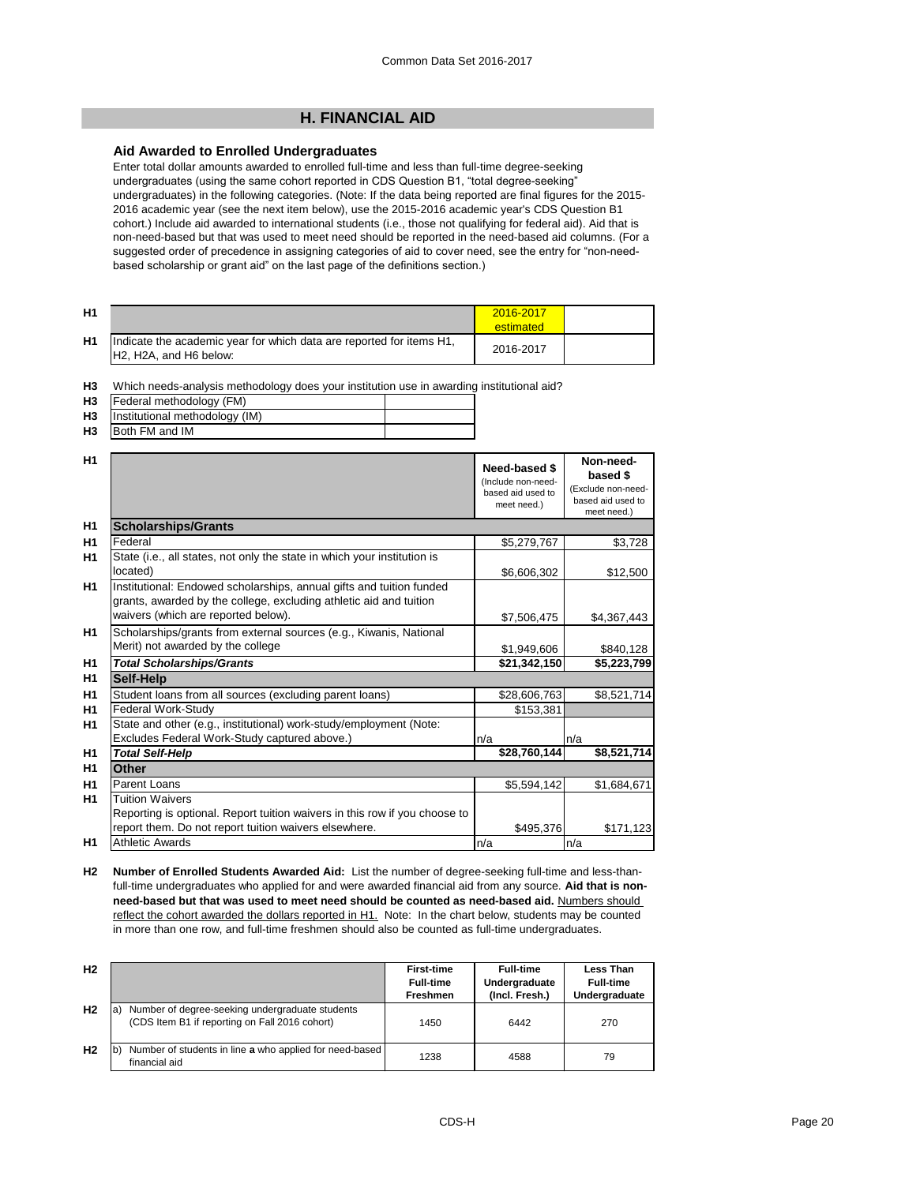## **H. FINANCIAL AID**

#### **Aid Awarded to Enrolled Undergraduates**

Enter total dollar amounts awarded to enrolled full-time and less than full-time degree-seeking undergraduates (using the same cohort reported in CDS Question B1, "total degree-seeking" undergraduates) in the following categories. (Note: If the data being reported are final figures for the 2015- 2016 academic year (see the next item below), use the 2015-2016 academic year's CDS Question B1 cohort.) Include aid awarded to international students (i.e., those not qualifying for federal aid). Aid that is non-need-based but that was used to meet need should be reported in the need-based aid columns. (For a suggested order of precedence in assigning categories of aid to cover need, see the entry for "non-needbased scholarship or grant aid" on the last page of the definitions section.)

| H <sub>1</sub> |                                                                                                                                      | 2016-2017<br>estimated |  |
|----------------|--------------------------------------------------------------------------------------------------------------------------------------|------------------------|--|
| H <sub>1</sub> | Indicate the academic year for which data are reported for items H1,<br>H <sub>2</sub> , H <sub>2</sub> A, and H <sub>6</sub> below: | 2016-2017              |  |

**H3** Which needs-analysis methodology does your institution use in awarding institutional aid?

| H3        | Federal methodology (FM)       |  |
|-----------|--------------------------------|--|
| <b>H3</b> | Institutional methodology (IM) |  |
|           |                                |  |

| H <sub>3</sub> | Both FM and IM |  |
|----------------|----------------|--|
|                |                |  |

| H1<br><b>Scholarships/Grants</b><br>H1<br>Federal<br>\$5,279,767<br>\$3,728<br>State (i.e., all states, not only the state in which your institution is<br>H1<br>located)<br>\$6,606,302<br>\$12,500<br>H1<br>Institutional: Endowed scholarships, annual gifts and tuition funded<br>grants, awarded by the college, excluding athletic aid and tuition<br>waivers (which are reported below).<br>\$4,367,443<br>\$7,506,475<br>Scholarships/grants from external sources (e.g., Kiwanis, National<br>H1<br>Merit) not awarded by the college<br>\$1,949,606<br>\$840,128<br>\$21,342,150<br>H <sub>1</sub><br><b>Total Scholarships/Grants</b><br>H <sub>1</sub><br><b>Self-Help</b><br>H1<br>Student loans from all sources (excluding parent loans)<br>\$28,606,763<br><b>Federal Work-Study</b><br>\$153,381<br>H <sub>1</sub><br>State and other (e.g., institutional) work-study/employment (Note:<br>H <sub>1</sub><br>Excludes Federal Work-Study captured above.)<br>n/a<br>n/a<br>\$28,760,144<br>H <sub>1</sub><br><b>Total Self-Help</b><br>H1<br><b>Other</b><br>H1<br><b>Parent Loans</b><br>\$5,594,142<br>\$1,684,671<br><b>Tuition Waivers</b><br>H <sub>1</sub><br>Reporting is optional. Report tuition waivers in this row if you choose to<br>report them. Do not report tuition waivers elsewhere.<br>\$495,376<br>\$171,123 | H <sub>1</sub> |                        | <b>Need-based \$</b><br>(Include non-need-<br>based aid used to<br>meet need.) | Non-need-<br>based \$<br>(Exclude non-need-<br>based aid used to<br>meet need.) |
|-----------------------------------------------------------------------------------------------------------------------------------------------------------------------------------------------------------------------------------------------------------------------------------------------------------------------------------------------------------------------------------------------------------------------------------------------------------------------------------------------------------------------------------------------------------------------------------------------------------------------------------------------------------------------------------------------------------------------------------------------------------------------------------------------------------------------------------------------------------------------------------------------------------------------------------------------------------------------------------------------------------------------------------------------------------------------------------------------------------------------------------------------------------------------------------------------------------------------------------------------------------------------------------------------------------------------------------------------------|----------------|------------------------|--------------------------------------------------------------------------------|---------------------------------------------------------------------------------|
|                                                                                                                                                                                                                                                                                                                                                                                                                                                                                                                                                                                                                                                                                                                                                                                                                                                                                                                                                                                                                                                                                                                                                                                                                                                                                                                                                     |                |                        |                                                                                |                                                                                 |
|                                                                                                                                                                                                                                                                                                                                                                                                                                                                                                                                                                                                                                                                                                                                                                                                                                                                                                                                                                                                                                                                                                                                                                                                                                                                                                                                                     |                |                        |                                                                                |                                                                                 |
|                                                                                                                                                                                                                                                                                                                                                                                                                                                                                                                                                                                                                                                                                                                                                                                                                                                                                                                                                                                                                                                                                                                                                                                                                                                                                                                                                     |                |                        |                                                                                |                                                                                 |
|                                                                                                                                                                                                                                                                                                                                                                                                                                                                                                                                                                                                                                                                                                                                                                                                                                                                                                                                                                                                                                                                                                                                                                                                                                                                                                                                                     |                |                        |                                                                                |                                                                                 |
|                                                                                                                                                                                                                                                                                                                                                                                                                                                                                                                                                                                                                                                                                                                                                                                                                                                                                                                                                                                                                                                                                                                                                                                                                                                                                                                                                     |                |                        |                                                                                |                                                                                 |
|                                                                                                                                                                                                                                                                                                                                                                                                                                                                                                                                                                                                                                                                                                                                                                                                                                                                                                                                                                                                                                                                                                                                                                                                                                                                                                                                                     |                |                        |                                                                                | \$5,223,799                                                                     |
|                                                                                                                                                                                                                                                                                                                                                                                                                                                                                                                                                                                                                                                                                                                                                                                                                                                                                                                                                                                                                                                                                                                                                                                                                                                                                                                                                     |                |                        |                                                                                |                                                                                 |
|                                                                                                                                                                                                                                                                                                                                                                                                                                                                                                                                                                                                                                                                                                                                                                                                                                                                                                                                                                                                                                                                                                                                                                                                                                                                                                                                                     |                |                        |                                                                                | \$8,521,714                                                                     |
|                                                                                                                                                                                                                                                                                                                                                                                                                                                                                                                                                                                                                                                                                                                                                                                                                                                                                                                                                                                                                                                                                                                                                                                                                                                                                                                                                     |                |                        |                                                                                |                                                                                 |
|                                                                                                                                                                                                                                                                                                                                                                                                                                                                                                                                                                                                                                                                                                                                                                                                                                                                                                                                                                                                                                                                                                                                                                                                                                                                                                                                                     |                |                        |                                                                                |                                                                                 |
|                                                                                                                                                                                                                                                                                                                                                                                                                                                                                                                                                                                                                                                                                                                                                                                                                                                                                                                                                                                                                                                                                                                                                                                                                                                                                                                                                     |                |                        |                                                                                | \$8,521,714                                                                     |
|                                                                                                                                                                                                                                                                                                                                                                                                                                                                                                                                                                                                                                                                                                                                                                                                                                                                                                                                                                                                                                                                                                                                                                                                                                                                                                                                                     |                |                        |                                                                                |                                                                                 |
|                                                                                                                                                                                                                                                                                                                                                                                                                                                                                                                                                                                                                                                                                                                                                                                                                                                                                                                                                                                                                                                                                                                                                                                                                                                                                                                                                     |                |                        |                                                                                |                                                                                 |
|                                                                                                                                                                                                                                                                                                                                                                                                                                                                                                                                                                                                                                                                                                                                                                                                                                                                                                                                                                                                                                                                                                                                                                                                                                                                                                                                                     |                |                        |                                                                                |                                                                                 |
|                                                                                                                                                                                                                                                                                                                                                                                                                                                                                                                                                                                                                                                                                                                                                                                                                                                                                                                                                                                                                                                                                                                                                                                                                                                                                                                                                     | H1             | <b>Athletic Awards</b> | n/a                                                                            | n/a                                                                             |

**H2 Number of Enrolled Students Awarded Aid:** List the number of degree-seeking full-time and less-thanfull-time undergraduates who applied for and were awarded financial aid from any source. **Aid that is nonneed-based but that was used to meet need should be counted as need-based aid.** Numbers should reflect the cohort awarded the dollars reported in H1. Note: In the chart below, students may be counted in more than one row, and full-time freshmen should also be counted as full-time undergraduates.

| H <sub>2</sub> |                                                                                                         | <b>First-time</b><br><b>Full-time</b><br><b>Freshmen</b> | <b>Full-time</b><br>Undergraduate<br>(Incl. Fresh.) | <b>Less Than</b><br><b>Full-time</b><br>Undergraduate |
|----------------|---------------------------------------------------------------------------------------------------------|----------------------------------------------------------|-----------------------------------------------------|-------------------------------------------------------|
| H <sub>2</sub> | Number of degree-seeking undergraduate students<br>ıa<br>(CDS Item B1 if reporting on Fall 2016 cohort) | 1450                                                     | 6442                                                | 270                                                   |
| H <sub>2</sub> | Number of students in line a who applied for need-based<br>financial aid                                | 1238                                                     | 4588                                                | 79                                                    |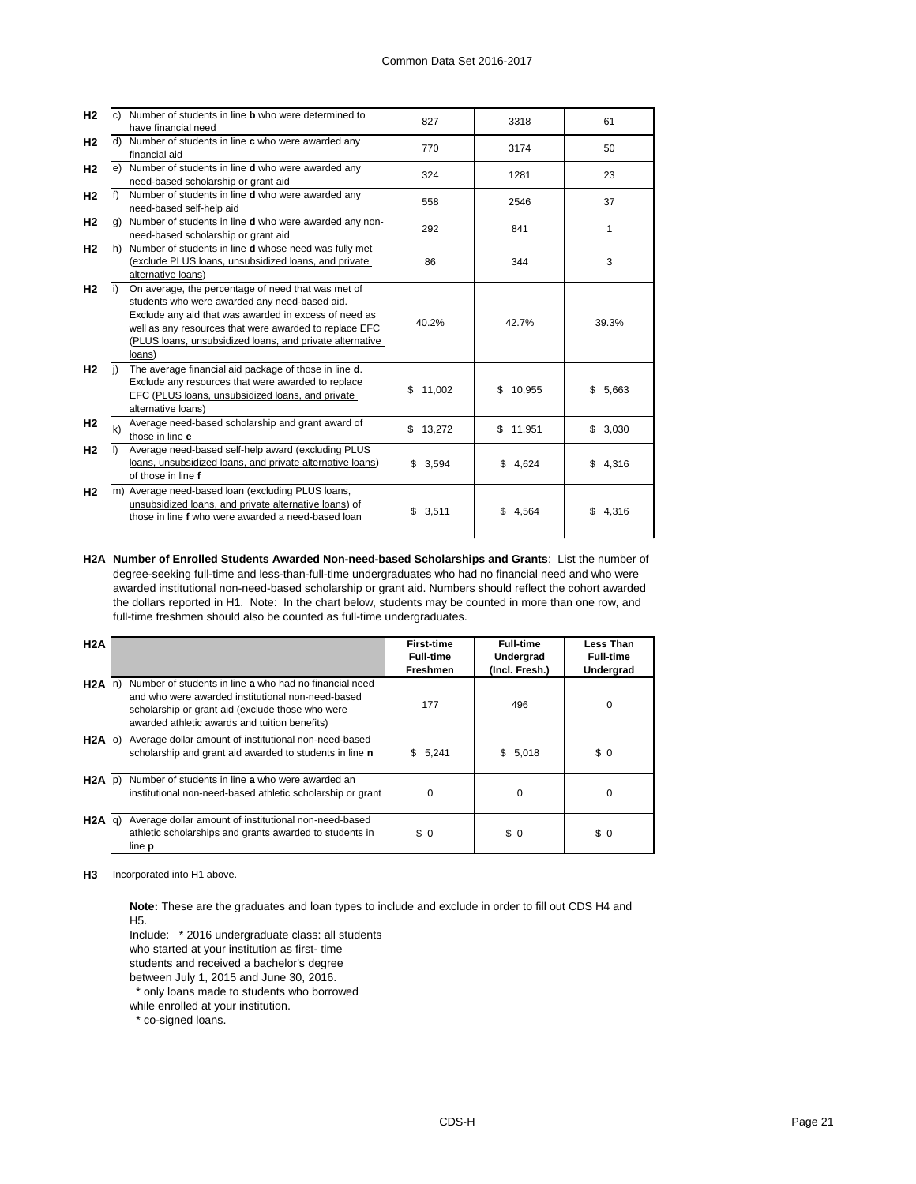| H <sub>2</sub> | C)                | Number of students in line <b>b</b> who were determined to |               |              |             |  |
|----------------|-------------------|------------------------------------------------------------|---------------|--------------|-------------|--|
|                |                   | have financial need                                        | 827<br>3318   |              | 61          |  |
|                |                   |                                                            |               |              |             |  |
| H <sub>2</sub> | d)                | Number of students in line c who were awarded any          | 770           | 3174         | 50          |  |
|                |                   | financial aid                                              |               |              |             |  |
| H <sub>2</sub> |                   | e) Number of students in line d who were awarded any       | 324           | 1281         | 23          |  |
|                |                   | need-based scholarship or grant aid                        |               |              |             |  |
| H <sub>2</sub> | $\vert f \rangle$ | Number of students in line d who were awarded any          | 558           | 2546         | 37          |  |
|                |                   | need-based self-help aid                                   |               |              |             |  |
| H <sub>2</sub> | g)                | Number of students in line d who were awarded any non-     |               |              |             |  |
|                |                   | need-based scholarship or grant aid                        | 292           | 841          | 1           |  |
| H <sub>2</sub> | lh)               | Number of students in line d whose need was fully met      |               |              |             |  |
|                |                   | (exclude PLUS loans, unsubsidized loans, and private       | 86            | 344          | 3           |  |
|                |                   | alternative loans)                                         |               |              |             |  |
| H <sub>2</sub> |                   | On average, the percentage of need that was met of         |               |              |             |  |
|                |                   | students who were awarded any need-based aid.              |               |              |             |  |
|                |                   |                                                            |               |              | 39.3%       |  |
|                |                   | Exclude any aid that was awarded in excess of need as      | 40.2%         | 42.7%        |             |  |
|                |                   | well as any resources that were awarded to replace EFC     |               |              |             |  |
|                |                   | (PLUS loans, unsubsidized loans, and private alternative   |               |              |             |  |
|                |                   | loans)                                                     |               |              |             |  |
| H <sub>2</sub> |                   | The average financial aid package of those in line d.      |               |              |             |  |
|                |                   | Exclude any resources that were awarded to replace         |               |              |             |  |
|                |                   | EFC (PLUS loans, unsubsidized loans, and private           | \$<br>11,002  | 10,955<br>\$ | \$<br>5,663 |  |
|                |                   | alternative loans)                                         |               |              |             |  |
| H <sub>2</sub> |                   | Average need-based scholarship and grant award of          |               |              |             |  |
|                | $\mathsf{k}$      | those in line e                                            | \$13,272      | \$11,951     | \$3,030     |  |
| H <sub>2</sub> |                   | Average need-based self-help award (excluding PLUS         |               |              |             |  |
|                |                   | loans, unsubsidized loans, and private alternative loans)  | \$3,594       | \$<br>4.624  | 4,316<br>\$ |  |
|                |                   | of those in line f                                         |               |              |             |  |
|                |                   |                                                            |               |              |             |  |
| H <sub>2</sub> |                   | m) Average need-based loan (excluding PLUS loans,          |               |              |             |  |
|                |                   | unsubsidized loans, and private alternative loans) of      | \$3,511<br>\$ | 4,564        | \$<br>4,316 |  |
|                |                   | those in line f who were awarded a need-based loan         |               |              |             |  |
|                |                   |                                                            |               |              |             |  |

**H2A Number of Enrolled Students Awarded Non-need-based Scholarships and Grants**: List the number of degree-seeking full-time and less-than-full-time undergraduates who had no financial need and who were awarded institutional non-need-based scholarship or grant aid. Numbers should reflect the cohort awarded the dollars reported in H1. Note: In the chart below, students may be counted in more than one row, and full-time freshmen should also be counted as full-time undergraduates.

| H2A               |       |                                                                                                                                                                                                                  | <b>First-time</b><br><b>Full-time</b><br><b>Freshmen</b> | <b>Full-time</b><br><b>Undergrad</b><br>(Incl. Fresh.) |          |
|-------------------|-------|------------------------------------------------------------------------------------------------------------------------------------------------------------------------------------------------------------------|----------------------------------------------------------|--------------------------------------------------------|----------|
| H <sub>2</sub> A  | $\ln$ | Number of students in line a who had no financial need<br>and who were awarded institutional non-need-based<br>scholarship or grant aid (exclude those who were<br>awarded athletic awards and tuition benefits) | 177                                                      | 496                                                    | $\Omega$ |
| $H2A$ (o)         |       | Average dollar amount of institutional non-need-based<br>scholarship and grant aid awarded to students in line n                                                                                                 | \$5,241                                                  | \$5,018                                                | \$0      |
| $H2A$ $ p\rangle$ |       | Number of students in line a who were awarded an<br>institutional non-need-based athletic scholarship or grant                                                                                                   | 0                                                        | 0                                                      | $\Omega$ |
| H <sub>2</sub> A  | lg)   | Average dollar amount of institutional non-need-based<br>athletic scholarships and grants awarded to students in<br>line <b>p</b>                                                                                | \$0                                                      | \$0                                                    | \$0      |

**H3** Incorporated into H1 above.

**Note:** These are the graduates and loan types to include and exclude in order to fill out CDS H4 and H5.

Include: \* 2016 undergraduate class: all students

who started at your institution as first- time

students and received a bachelor's degree

between July 1, 2015 and June 30, 2016.

\* only loans made to students who borrowed

while enrolled at your institution.

\* co-signed loans.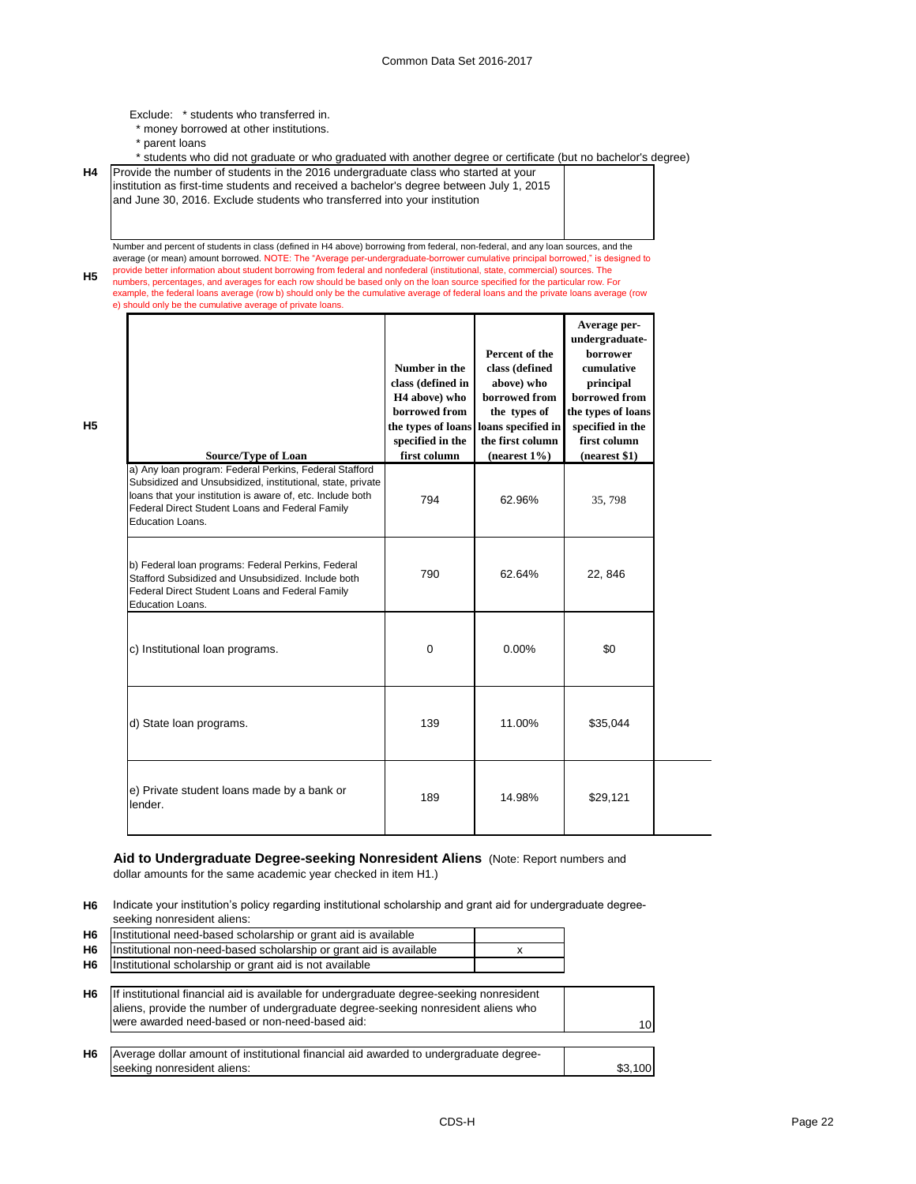Exclude: \* students who transferred in.

- \* money borrowed at other institutions.
- \* parent loans

**H5**

Г

 $\mathbf{I}$ 

**H5**

\* students who did not graduate or who graduated with another degree or certificate (but no bachelor's degree)

**H4** Provide the number of students in the 2016 undergraduate class who started at your institution as first-time students and received a bachelor's degree between July 1, 2015 and June 30, 2016. Exclude students who transferred into your institution

Number and percent of students in class (defined in H4 above) borrowing from federal, non-federal, and any loan sources, and the average (or mean) amount borrowed. NOTE: The "Average per-undergraduate-borrower cumulative principal borrowed," is designed to provide better information about student borrowing from federal and nonfederal (institutional, state, commercial) sources. The numbers, percentages, and averages for each row should be based only on the loan source specified for the particular row. For

example, the federal loans average (row b) should only be the cumulative average of federal loans and the private loans average (row e) should only be the cumulative average of private loans.

| <b>Source/Type of Loan</b>                                                                                                                                                                                                                                       | Number in the<br>class (defined in<br>H <sub>4</sub> above) who<br>borrowed from<br>the types of loans<br>specified in the<br>first column | Percent of the<br>class (defined<br>above) who<br>borrowed from<br>the types of<br>loans specified in<br>the first column<br>(nearest $1\%$ ) | Average per-<br>undergraduate-<br>borrower<br>cumulative<br>principal<br>borrowed from<br>the types of loans<br>specified in the<br>first column<br>(nearest \$1) |
|------------------------------------------------------------------------------------------------------------------------------------------------------------------------------------------------------------------------------------------------------------------|--------------------------------------------------------------------------------------------------------------------------------------------|-----------------------------------------------------------------------------------------------------------------------------------------------|-------------------------------------------------------------------------------------------------------------------------------------------------------------------|
| a) Any loan program: Federal Perkins, Federal Stafford<br>Subsidized and Unsubsidized, institutional, state, private<br>loans that your institution is aware of, etc. Include both<br>Federal Direct Student Loans and Federal Family<br><b>Education Loans.</b> | 794                                                                                                                                        | 62.96%                                                                                                                                        | 35,798                                                                                                                                                            |
| b) Federal loan programs: Federal Perkins, Federal<br>Stafford Subsidized and Unsubsidized. Include both<br>Federal Direct Student Loans and Federal Family<br>Education Loans.                                                                                  | 790                                                                                                                                        | 62.64%                                                                                                                                        | 22, 846                                                                                                                                                           |
| c) Institutional loan programs.                                                                                                                                                                                                                                  | 0                                                                                                                                          | 0.00%                                                                                                                                         | \$0                                                                                                                                                               |
| d) State loan programs.                                                                                                                                                                                                                                          | 139                                                                                                                                        | 11.00%                                                                                                                                        | \$35,044                                                                                                                                                          |
| e) Private student loans made by a bank or<br>lender.                                                                                                                                                                                                            | 189                                                                                                                                        | 14.98%                                                                                                                                        | \$29,121                                                                                                                                                          |

**Aid to Undergraduate Degree-seeking Nonresident Aliens** (Note: Report numbers and dollar amounts for the same academic year checked in item H1.)

**H6** Indicate your institution's policy regarding institutional scholarship and grant aid for undergraduate degreeseeking nonresident aliens:

| H <sub>6</sub> | Institutional need-based scholarship or grant aid is available                                                                                                                                                                  |      |
|----------------|---------------------------------------------------------------------------------------------------------------------------------------------------------------------------------------------------------------------------------|------|
| H <sub>6</sub> | Institutional non-need-based scholarship or grant aid is available                                                                                                                                                              |      |
| H <sub>6</sub> | Institutional scholarship or grant aid is not available                                                                                                                                                                         |      |
|                |                                                                                                                                                                                                                                 |      |
| H6             | If institutional financial aid is available for undergraduate degree-seeking nonresident<br>aliens, provide the number of undergraduate degree-seeking nonresident aliens who<br>were awarded need-based or non-need-based aid: | 10   |
|                |                                                                                                                                                                                                                                 |      |
| H <sub>6</sub> | Average dollar amount of institutional financial aid awarded to undergraduate degree-                                                                                                                                           |      |
|                | seeking nonresident aliens:                                                                                                                                                                                                     | .100 |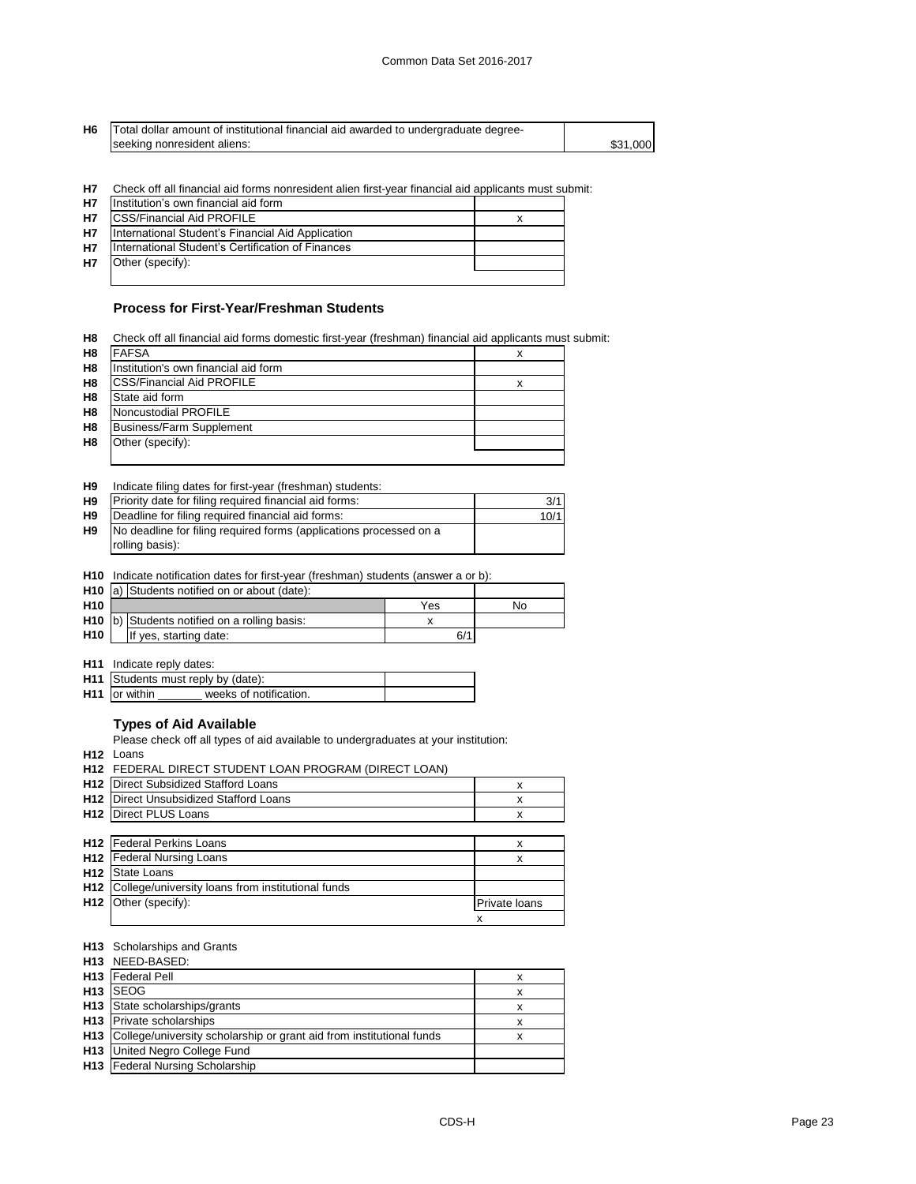\$31,000

**H6** Total dollar amount of institutional financial aid awarded to undergraduate degreeseeking nonresident aliens:

**H7** Check off all financial aid forms nonresident alien first-year financial aid applicants must submit:

| <b>H7</b> | Institution's own financial aid form              |  |
|-----------|---------------------------------------------------|--|
| <b>H7</b> | <b>CSS/Financial Aid PROFILE</b>                  |  |
| <b>H7</b> | International Student's Financial Aid Application |  |
| <b>H7</b> | International Student's Certification of Finances |  |
| <b>H7</b> | Other (specify):                                  |  |
|           |                                                   |  |

## **Process for First-Year/Freshman Students**

| H <sub>8</sub> | Check off all financial aid forms domestic first-year (freshman) financial aid applicants must submit: |   |  |
|----------------|--------------------------------------------------------------------------------------------------------|---|--|
| H <sub>8</sub> | <b>FAFSA</b>                                                                                           | х |  |
| H <sub>8</sub> | Institution's own financial aid form                                                                   |   |  |
| H <sub>8</sub> | <b>CSS/Financial Aid PROFILE</b>                                                                       | х |  |
| H <sub>8</sub> | State aid form                                                                                         |   |  |
| H <sub>8</sub> | Noncustodial PROFILE                                                                                   |   |  |
| H <sub>8</sub> | <b>Business/Farm Supplement</b>                                                                        |   |  |
| H <sub>8</sub> | Other (specify):                                                                                       |   |  |
|                |                                                                                                        |   |  |

**H9** Indicate filing dates for first-year (freshman) students:

| H9             | Priority date for filing required financial aid forms:             | 3/1  |
|----------------|--------------------------------------------------------------------|------|
| H <sub>9</sub> | Deadline for filing required financial aid forms:                  | 10/1 |
| H <sub>9</sub> | No deadline for filing required forms (applications processed on a |      |
|                | rolling basis):                                                    |      |

**H10** Indicate notification dates for first-year (freshman) students (answer a or b):

|                 | <b>H10</b> $\vert a \rangle$ Students notified on or about (date): |     |    |
|-----------------|--------------------------------------------------------------------|-----|----|
| H <sub>10</sub> |                                                                    | Yes | Nο |
|                 | H10  b) Students notified on a rolling basis:                      |     |    |
| H <sub>10</sub> | If yes, starting date:                                             | 6/1 |    |

**H11** Indicate reply dates:

| <b>H11</b> Students must reply by (date): |                        |  |
|-------------------------------------------|------------------------|--|
| <b>H11</b> or within                      | weeks of notification. |  |

#### **Types of Aid Available**

Please check off all types of aid available to undergraduates at your institution:

**H12** Loans

|                 | H12 FEDERAL DIRECT STUDENT LOAN PROGRAM (DIRECT LOAN) |               |
|-----------------|-------------------------------------------------------|---------------|
| H <sub>12</sub> | Direct Subsidized Stafford Loans                      | x             |
| H12             | Direct Unsubsidized Stafford Loans                    | X             |
| H <sub>12</sub> | Direct PLUS Loans                                     | x             |
|                 |                                                       |               |
|                 | <b>H12</b>   Federal Perkins Loans                    | x             |
| H12             | <b>Federal Nursing Loans</b>                          | x             |
| H <sub>12</sub> | <b>State Loans</b>                                    |               |
| H <sub>12</sub> | College/university loans from institutional funds     |               |
| H <sub>12</sub> | Other (specify):                                      | Private loans |
|                 |                                                       | x             |

#### **H13** Scholarships and Grants

| H13 NEED-BASED:                                                          |   |
|--------------------------------------------------------------------------|---|
| <b>H13</b>   Federal Pell                                                | х |
| H <sub>13</sub> ISEOG                                                    | x |
| H13 State scholarships/grants                                            |   |
| H <sub>13</sub> Private scholarships                                     | х |
| H13 College/university scholarship or grant aid from institutional funds | х |
| H13 United Negro College Fund                                            |   |
| <b>H13</b> Federal Nursing Scholarship                                   |   |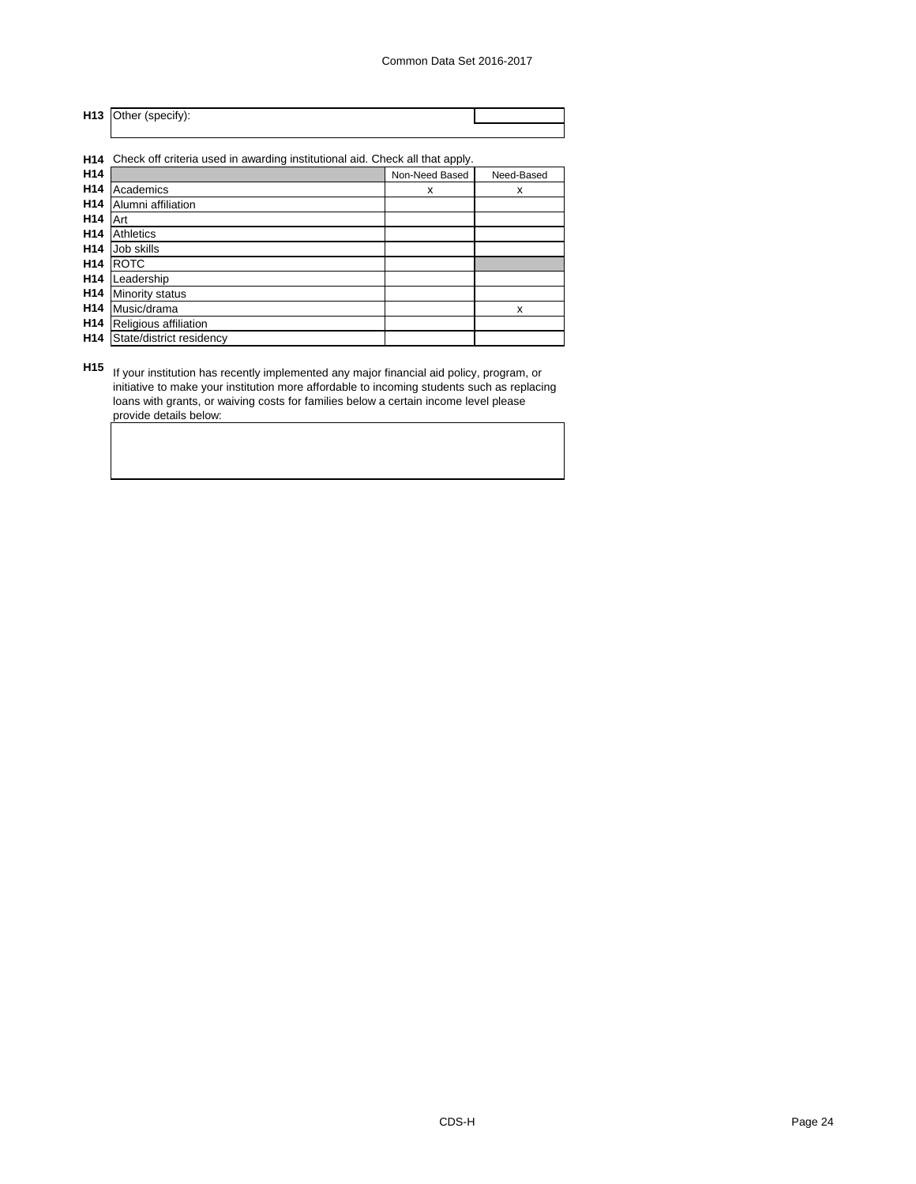**H13** Other (specify):

**H14** Check off criteria used in awarding institutional aid. Check all that apply.

| H14             |                          | Non-Need Based | Need-Based |
|-----------------|--------------------------|----------------|------------|
| H14             | Academics                | X              | X          |
| H <sub>14</sub> | Alumni affiliation       |                |            |
| H14             | Art                      |                |            |
| H14             | Athletics                |                |            |
| H <sub>14</sub> | Job skills               |                |            |
| H <sub>14</sub> | <b>ROTC</b>              |                |            |
| H <sub>14</sub> | Leadership               |                |            |
| H <sub>14</sub> | Minority status          |                |            |
| H <sub>14</sub> | Music/drama              |                | X          |
| H <sub>14</sub> | Religious affiliation    |                |            |
| H <sub>14</sub> | State/district residency |                |            |
|                 |                          |                |            |

**H15** If your institution has recently implemented any major financial aid policy, program, or initiative to make your institution more affordable to incoming students such as replacing loans with grants, or waiving costs for families below a certain income level please provide details below: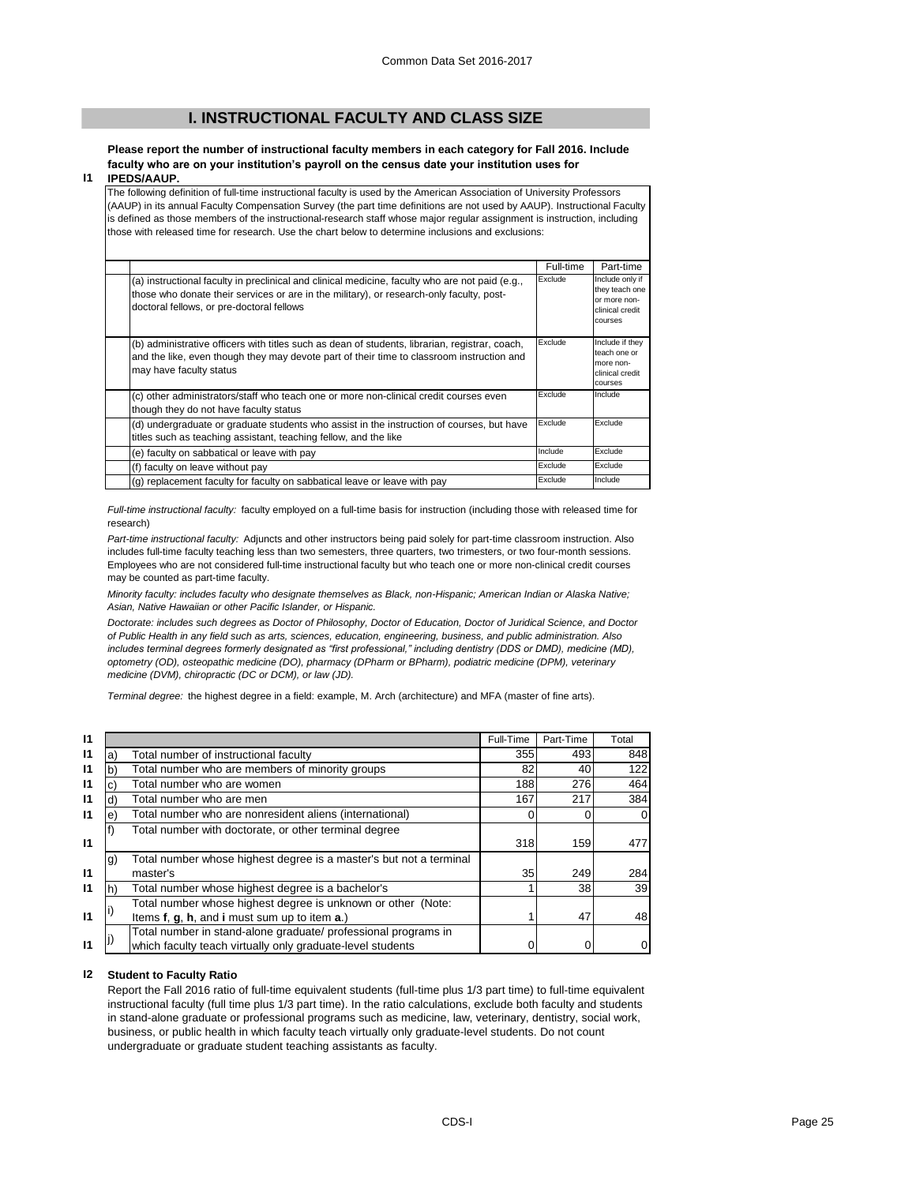## **I. INSTRUCTIONAL FACULTY AND CLASS SIZE**

**Please report the number of instructional faculty members in each category for Fall 2016. Include faculty who are on your institution's payroll on the census date your institution uses for** 

#### **I1 IPEDS/AAUP.**

The following definition of full-time instructional faculty is used by the American Association of University Professors (AAUP) in its annual Faculty Compensation Survey (the part time definitions are not used by AAUP). Instructional Faculty is defined as those members of the instructional-research staff whose major regular assignment is instruction, including those with released time for research. Use the chart below to determine inclusions and exclusions:

|                                                                                                                                                                                                                                          | Full-time | Part-time                                                                       |
|------------------------------------------------------------------------------------------------------------------------------------------------------------------------------------------------------------------------------------------|-----------|---------------------------------------------------------------------------------|
| (a) instructional faculty in preclinical and clinical medicine, faculty who are not paid (e.g.,<br>those who donate their services or are in the military), or research-only faculty, post-<br>doctoral fellows, or pre-doctoral fellows | Exclude   | Include only if<br>they teach one<br>or more non-<br>clinical credit<br>courses |
| (b) administrative officers with titles such as dean of students, librarian, registrar, coach,<br>and the like, even though they may devote part of their time to classroom instruction and<br>may have faculty status                   | Exclude   | Include if they<br>teach one or<br>more non-<br>clinical credit<br>courses      |
| (c) other administrators/staff who teach one or more non-clinical credit courses even<br>though they do not have faculty status                                                                                                          | Exclude   | Include                                                                         |
| (d) undergraduate or graduate students who assist in the instruction of courses, but have<br>titles such as teaching assistant, teaching fellow, and the like                                                                            | Exclude   | Exclude                                                                         |
| (e) faculty on sabbatical or leave with pay                                                                                                                                                                                              | Include   | Exclude                                                                         |
| (f) faculty on leave without pay                                                                                                                                                                                                         | Exclude   | Exclude                                                                         |
| (g) replacement faculty for faculty on sabbatical leave or leave with pay                                                                                                                                                                | Exclude   | Include                                                                         |

*Full-time instructional faculty:* faculty employed on a full-time basis for instruction (including those with released time for research)

*Part-time instructional faculty:* Adjuncts and other instructors being paid solely for part-time classroom instruction. Also includes full-time faculty teaching less than two semesters, three quarters, two trimesters, or two four-month sessions. Employees who are not considered full-time instructional faculty but who teach one or more non-clinical credit courses may be counted as part-time faculty.

*Minority faculty: includes faculty who designate themselves as Black, non-Hispanic; American Indian or Alaska Native; Asian, Native Hawaiian or other Pacific Islander, or Hispanic.* 

*Doctorate: includes such degrees as Doctor of Philosophy, Doctor of Education, Doctor of Juridical Science, and Doctor of Public Health in any field such as arts, sciences, education, engineering, business, and public administration. Also*  includes terminal degrees formerly designated as "first professional," including dentistry (DDS or DMD), medicine (MD), *optometry (OD), osteopathic medicine (DO), pharmacy (DPharm or BPharm), podiatric medicine (DPM), veterinary medicine (DVM), chiropractic (DC or DCM), or law (JD).*

*Terminal degree:* the highest degree in a field: example, M. Arch (architecture) and MFA (master of fine arts).

| $\mathbf{I}$ |    |                                                                    | Full-Time | Part-Time | Total |
|--------------|----|--------------------------------------------------------------------|-----------|-----------|-------|
| $\mathsf{I}$ | a) | Total number of instructional faculty                              | 355       | 493       | 848   |
| $\mathsf{I}$ | b) | Total number who are members of minority groups                    | 82        | 40        | 122   |
| $\mathsf{I}$ | C) | Total number who are women                                         | 188       | 276       | 464   |
| $\mathsf{I}$ | d) | Total number who are men                                           | 167       | 217       | 384   |
| $\mathsf{I}$ | e) | Total number who are nonresident aliens (international)            |           |           |       |
|              |    | Total number with doctorate, or other terminal degree              |           |           |       |
| 11           |    |                                                                    | 318       | 159       | 477   |
|              | g) | Total number whose highest degree is a master's but not a terminal |           |           |       |
| $\mathbf{I}$ |    | master's                                                           | 35        | 249       | 284   |
| $\mathsf{I}$ |    | Total number whose highest degree is a bachelor's                  |           | 38        | 39    |
|              |    | Total number whose highest degree is unknown or other (Note:       |           |           |       |
| $\mathsf{I}$ |    | Items f, g, h, and i must sum up to item a.)                       |           | 47        | 48    |
|              |    | Total number in stand-alone graduate/ professional programs in     |           |           |       |
| $\mathsf{I}$ |    | which faculty teach virtually only graduate-level students         |           |           |       |

#### **I2 Student to Faculty Ratio**

Report the Fall 2016 ratio of full-time equivalent students (full-time plus 1/3 part time) to full-time equivalent instructional faculty (full time plus 1/3 part time). In the ratio calculations, exclude both faculty and students in stand-alone graduate or professional programs such as medicine, law, veterinary, dentistry, social work, business, or public health in which faculty teach virtually only graduate-level students. Do not count undergraduate or graduate student teaching assistants as faculty.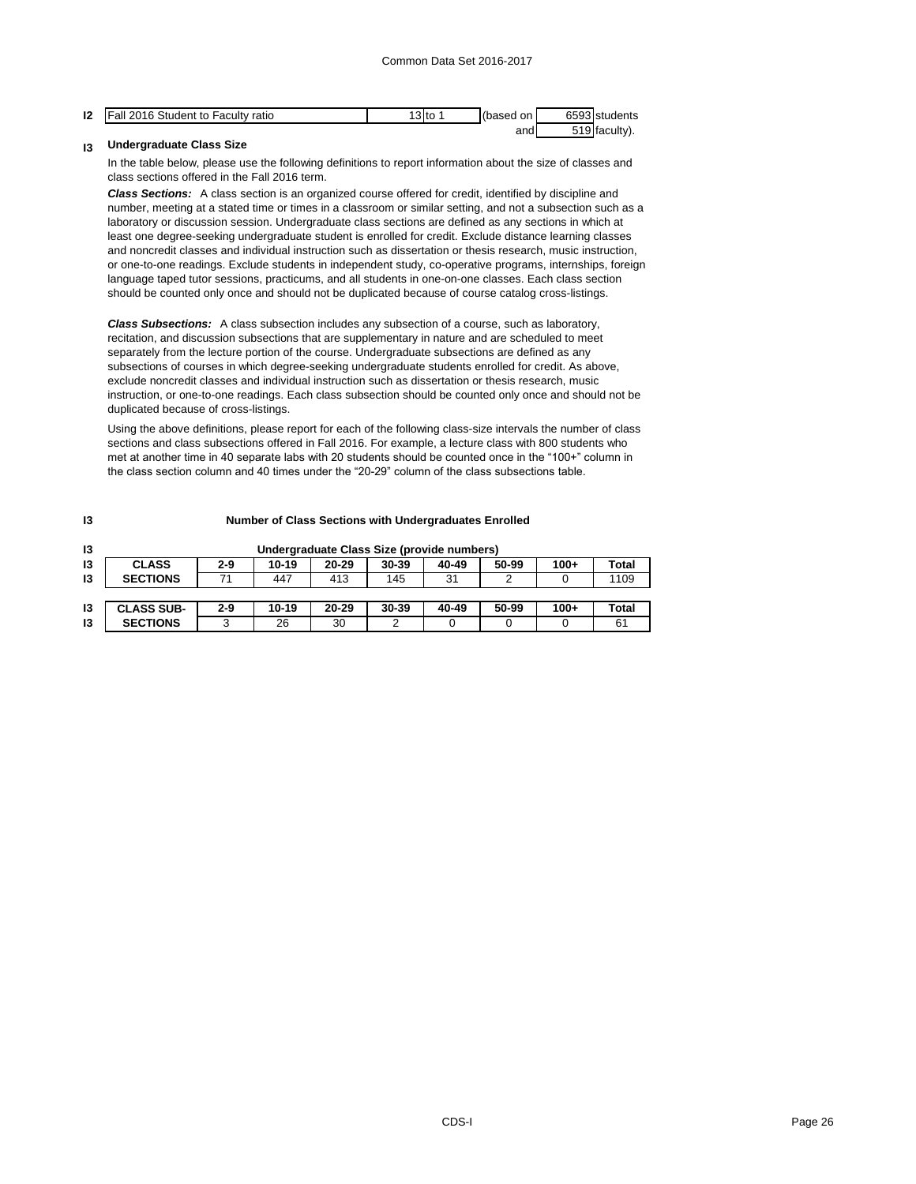| 12<br>14 | 2016 Student to Faculty ratio<br>l Fall | ∣3lto | (based | on l | $\sim$ $\sim$ $\sim$ $\sim$ $\sim$<br>ხეყ | Istudents       |
|----------|-----------------------------------------|-------|--------|------|-------------------------------------------|-----------------|
|          |                                         |       |        | and  |                                           | <b>Ifaculty</b> |

#### **I3 Undergraduate Class Size**

In the table below, please use the following definitions to report information about the size of classes and class sections offered in the Fall 2016 term.

*Class Sections:* A class section is an organized course offered for credit, identified by discipline and number, meeting at a stated time or times in a classroom or similar setting, and not a subsection such as a laboratory or discussion session. Undergraduate class sections are defined as any sections in which at least one degree-seeking undergraduate student is enrolled for credit. Exclude distance learning classes and noncredit classes and individual instruction such as dissertation or thesis research, music instruction, or one-to-one readings. Exclude students in independent study, co-operative programs, internships, foreign language taped tutor sessions, practicums, and all students in one-on-one classes. Each class section should be counted only once and should not be duplicated because of course catalog cross-listings.

*Class Subsections:* A class subsection includes any subsection of a course, such as laboratory, recitation, and discussion subsections that are supplementary in nature and are scheduled to meet separately from the lecture portion of the course. Undergraduate subsections are defined as any subsections of courses in which degree-seeking undergraduate students enrolled for credit. As above, exclude noncredit classes and individual instruction such as dissertation or thesis research, music instruction, or one-to-one readings. Each class subsection should be counted only once and should not be duplicated because of cross-listings.

Using the above definitions, please report for each of the following class-size intervals the number of class sections and class subsections offered in Fall 2016. For example, a lecture class with 800 students who met at another time in 40 separate labs with 20 students should be counted once in the "100+" column in the class section column and 40 times under the "20-29" column of the class subsections table.

| 13 | <b>Number of Class Sections with Undergraduates Enrolled</b> |         |           |           |                                            |       |       |        |       |
|----|--------------------------------------------------------------|---------|-----------|-----------|--------------------------------------------|-------|-------|--------|-------|
| 13 |                                                              |         |           |           | Undergraduate Class Size (provide numbers) |       |       |        |       |
| 13 | <b>CLASS</b>                                                 | $2 - 9$ | $10 - 19$ | $20 - 29$ | $30 - 39$                                  | 40-49 | 50-99 | $100+$ | Total |
| 13 | <b>SECTIONS</b>                                              | 71      | 447       | 413       | 145                                        | 31    |       |        | 1109  |
|    |                                                              |         |           |           |                                            |       |       |        |       |
| 13 | <b>CLASS SUB-</b>                                            | $2 - 9$ | $10 - 19$ | $20 - 29$ | $30 - 39$                                  | 40-49 | 50-99 | $100+$ | Total |
| 13 | <b>SECTIONS</b>                                              | 3       | 26        | 30        | ⌒                                          |       |       | 0      | 61    |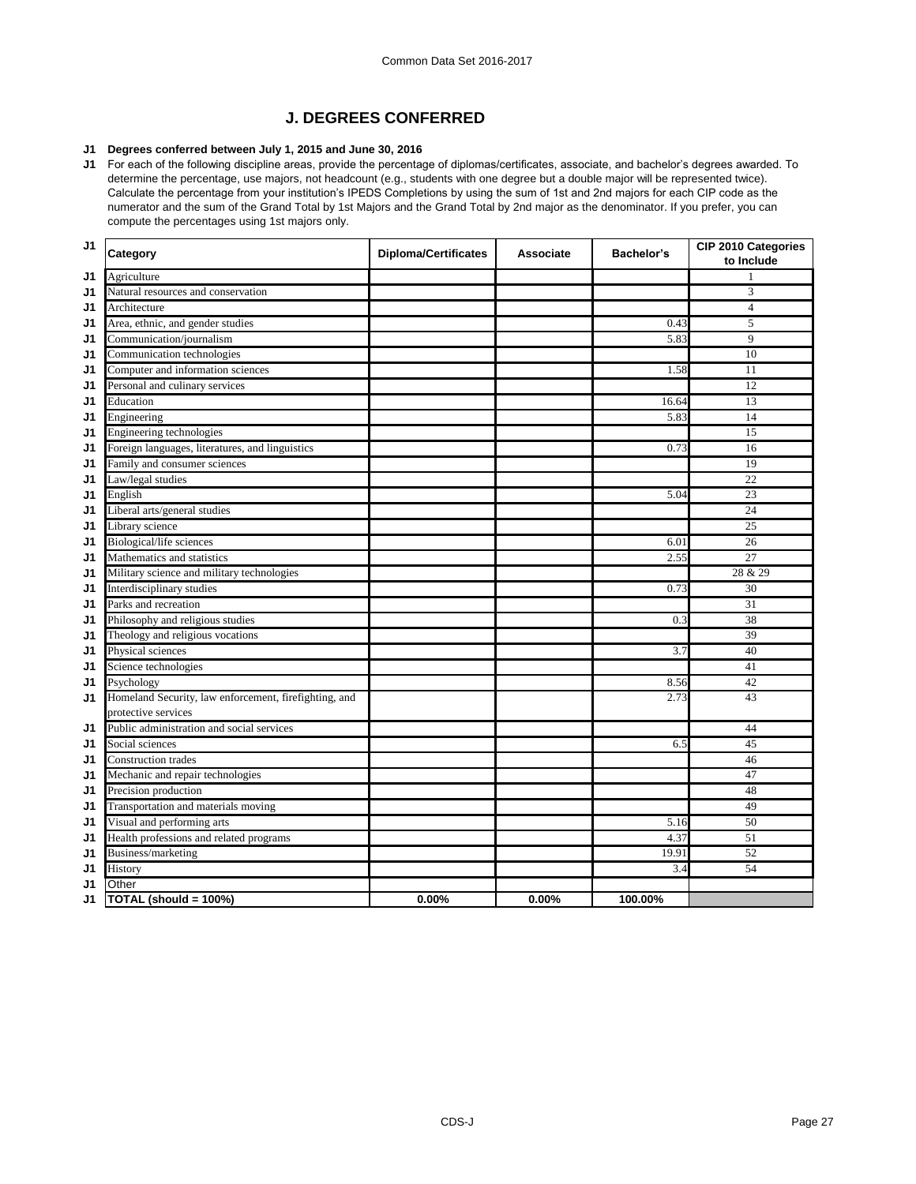## **J. DEGREES CONFERRED**

#### **J1 Degrees conferred between July 1, 2015 and June 30, 2016**

**J1** For each of the following discipline areas, provide the percentage of diplomas/certificates, associate, and bachelor's degrees awarded. To determine the percentage, use majors, not headcount (e.g., students with one degree but a double major will be represented twice). Calculate the percentage from your institution's IPEDS Completions by using the sum of 1st and 2nd majors for each CIP code as the numerator and the sum of the Grand Total by 1st Majors and the Grand Total by 2nd major as the denominator. If you prefer, you can compute the percentages using 1st majors only.

| J <sub>1</sub> | Category                                              | <b>Diploma/Certificates</b> | <b>Associate</b> | <b>Bachelor's</b> | <b>CIP 2010 Categories</b><br>to Include |
|----------------|-------------------------------------------------------|-----------------------------|------------------|-------------------|------------------------------------------|
| J1             | Agriculture                                           |                             |                  |                   |                                          |
| J <sub>1</sub> | Natural resources and conservation                    |                             |                  |                   | 3                                        |
| J1             | Architecture                                          |                             |                  |                   | $\overline{\mathcal{A}}$                 |
| J1             | Area, ethnic, and gender studies                      |                             |                  | 0.43              | 5                                        |
| J <sub>1</sub> | Communication/journalism                              |                             |                  | 5.83              | 9                                        |
| J1             | Communication technologies                            |                             |                  |                   | 10                                       |
| J <sub>1</sub> | Computer and information sciences                     |                             |                  | 1.58              | 11                                       |
| J1             | Personal and culinary services                        |                             |                  |                   | 12                                       |
| J1             | Education                                             |                             |                  | 16.64             | 13                                       |
| J1             | Engineering                                           |                             |                  | 5.83              | 14                                       |
| J1             | Engineering technologies                              |                             |                  |                   | 15                                       |
| J1             | Foreign languages, literatures, and linguistics       |                             |                  | 0.73              | 16                                       |
| J1             | Family and consumer sciences                          |                             |                  |                   | 19                                       |
| J <sub>1</sub> | Law/legal studies                                     |                             |                  |                   | 22                                       |
| J1             | English                                               |                             |                  | 5.04              | 23                                       |
| J1             | Liberal arts/general studies                          |                             |                  |                   | 24                                       |
| J <sub>1</sub> | Library science                                       |                             |                  |                   | 25                                       |
| J1             | Biological/life sciences                              |                             |                  | 6.01              | 26                                       |
| J1             | Mathematics and statistics                            |                             |                  | 2.55              | 27                                       |
| J1             | Military science and military technologies            |                             |                  |                   | 28 & 29                                  |
| J1             | Interdisciplinary studies                             |                             |                  | 0.73              | 30                                       |
| J <sub>1</sub> | Parks and recreation                                  |                             |                  |                   | 31                                       |
| J1             | Philosophy and religious studies                      |                             |                  | 0.3               | $\overline{38}$                          |
| J <sub>1</sub> | Theology and religious vocations                      |                             |                  |                   | 39                                       |
| J1             | Physical sciences                                     |                             |                  | 3.7               | 40                                       |
| J1             | Science technologies                                  |                             |                  |                   | 41                                       |
| J1             | Psychology                                            |                             |                  | 8.56              | 42                                       |
| J1             | Homeland Security, law enforcement, firefighting, and |                             |                  | 2.73              | 43                                       |
|                | protective services                                   |                             |                  |                   |                                          |
| J1             | Public administration and social services             |                             |                  |                   | 44                                       |
| J <sub>1</sub> | Social sciences                                       |                             |                  | 6.5               | 45                                       |
| J <sub>1</sub> | <b>Construction trades</b>                            |                             |                  |                   | 46                                       |
| J <sub>1</sub> | Mechanic and repair technologies                      |                             |                  |                   | 47                                       |
| J <sub>1</sub> | Precision production                                  |                             |                  |                   | 48                                       |
| J <sub>1</sub> | Transportation and materials moving                   |                             |                  |                   | 49                                       |
| J1             | Visual and performing arts                            |                             |                  | 5.16              | 50                                       |
| J <sub>1</sub> | Health professions and related programs               |                             |                  | 4.37              | 51                                       |
| J <sub>1</sub> | Business/marketing                                    |                             |                  | 19.91             | 52                                       |
| J1             | History                                               |                             |                  | 3.4               | 54                                       |
| J <sub>1</sub> | Other                                                 |                             |                  |                   |                                          |
| J <sub>1</sub> | TOTAL (should = $100\%$ )                             | 0.00%                       | 0.00%            | 100.00%           |                                          |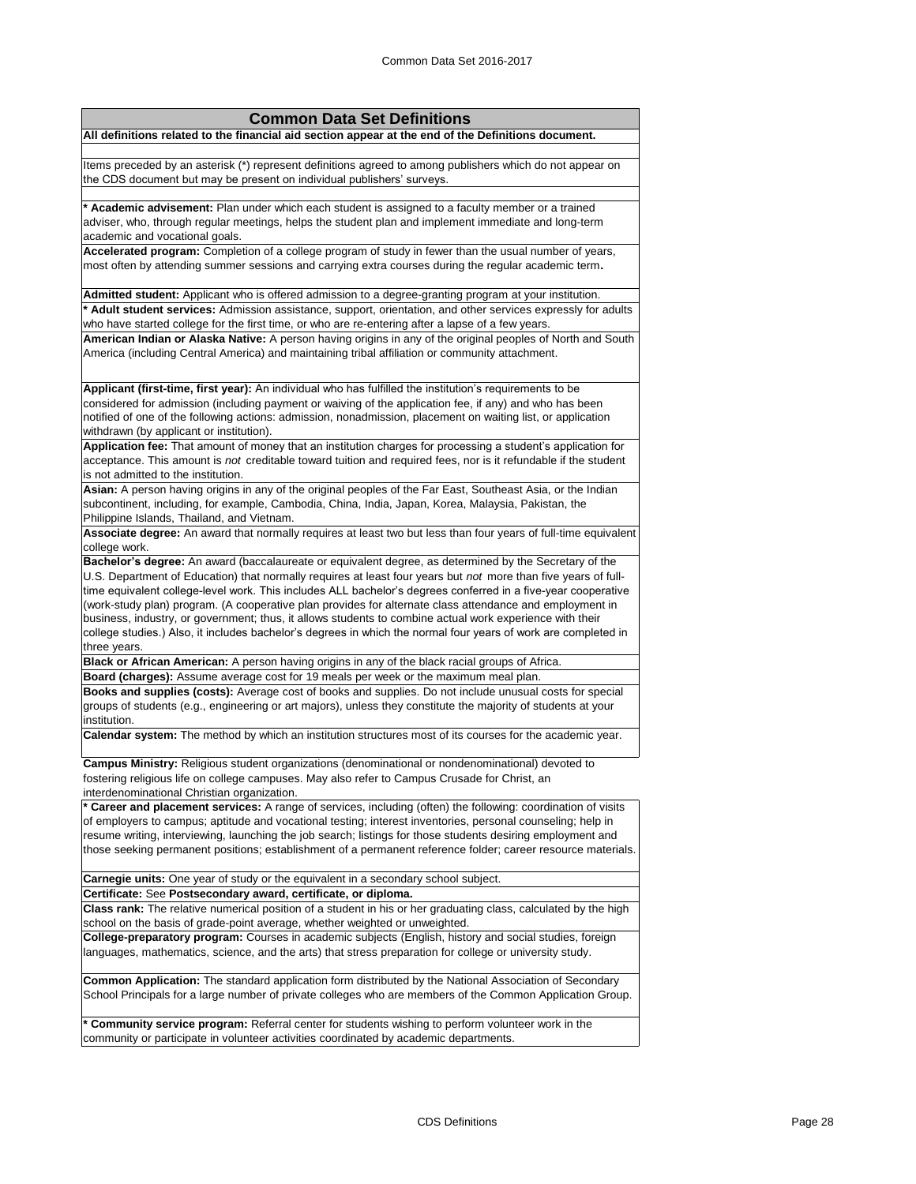| <b>Common Data Set Definitions</b>                                                                                                                                                                                                                                                                                                                                                                                                                                                                                                                                                                                                                                                  |
|-------------------------------------------------------------------------------------------------------------------------------------------------------------------------------------------------------------------------------------------------------------------------------------------------------------------------------------------------------------------------------------------------------------------------------------------------------------------------------------------------------------------------------------------------------------------------------------------------------------------------------------------------------------------------------------|
| All definitions related to the financial aid section appear at the end of the Definitions document.                                                                                                                                                                                                                                                                                                                                                                                                                                                                                                                                                                                 |
| Items preceded by an asterisk (*) represent definitions agreed to among publishers which do not appear on<br>the CDS document but may be present on individual publishers' surveys.                                                                                                                                                                                                                                                                                                                                                                                                                                                                                                 |
| * Academic advisement: Plan under which each student is assigned to a faculty member or a trained<br>adviser, who, through regular meetings, helps the student plan and implement immediate and long-term<br>academic and vocational goals.                                                                                                                                                                                                                                                                                                                                                                                                                                         |
| Accelerated program: Completion of a college program of study in fewer than the usual number of years,<br>most often by attending summer sessions and carrying extra courses during the regular academic term.                                                                                                                                                                                                                                                                                                                                                                                                                                                                      |
| Admitted student: Applicant who is offered admission to a degree-granting program at your institution.                                                                                                                                                                                                                                                                                                                                                                                                                                                                                                                                                                              |
| * Adult student services: Admission assistance, support, orientation, and other services expressly for adults<br>who have started college for the first time, or who are re-entering after a lapse of a few years.                                                                                                                                                                                                                                                                                                                                                                                                                                                                  |
| American Indian or Alaska Native: A person having origins in any of the original peoples of North and South<br>America (including Central America) and maintaining tribal affiliation or community attachment.                                                                                                                                                                                                                                                                                                                                                                                                                                                                      |
| Applicant (first-time, first year): An individual who has fulfilled the institution's requirements to be<br>considered for admission (including payment or waiving of the application fee, if any) and who has been<br>notified of one of the following actions: admission, nonadmission, placement on waiting list, or application<br>withdrawn (by applicant or institution).                                                                                                                                                                                                                                                                                                     |
| Application fee: That amount of money that an institution charges for processing a student's application for<br>acceptance. This amount is not creditable toward tuition and required fees, nor is it refundable if the student<br>is not admitted to the institution.                                                                                                                                                                                                                                                                                                                                                                                                              |
| Asian: A person having origins in any of the original peoples of the Far East, Southeast Asia, or the Indian<br>subcontinent, including, for example, Cambodia, China, India, Japan, Korea, Malaysia, Pakistan, the<br>Philippine Islands, Thailand, and Vietnam.                                                                                                                                                                                                                                                                                                                                                                                                                   |
| Associate degree: An award that normally requires at least two but less than four years of full-time equivalent                                                                                                                                                                                                                                                                                                                                                                                                                                                                                                                                                                     |
| college work.                                                                                                                                                                                                                                                                                                                                                                                                                                                                                                                                                                                                                                                                       |
| Bachelor's degree: An award (baccalaureate or equivalent degree, as determined by the Secretary of the<br>U.S. Department of Education) that normally requires at least four years but not more than five years of full-<br>time equivalent college-level work. This includes ALL bachelor's degrees conferred in a five-year cooperative<br>(work-study plan) program. (A cooperative plan provides for alternate class attendance and employment in<br>business, industry, or government; thus, it allows students to combine actual work experience with their<br>college studies.) Also, it includes bachelor's degrees in which the normal four years of work are completed in |
| three years.                                                                                                                                                                                                                                                                                                                                                                                                                                                                                                                                                                                                                                                                        |
| Black or African American: A person having origins in any of the black racial groups of Africa.                                                                                                                                                                                                                                                                                                                                                                                                                                                                                                                                                                                     |
| Board (charges): Assume average cost for 19 meals per week or the maximum meal plan.                                                                                                                                                                                                                                                                                                                                                                                                                                                                                                                                                                                                |
| Books and supplies (costs): Average cost of books and supplies. Do not include unusual costs for special<br>groups of students (e.g., engineering or art majors), unless they constitute the majority of students at your<br>institution.<br>Calendar system: The method by which an institution structures most of its courses for the academic year.                                                                                                                                                                                                                                                                                                                              |
|                                                                                                                                                                                                                                                                                                                                                                                                                                                                                                                                                                                                                                                                                     |
| Campus Ministry: Religious student organizations (denominational or nondenominational) devoted to<br>fostering religious life on college campuses. May also refer to Campus Crusade for Christ, an<br>interdenominational Christian organization.                                                                                                                                                                                                                                                                                                                                                                                                                                   |
| * Career and placement services: A range of services, including (often) the following: coordination of visits<br>of employers to campus; aptitude and vocational testing; interest inventories, personal counseling; help in<br>resume writing, interviewing, launching the job search; listings for those students desiring employment and<br>those seeking permanent positions; establishment of a permanent reference folder; career resource materials.                                                                                                                                                                                                                         |
| <b>Carnegie units:</b> One year of study or the equivalent in a secondary school subject.                                                                                                                                                                                                                                                                                                                                                                                                                                                                                                                                                                                           |
| Certificate: See Postsecondary award, certificate, or diploma.                                                                                                                                                                                                                                                                                                                                                                                                                                                                                                                                                                                                                      |
| Class rank: The relative numerical position of a student in his or her graduating class, calculated by the high<br>school on the basis of grade-point average, whether weighted or unweighted.                                                                                                                                                                                                                                                                                                                                                                                                                                                                                      |
| College-preparatory program: Courses in academic subjects (English, history and social studies, foreign<br>languages, mathematics, science, and the arts) that stress preparation for college or university study.                                                                                                                                                                                                                                                                                                                                                                                                                                                                  |
| <b>Common Application:</b> The standard application form distributed by the National Association of Secondary<br>School Principals for a large number of private colleges who are members of the Common Application Group.                                                                                                                                                                                                                                                                                                                                                                                                                                                          |
| * Community service program: Referral center for students wishing to perform volunteer work in the<br>community or participate in volunteer activities coordinated by academic departments.                                                                                                                                                                                                                                                                                                                                                                                                                                                                                         |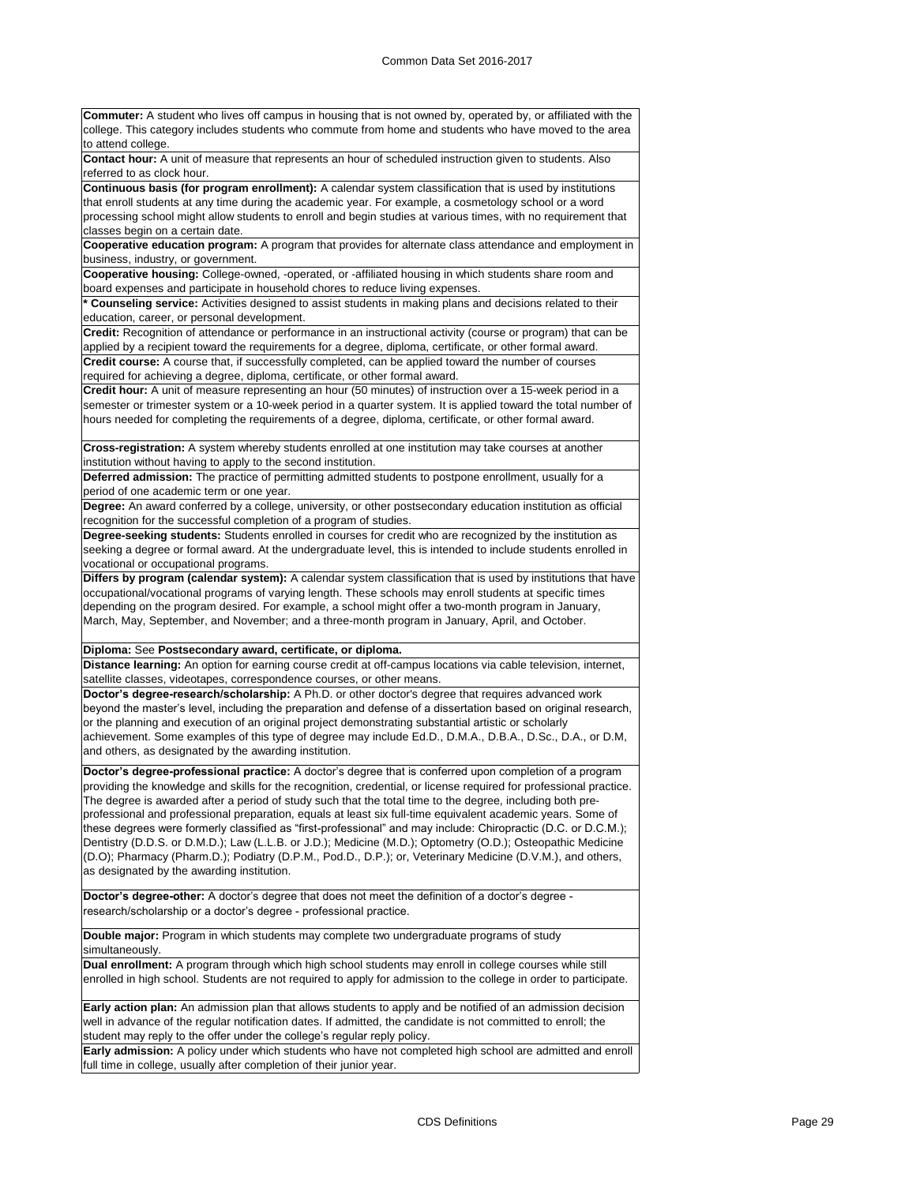**Commuter:** A student who lives off campus in housing that is not owned by, operated by, or affiliated with the college. This category includes students who commute from home and students who have moved to the area to attend college. **Contact hour:** A unit of measure that represents an hour of scheduled instruction given to students. Also referred to as clock hour. **Continuous basis (for program enrollment):** A calendar system classification that is used by institutions that enroll students at any time during the academic year. For example, a cosmetology school or a word processing school might allow students to enroll and begin studies at various times, with no requirement that classes begin on a certain date. **Cooperative education program:** A program that provides for alternate class attendance and employment in business, industry, or government. **Cooperative housing:** College-owned, -operated, or -affiliated housing in which students share room and board expenses and participate in household chores to reduce living expenses. **\* Counseling service:** Activities designed to assist students in making plans and decisions related to their education, career, or personal development. **Credit:** Recognition of attendance or performance in an instructional activity (course or program) that can be applied by a recipient toward the requirements for a degree, diploma, certificate, or other formal award. **Credit course:** A course that, if successfully completed, can be applied toward the number of courses required for achieving a degree, diploma, certificate, or other formal award. **Credit hour:** A unit of measure representing an hour (50 minutes) of instruction over a 15-week period in a semester or trimester system or a 10-week period in a quarter system. It is applied toward the total number of hours needed for completing the requirements of a degree, diploma, certificate, or other formal award. **Cross-registration:** A system whereby students enrolled at one institution may take courses at another institution without having to apply to the second institution. **Deferred admission:** The practice of permitting admitted students to postpone enrollment, usually for a period of one academic term or one year. **Degree:** An award conferred by a college, university, or other postsecondary education institution as official recognition for the successful completion of a program of studies. **Degree-seeking students:** Students enrolled in courses for credit who are recognized by the institution as seeking a degree or formal award. At the undergraduate level, this is intended to include students enrolled in vocational or occupational programs. **Differs by program (calendar system):** A calendar system classification that is used by institutions that have occupational/vocational programs of varying length. These schools may enroll students at specific times depending on the program desired. For example, a school might offer a two-month program in January, March, May, September, and November; and a three-month program in January, April, and October. **Diploma:** See **Postsecondary award, certificate, or diploma. Distance learning:** An option for earning course credit at off-campus locations via cable television, internet, satellite classes, videotapes, correspondence courses, or other means. **Doctor's degree-research/scholarship:** A Ph.D. or other doctor's degree that requires advanced work beyond the master's level, including the preparation and defense of a dissertation based on original research, or the planning and execution of an original project demonstrating substantial artistic or scholarly achievement. Some examples of this type of degree may include Ed.D., D.M.A., D.B.A., D.Sc., D.A., or D.M, and others, as designated by the awarding institution. **Doctor's degree-professional practice:** A doctor's degree that is conferred upon completion of a program providing the knowledge and skills for the recognition, credential, or license required for professional practice. The degree is awarded after a period of study such that the total time to the degree, including both preprofessional and professional preparation, equals at least six full-time equivalent academic years. Some of these degrees were formerly classified as "first-professional" and may include: Chiropractic (D.C. or D.C.M.); Dentistry (D.D.S. or D.M.D.); Law (L.L.B. or J.D.); Medicine (M.D.); Optometry (O.D.); Osteopathic Medicine (D.O); Pharmacy (Pharm.D.); Podiatry (D.P.M., Pod.D., D.P.); or, Veterinary Medicine (D.V.M.), and others, as designated by the awarding institution. **Doctor's degree-other:** A doctor's degree that does not meet the definition of a doctor's degree research/scholarship or a doctor's degree - professional practice. **Double major:** Program in which students may complete two undergraduate programs of study simultaneously. **Dual enrollment:** A program through which high school students may enroll in college courses while still enrolled in high school. Students are not required to apply for admission to the college in order to participate. **Early action plan:** An admission plan that allows students to apply and be notified of an admission decision

well in advance of the regular notification dates. If admitted, the candidate is not committed to enroll; the student may reply to the offer under the college's regular reply policy. **Early admission:** A policy under which students who have not completed high school are admitted and enroll

full time in college, usually after completion of their junior year.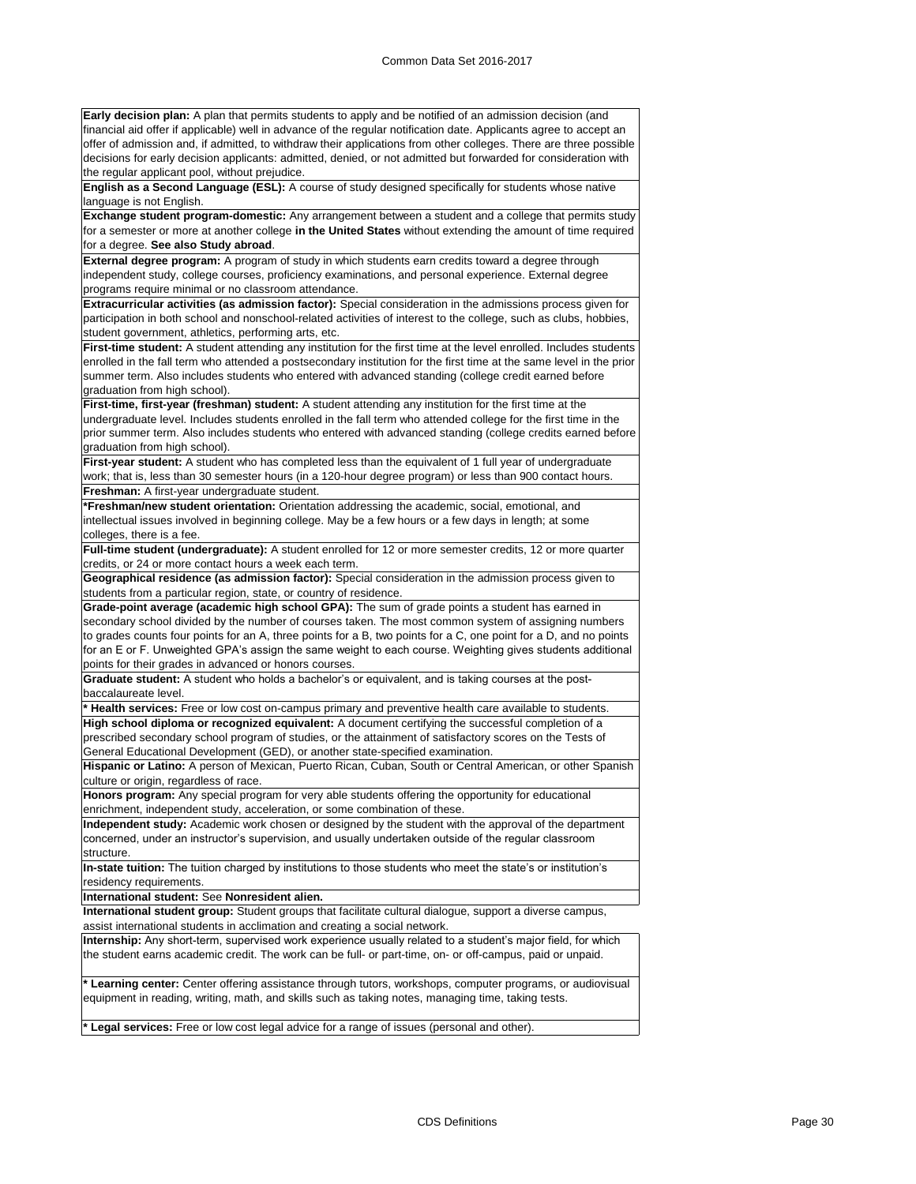**Early decision plan:** A plan that permits students to apply and be notified of an admission decision (and financial aid offer if applicable) well in advance of the regular notification date. Applicants agree to accept an offer of admission and, if admitted, to withdraw their applications from other colleges. There are three possible decisions for early decision applicants: admitted, denied, or not admitted but forwarded for consideration with the regular applicant pool, without prejudice.

**English as a Second Language (ESL):** A course of study designed specifically for students whose native language is not English.

**Exchange student program-domestic:** Any arrangement between a student and a college that permits study for a semester or more at another college **in the United States** without extending the amount of time required for a degree. **See also Study abroad**.

**External degree program:** A program of study in which students earn credits toward a degree through independent study, college courses, proficiency examinations, and personal experience. External degree programs require minimal or no classroom attendance.

**Extracurricular activities (as admission factor):** Special consideration in the admissions process given for participation in both school and nonschool-related activities of interest to the college, such as clubs, hobbies, student government, athletics, performing arts, etc.

**First-time student:** A student attending any institution for the first time at the level enrolled. Includes students enrolled in the fall term who attended a postsecondary institution for the first time at the same level in the prior summer term. Also includes students who entered with advanced standing (college credit earned before graduation from high school).

**First-time, first-year (freshman) student:** A student attending any institution for the first time at the undergraduate level. Includes students enrolled in the fall term who attended college for the first time in the prior summer term. Also includes students who entered with advanced standing (college credits earned before graduation from high school).

**First-year student:** A student who has completed less than the equivalent of 1 full year of undergraduate work; that is, less than 30 semester hours (in a 120-hour degree program) or less than 900 contact hours. **Freshman:** A first-year undergraduate student.

**\*Freshman/new student orientation:** Orientation addressing the academic, social, emotional, and intellectual issues involved in beginning college. May be a few hours or a few days in length; at some colleges, there is a fee.

**Full-time student (undergraduate):** A student enrolled for 12 or more semester credits, 12 or more quarter credits, or 24 or more contact hours a week each term.

**Geographical residence (as admission factor):** Special consideration in the admission process given to students from a particular region, state, or country of residence.

**Grade-point average (academic high school GPA):** The sum of grade points a student has earned in secondary school divided by the number of courses taken. The most common system of assigning numbers to grades counts four points for an A, three points for a B, two points for a C, one point for a D, and no points for an E or F. Unweighted GPA's assign the same weight to each course. Weighting gives students additional points for their grades in advanced or honors courses.

**Graduate student:** A student who holds a bachelor's or equivalent, and is taking courses at the postbaccalaureate level.

**\* Health services:** Free or low cost on-campus primary and preventive health care available to students. **High school diploma or recognized equivalent:** A document certifying the successful completion of a

prescribed secondary school program of studies, or the attainment of satisfactory scores on the Tests of General Educational Development (GED), or another state-specified examination.

**Hispanic or Latino:** A person of Mexican, Puerto Rican, Cuban, South or Central American, or other Spanish culture or origin, regardless of race.

**Honors program:** Any special program for very able students offering the opportunity for educational enrichment, independent study, acceleration, or some combination of these.

**Independent study:** Academic work chosen or designed by the student with the approval of the department concerned, under an instructor's supervision, and usually undertaken outside of the regular classroom structure.

**In-state tuition:** The tuition charged by institutions to those students who meet the state's or institution's residency requirements.

**International student:** See **Nonresident alien.**

**International student group:** Student groups that facilitate cultural dialogue, support a diverse campus, assist international students in acclimation and creating a social network.

**Internship:** Any short-term, supervised work experience usually related to a student's major field, for which the student earns academic credit. The work can be full- or part-time, on- or off-campus, paid or unpaid.

**Learning center:** Center offering assistance through tutors, workshops, computer programs, or audiovisual equipment in reading, writing, math, and skills such as taking notes, managing time, taking tests.

Legal services: Free or low cost legal advice for a range of issues (personal and other)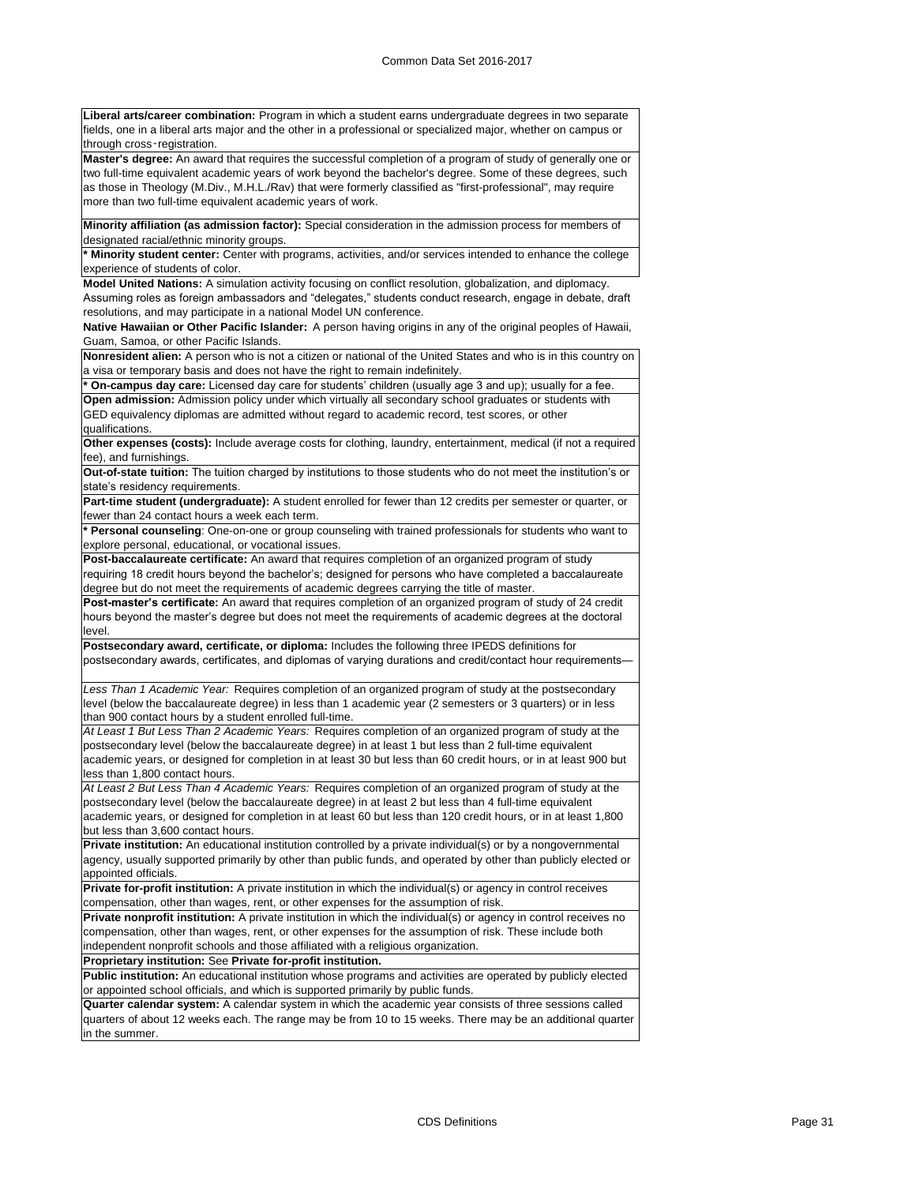**Liberal arts/career combination:** Program in which a student earns undergraduate degrees in two separate fields, one in a liberal arts major and the other in a professional or specialized major, whether on campus or through cross‑registration.

**Master's degree:** An award that requires the successful completion of a program of study of generally one or two full-time equivalent academic years of work beyond the bachelor's degree. Some of these degrees, such as those in Theology (M.Div., M.H.L./Rav) that were formerly classified as "first-professional", may require more than two full-time equivalent academic years of work.

**Minority affiliation (as admission factor):** Special consideration in the admission process for members of designated racial/ethnic minority groups.

**\* Minority student center:** Center with programs, activities, and/or services intended to enhance the college experience of students of color.

**Model United Nations:** A simulation activity focusing on conflict resolution, globalization, and diplomacy. Assuming roles as foreign ambassadors and "delegates," students conduct research, engage in debate, draft resolutions, and may participate in a national Model UN conference.

**Native Hawaiian or Other Pacific Islander:** A person having origins in any of the original peoples of Hawaii, Guam, Samoa, or other Pacific Islands.

**Nonresident alien:** A person who is not a citizen or national of the United States and who is in this country on a visa or temporary basis and does not have the right to remain indefinitely.

On-campus day care: Licensed day care for students' children (usually age 3 and up); usually for a fee.

**Open admission:** Admission policy under which virtually all secondary school graduates or students with GED equivalency diplomas are admitted without regard to academic record, test scores, or other qualifications.

**Other expenses (costs):** Include average costs for clothing, laundry, entertainment, medical (if not a required fee), and furnishings.

**Out-of-state tuition:** The tuition charged by institutions to those students who do not meet the institution's or state's residency requirements.

**Part-time student (undergraduate):** A student enrolled for fewer than 12 credits per semester or quarter, or fewer than 24 contact hours a week each term.

**\* Personal counseling**: One-on-one or group counseling with trained professionals for students who want to explore personal, educational, or vocational issues.

**Post-baccalaureate certificate:** An award that requires completion of an organized program of study requiring 18 credit hours beyond the bachelor's; designed for persons who have completed a baccalaureate degree but do not meet the requirements of academic degrees carrying the title of master.

**Post-master's certificate:** An award that requires completion of an organized program of study of 24 credit hours beyond the master's degree but does not meet the requirements of academic degrees at the doctoral level.

**Postsecondary award, certificate, or diploma:** Includes the following three IPEDS definitions for postsecondary awards, certificates, and diplomas of varying durations and credit/contact hour requirements—

*Less Than 1 Academic Year:* Requires completion of an organized program of study at the postsecondary level (below the baccalaureate degree) in less than 1 academic year (2 semesters or 3 quarters) or in less than 900 contact hours by a student enrolled full-time.

*At Least 1 But Less Than 2 Academic Years:* Requires completion of an organized program of study at the postsecondary level (below the baccalaureate degree) in at least 1 but less than 2 full-time equivalent academic years, or designed for completion in at least 30 but less than 60 credit hours, or in at least 900 but less than 1,800 contact hours.

*At Least 2 But Less Than 4 Academic Years:* Requires completion of an organized program of study at the postsecondary level (below the baccalaureate degree) in at least 2 but less than 4 full-time equivalent academic years, or designed for completion in at least 60 but less than 120 credit hours, or in at least 1,800 but less than 3,600 contact hours.

**Private institution:** An educational institution controlled by a private individual(s) or by a nongovernmental agency, usually supported primarily by other than public funds, and operated by other than publicly elected or appointed officials.

**Private for-profit institution:** A private institution in which the individual(s) or agency in control receives compensation, other than wages, rent, or other expenses for the assumption of risk.

**Private nonprofit institution:** A private institution in which the individual(s) or agency in control receives no compensation, other than wages, rent, or other expenses for the assumption of risk. These include both independent nonprofit schools and those affiliated with a religious organization.

**Proprietary institution:** See **Private for-profit institution.**

**Public institution:** An educational institution whose programs and activities are operated by publicly elected or appointed school officials, and which is supported primarily by public funds.

**Quarter calendar system:** A calendar system in which the academic year consists of three sessions called quarters of about 12 weeks each. The range may be from 10 to 15 weeks. There may be an additional quarter in the summer.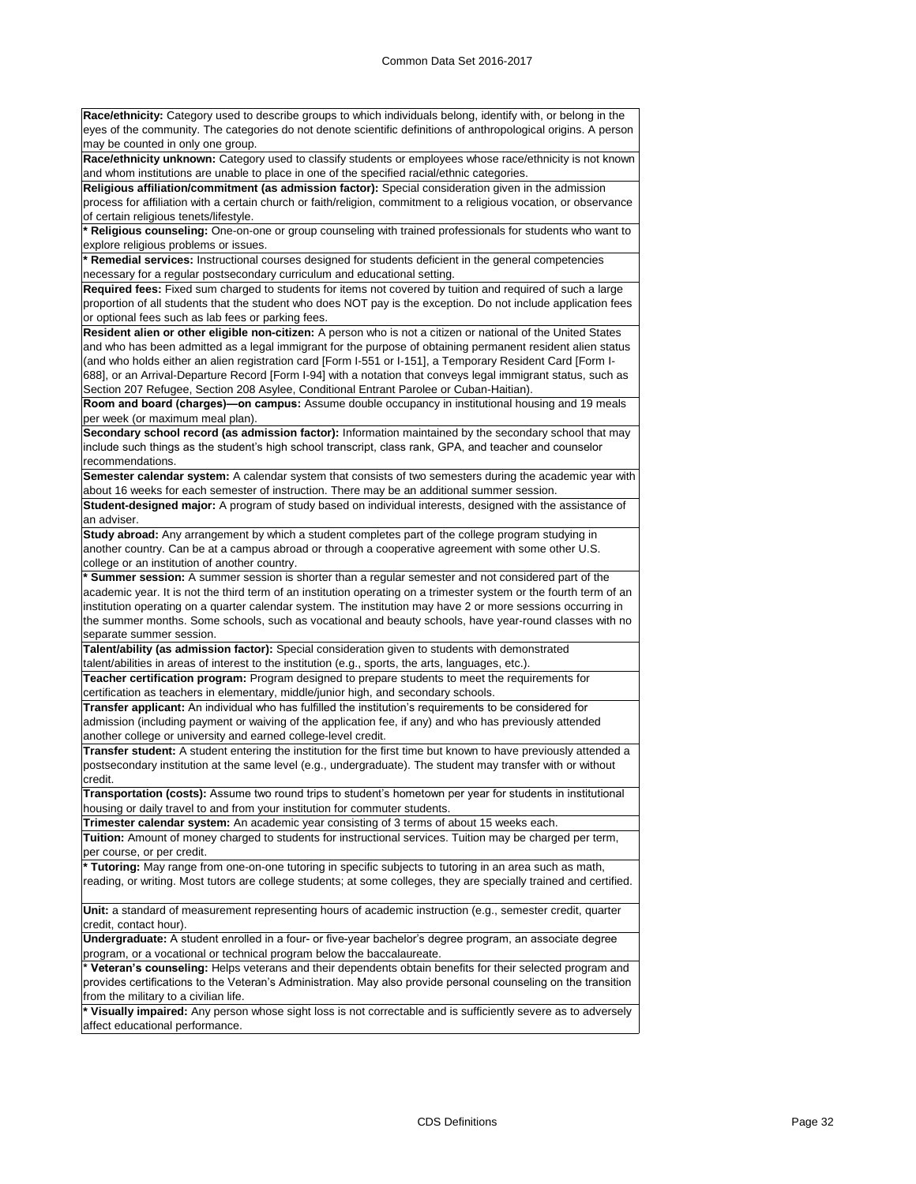**Race/ethnicity:** Category used to describe groups to which individuals belong, identify with, or belong in the eyes of the community. The categories do not denote scientific definitions of anthropological origins. A person may be counted in only one group.

**Race/ethnicity unknown:** Category used to classify students or employees whose race/ethnicity is not known and whom institutions are unable to place in one of the specified racial/ethnic categories.

**Religious affiliation/commitment (as admission factor):** Special consideration given in the admission process for affiliation with a certain church or faith/religion, commitment to a religious vocation, or observance of certain religious tenets/lifestyle.

**\* Religious counseling:** One-on-one or group counseling with trained professionals for students who want to explore religious problems or issues.

**\* Remedial services:** Instructional courses designed for students deficient in the general competencies necessary for a regular postsecondary curriculum and educational setting.

**Required fees:** Fixed sum charged to students for items not covered by tuition and required of such a large proportion of all students that the student who does NOT pay is the exception. Do not include application fees or optional fees such as lab fees or parking fees.

**Resident alien or other eligible non-citizen:** A person who is not a citizen or national of the United States and who has been admitted as a legal immigrant for the purpose of obtaining permanent resident alien status (and who holds either an alien registration card [Form I-551 or I-151], a Temporary Resident Card [Form I-688], or an Arrival-Departure Record [Form I-94] with a notation that conveys legal immigrant status, such as Section 207 Refugee, Section 208 Asylee, Conditional Entrant Parolee or Cuban-Haitian).

**Room and board (charges)—on campus:** Assume double occupancy in institutional housing and 19 meals per week (or maximum meal plan).

**Secondary school record (as admission factor):** Information maintained by the secondary school that may include such things as the student's high school transcript, class rank, GPA, and teacher and counselor recommendations.

**Semester calendar system:** A calendar system that consists of two semesters during the academic year with about 16 weeks for each semester of instruction. There may be an additional summer session.

**Student-designed major:** A program of study based on individual interests, designed with the assistance of an adviser.

**Study abroad:** Any arrangement by which a student completes part of the college program studying in another country. Can be at a campus abroad or through a cooperative agreement with some other U.S. college or an institution of another country.

**\* Summer session:** A summer session is shorter than a regular semester and not considered part of the academic year. It is not the third term of an institution operating on a trimester system or the fourth term of an institution operating on a quarter calendar system. The institution may have 2 or more sessions occurring in the summer months. Some schools, such as vocational and beauty schools, have year-round classes with no separate summer session.

**Talent/ability (as admission factor):** Special consideration given to students with demonstrated talent/abilities in areas of interest to the institution (e.g., sports, the arts, languages, etc.).

**Teacher certification program:** Program designed to prepare students to meet the requirements for certification as teachers in elementary, middle/junior high, and secondary schools.

**Transfer applicant:** An individual who has fulfilled the institution's requirements to be considered for admission (including payment or waiving of the application fee, if any) and who has previously attended another college or university and earned college-level credit.

**Transfer student:** A student entering the institution for the first time but known to have previously attended a postsecondary institution at the same level (e.g., undergraduate). The student may transfer with or without credit.

**Transportation (costs):** Assume two round trips to student's hometown per year for students in institutional housing or daily travel to and from your institution for commuter students.

**Trimester calendar system:** An academic year consisting of 3 terms of about 15 weeks each.

**Tuition:** Amount of money charged to students for instructional services. Tuition may be charged per term, per course, or per credit.

**Tutoring:** May range from one-on-one tutoring in specific subjects to tutoring in an area such as math, reading, or writing. Most tutors are college students; at some colleges, they are specially trained and certified.

**Unit:** a standard of measurement representing hours of academic instruction (e.g., semester credit, quarter credit, contact hour).

**Undergraduate:** A student enrolled in a four- or five-year bachelor's degree program, an associate degree program, or a vocational or technical program below the baccalaureate.

**Yeteran's counseling:** Helps veterans and their dependents obtain benefits for their selected program and provides certifications to the Veteran's Administration. May also provide personal counseling on the transition from the military to a civilian life.

**\* Visually impaired:** Any person whose sight loss is not correctable and is sufficiently severe as to adversely affect educational performance.